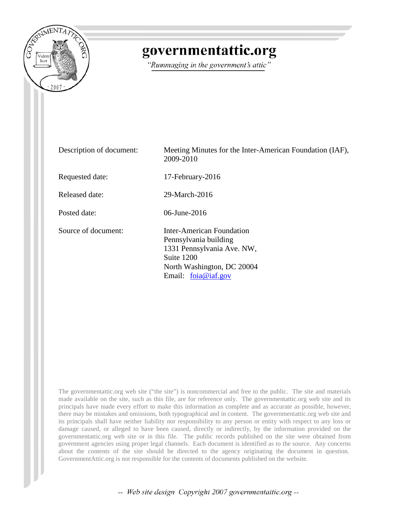

# governmentattic.org

"Rummaging in the government's attic"

| Description of document: | Meeting Minutes for the Inter-American Foundation (IAF),<br>2009-2010                                                                                 |
|--------------------------|-------------------------------------------------------------------------------------------------------------------------------------------------------|
| Requested date:          | 17-February-2016                                                                                                                                      |
| <b>Released date:</b>    | 29-March-2016                                                                                                                                         |
| Posted date:             | 06-June-2016                                                                                                                                          |
| Source of document:      | Inter-American Foundation<br>Pennsylvania building<br>1331 Pennsylvania Ave. NW,<br>Suite 1200<br>North Washington, DC 20004<br>Email: $foia@iaf.gov$ |

The governmentattic.org web site ("the site") is noncommercial and free to the public. The site and materials made available on the site, such as this file, are for reference only. The governmentattic.org web site and its principals have made every effort to make this information as complete and as accurate as possible, however, there may be mistakes and omissions, both typographical and in content. The governmentattic.org web site and its principals shall have neither liability nor responsibility to any person or entity with respect to any loss or damage caused, or alleged to have been caused, directly or indirectly, by the information provided on the governmentattic.org web site or in this file. The public records published on the site were obtained from government agencies using proper legal channels. Each document is identified as to the source. Any concerns about the contents of the site should be directed to the agency originating the document in question. GovernmentAttic.org is not responsible for the contents of documents published on the website.

-- Web site design Copyright 2007 governmentattic.org --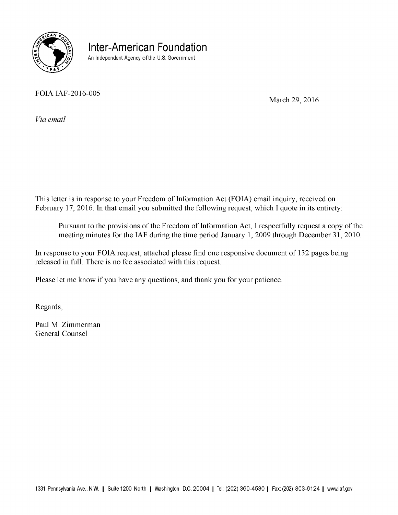

**Inter-American Foundation**  An Independent Agency of the U.S. Government

FOIA IAF-2016-005

March 29, 2016

*Via email* 

This letter is in response to your Freedom of Information Act (FOIA) email inquiry, received on February 17, 2016. In that email you submitted the following request, which I quote in its entirety:

Pursuant to the provisions of the Freedom of Information Act, I respectfully request a copy of the meeting minutes for the IAF during the time period January 1, 2009 through December 31, 2010.

In response to your FOIA request, attached please find one responsive document of 132 pages being released in full. There is no fee associated with this request.

Please let me know if you have any questions, and thank you for your patience.

Regards,

Paul M. Zimmerman General Counsel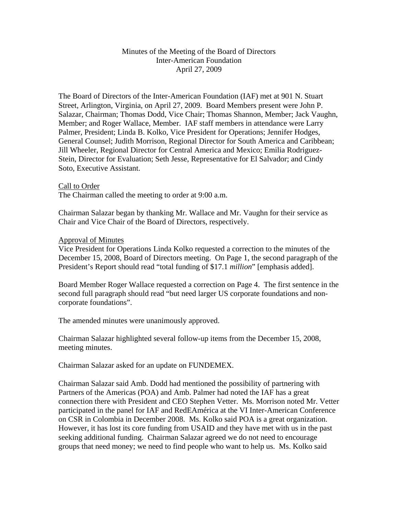#### Minutes of the Meeting of the Board of Directors Inter-American Foundation April 27, 2009

The Board of Directors of the Inter-American Foundation (IAF) met at 901 N. Stuart Street, Arlington, Virginia, on April 27, 2009. Board Members present were John P. Salazar, Chairman; Thomas Dodd, Vice Chair; Thomas Shannon, Member; Jack Vaughn, Member; and Roger Wallace, Member. IAF staff members in attendance were Larry Palmer, President; Linda B. Kolko, Vice President for Operations; Jennifer Hodges, General Counsel; Judith Morrison, Regional Director for South America and Caribbean; Jill Wheeler, Regional Director for Central America and Mexico; Emilia Rodriguez-Stein, Director for Evaluation; Seth Jesse, Representative for El Salvador; and Cindy Soto, Executive Assistant.

#### Call to Order

The Chairman called the meeting to order at 9:00 a.m.

Chairman Salazar began by thanking Mr. Wallace and Mr. Vaughn for their service as Chair and Vice Chair of the Board of Directors, respectively.

#### Approval of Minutes

Vice President for Operations Linda Kolko requested a correction to the minutes of the December 15, 2008, Board of Directors meeting. On Page 1, the second paragraph of the President's Report should read "total funding of \$17.1 *million*" [emphasis added].

Board Member Roger Wallace requested a correction on Page 4. The first sentence in the second full paragraph should read "but need larger US corporate foundations and noncorporate foundations".

The amended minutes were unanimously approved.

Chairman Salazar highlighted several follow-up items from the December 15, 2008, meeting minutes.

Chairman Salazar asked for an update on FUNDEMEX.

Chairman Salazar said Amb. Dodd had mentioned the possibility of partnering with Partners of the Americas (POA) and Amb. Palmer had noted the IAF has a great connection there with President and CEO Stephen Vetter. Ms. Morrison noted Mr. Vetter participated in the panel for IAF and RedEAmérica at the VI Inter-American Conference on CSR in Colombia in December 2008. Ms. Kolko said POA is a great organization. However, it has lost its core funding from USAID and they have met with us in the past seeking additional funding. Chairman Salazar agreed we do not need to encourage groups that need money; we need to find people who want to help us. Ms. Kolko said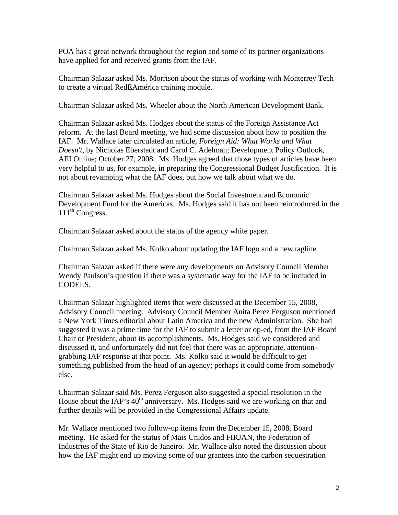POA has a great network throughout the region and some of its partner organizations have applied for and received grants from the IAF.

Chairman Salazar asked Ms. Morrison about the status of working with Monterrey Tech to create a virtual RedEAmérica training module.

Chairman Salazar asked Ms. Wheeler about the North American Development Bank.

Chairman Salazar asked Ms. Hodges about the status of the Foreign Assistance Act reform. At the last Board meeting, we had some discussion about how to position the IAF. Mr. Wallace later circulated an article, *Foreign Aid: What Works and What Doesn't*, by Nicholas Eberstadt and Carol C. Adelman; Development Policy Outlook, AEI Online; October 27, 2008. Ms. Hodges agreed that those types of articles have been very helpful to us, for example, in preparing the Congressional Budget Justification. It is not about revamping what the IAF does, but how we talk about what we do.

Chairman Salazar asked Ms. Hodges about the Social Investment and Economic Development Fund for the Americas. Ms. Hodges said it has not been reintroduced in the  $111<sup>th</sup> Congress.$ 

Chairman Salazar asked about the status of the agency white paper.

Chairman Salazar asked Ms. Kolko about updating the IAF logo and a new tagline.

Chairman Salazar asked if there were any developments on Advisory Council Member Wendy Paulson's question if there was a systematic way for the IAF to be included in CODELS.

Chairman Salazar highlighted items that were discussed at the December 15, 2008, Advisory Council meeting. Advisory Council Member Anita Perez Ferguson mentioned a New York Times editorial about Latin America and the new Administration. She had suggested it was a prime time for the IAF to submit a letter or op-ed, from the IAF Board Chair or President, about its accomplishments. Ms. Hodges said we considered and discussed it, and unfortunately did not feel that there was an appropriate, attentiongrabbing IAF response at that point. Ms. Kolko said it would be difficult to get something published from the head of an agency; perhaps it could come from somebody else.

Chairman Salazar said Ms. Perez Ferguson also suggested a special resolution in the House about the IAF's  $40<sup>th</sup>$  anniversary. Ms. Hodges said we are working on that and further details will be provided in the Congressional Affairs update.

Mr. Wallace mentioned two follow-up items from the December 15, 2008, Board meeting. He asked for the status of Mais Unidos and FIRJAN, the Federation of Industries of the State of Rio de Janeiro. Mr. Wallace also noted the discussion about how the IAF might end up moving some of our grantees into the carbon sequestration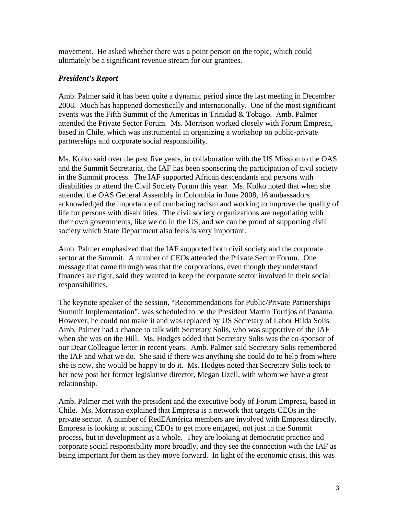movement. He asked whether there was a point person on the topic, which could ultimately be a significant revenue stream for our grantees.

# *President's Report*

Amb. Palmer said it has been quite a dynamic period since the last meeting in December 2008. Much has happened domestically and internationally. One of the most significant events was the Fifth Summit of the Americas in Trinidad & Tobago. Amb. Palmer attended the Private Sector Forum. Ms. Morrison worked closely with Forum Empresa, based in Chile, which was instrumental in organizing a workshop on public-private partnerships and corporate social responsibility.

Ms. Kolko said over the past five years, in collaboration with the US Mission to the OAS and the Summit Secretariat, the IAF has been sponsoring the participation of civil society in the Summit process. The IAF supported African descendants and persons with disabilities to attend the Civil Society Forum this year. Ms. Kolko noted that when she attended the OAS General Assembly in Colombia in June 2008, 16 ambassadors acknowledged the importance of combating racism and working to improve the quality of life for persons with disabilities. The civil society organizations are negotiating with their own governments, like we do in the US, and we can be proud of supporting civil society which State Department also feels is very important.

Amb. Palmer emphasized that the IAF supported both civil society and the corporate sector at the Summit. A number of CEOs attended the Private Sector Forum. One message that came through was that the corporations, even though they understand finances are tight, said they wanted to keep the corporate sector involved in their social responsibilities.

The keynote speaker of the session, "Recommendations for Public/Private Partnerships Summit Implementation", was scheduled to be the President Martín Torrijos of Panama. However, he could not make it and was replaced by US Secretary of Labor Hilda Solis. Amb. Palmer had a chance to talk with Secretary Solis, who was supportive of the IAF when she was on the Hill. Ms. Hodges added that Secretary Solis was the co-sponsor of our Dear Colleague letter in recent years. Amb. Palmer said Secretary Solis remembered the IAF and what we do. She said if there was anything she could do to help from where she is now, she would be happy to do it. Ms. Hodges noted that Secretary Solis took to her new post her former legislative director, Megan Uzell, with whom we have a great relationship.

Amb. Palmer met with the president and the executive body of Forum Empresa, based in Chile. Ms. Morrison explained that Empresa is a network that targets CEOs in the private sector. A number of RedEAmérica members are involved with Empresa directly. Empresa is looking at pushing CEOs to get more engaged, not just in the Summit process, but in development as a whole. They are looking at democratic practice and corporate social responsibility more broadly, and they see the connection with the IAF as being important for them as they move forward. In light of the economic crisis, this was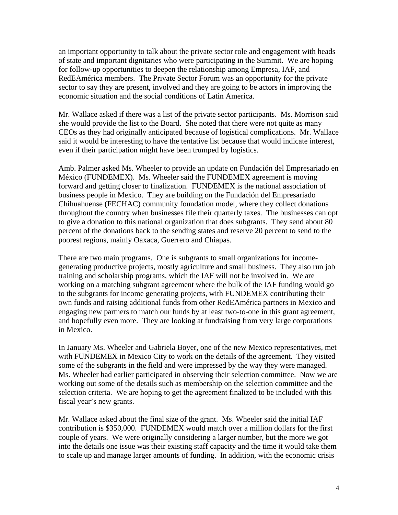an important opportunity to talk about the private sector role and engagement with heads of state and important dignitaries who were participating in the Summit. We are hoping for follow-up opportunities to deepen the relationship among Empresa, IAF, and RedEAmérica members. The Private Sector Forum was an opportunity for the private sector to say they are present, involved and they are going to be actors in improving the economic situation and the social conditions of Latin America.

Mr. Wallace asked if there was a list of the private sector participants. Ms. Morrison said she would provide the list to the Board. She noted that there were not quite as many CEOs as they had originally anticipated because of logistical complications. Mr. Wallace said it would be interesting to have the tentative list because that would indicate interest, even if their participation might have been trumped by logistics.

Amb. Palmer asked Ms. Wheeler to provide an update on Fundación del Empresariado en México (FUNDEMEX). Ms. Wheeler said the FUNDEMEX agreement is moving forward and getting closer to finalization. FUNDEMEX is the national association of business people in Mexico. They are building on the Fundación del Empresariado Chihuahuense (FECHAC) community foundation model, where they collect donations throughout the country when businesses file their quarterly taxes. The businesses can opt to give a donation to this national organization that does subgrants. They send about 80 percent of the donations back to the sending states and reserve 20 percent to send to the poorest regions, mainly Oaxaca, Guerrero and Chiapas.

There are two main programs. One is subgrants to small organizations for incomegenerating productive projects, mostly agriculture and small business. They also run job training and scholarship programs, which the IAF will not be involved in. We are working on a matching subgrant agreement where the bulk of the IAF funding would go to the subgrants for income generating projects, with FUNDEMEX contributing their own funds and raising additional funds from other RedEAmérica partners in Mexico and engaging new partners to match our funds by at least two-to-one in this grant agreement, and hopefully even more. They are looking at fundraising from very large corporations in Mexico.

In January Ms. Wheeler and Gabriela Boyer, one of the new Mexico representatives, met with FUNDEMEX in Mexico City to work on the details of the agreement. They visited some of the subgrants in the field and were impressed by the way they were managed. Ms. Wheeler had earlier participated in observing their selection committee. Now we are working out some of the details such as membership on the selection committee and the selection criteria. We are hoping to get the agreement finalized to be included with this fiscal year's new grants.

Mr. Wallace asked about the final size of the grant. Ms. Wheeler said the initial IAF contribution is \$350,000. FUNDEMEX would match over a million dollars for the first couple of years. We were originally considering a larger number, but the more we got into the details one issue was their existing staff capacity and the time it would take them to scale up and manage larger amounts of funding. In addition, with the economic crisis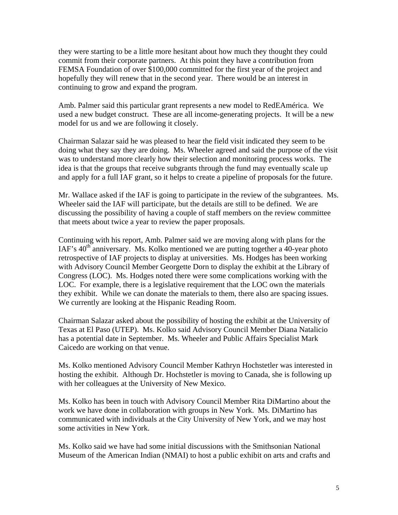they were starting to be a little more hesitant about how much they thought they could commit from their corporate partners. At this point they have a contribution from FEMSA Foundation of over \$100,000 committed for the first year of the project and hopefully they will renew that in the second year. There would be an interest in continuing to grow and expand the program.

Amb. Palmer said this particular grant represents a new model to RedEAmérica. We used a new budget construct. These are all income-generating projects. It will be a new model for us and we are following it closely.

Chairman Salazar said he was pleased to hear the field visit indicated they seem to be doing what they say they are doing. Ms. Wheeler agreed and said the purpose of the visit was to understand more clearly how their selection and monitoring process works. The idea is that the groups that receive subgrants through the fund may eventually scale up and apply for a full IAF grant, so it helps to create a pipeline of proposals for the future.

Mr. Wallace asked if the IAF is going to participate in the review of the subgrantees. Ms. Wheeler said the IAF will participate, but the details are still to be defined. We are discussing the possibility of having a couple of staff members on the review committee that meets about twice a year to review the paper proposals.

Continuing with his report, Amb. Palmer said we are moving along with plans for the IAF's  $40<sup>th</sup>$  anniversary. Ms. Kolko mentioned we are putting together a 40-year photo retrospective of IAF projects to display at universities. Ms. Hodges has been working with Advisory Council Member Georgette Dorn to display the exhibit at the Library of Congress (LOC). Ms. Hodges noted there were some complications working with the LOC. For example, there is a legislative requirement that the LOC own the materials they exhibit. While we can donate the materials to them, there also are spacing issues. We currently are looking at the Hispanic Reading Room.

Chairman Salazar asked about the possibility of hosting the exhibit at the University of Texas at El Paso (UTEP). Ms. Kolko said Advisory Council Member Diana Natalicio has a potential date in September. Ms. Wheeler and Public Affairs Specialist Mark Caicedo are working on that venue.

Ms. Kolko mentioned Advisory Council Member Kathryn Hochstetler was interested in hosting the exhibit. Although Dr. Hochstetler is moving to Canada, she is following up with her colleagues at the University of New Mexico.

Ms. Kolko has been in touch with Advisory Council Member Rita DiMartino about the work we have done in collaboration with groups in New York. Ms. DiMartino has communicated with individuals at the City University of New York, and we may host some activities in New York.

Ms. Kolko said we have had some initial discussions with the Smithsonian National Museum of the American Indian (NMAI) to host a public exhibit on arts and crafts and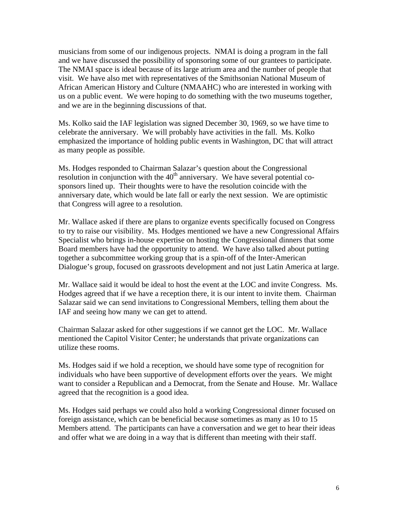musicians from some of our indigenous projects. NMAI is doing a program in the fall and we have discussed the possibility of sponsoring some of our grantees to participate. The NMAI space is ideal because of its large atrium area and the number of people that visit. We have also met with representatives of the Smithsonian National Museum of African American History and Culture (NMAAHC) who are interested in working with us on a public event. We were hoping to do something with the two museums together, and we are in the beginning discussions of that.

Ms. Kolko said the IAF legislation was signed December 30, 1969, so we have time to celebrate the anniversary. We will probably have activities in the fall. Ms. Kolko emphasized the importance of holding public events in Washington, DC that will attract as many people as possible.

Ms. Hodges responded to Chairman Salazar's question about the Congressional resolution in conjunction with the  $40<sup>th</sup>$  anniversary. We have several potential cosponsors lined up. Their thoughts were to have the resolution coincide with the anniversary date, which would be late fall or early the next session. We are optimistic that Congress will agree to a resolution.

Mr. Wallace asked if there are plans to organize events specifically focused on Congress to try to raise our visibility. Ms. Hodges mentioned we have a new Congressional Affairs Specialist who brings in-house expertise on hosting the Congressional dinners that some Board members have had the opportunity to attend. We have also talked about putting together a subcommittee working group that is a spin-off of the Inter-American Dialogue's group, focused on grassroots development and not just Latin America at large.

Mr. Wallace said it would be ideal to host the event at the LOC and invite Congress. Ms. Hodges agreed that if we have a reception there, it is our intent to invite them. Chairman Salazar said we can send invitations to Congressional Members, telling them about the IAF and seeing how many we can get to attend.

Chairman Salazar asked for other suggestions if we cannot get the LOC. Mr. Wallace mentioned the Capitol Visitor Center; he understands that private organizations can utilize these rooms.

Ms. Hodges said if we hold a reception, we should have some type of recognition for individuals who have been supportive of development efforts over the years. We might want to consider a Republican and a Democrat, from the Senate and House. Mr. Wallace agreed that the recognition is a good idea.

Ms. Hodges said perhaps we could also hold a working Congressional dinner focused on foreign assistance, which can be beneficial because sometimes as many as 10 to 15 Members attend. The participants can have a conversation and we get to hear their ideas and offer what we are doing in a way that is different than meeting with their staff.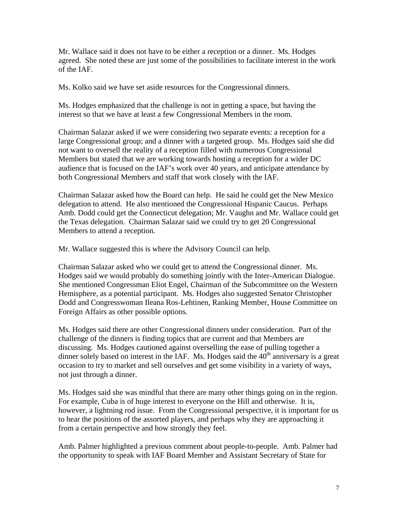Mr. Wallace said it does not have to be either a reception or a dinner. Ms. Hodges agreed. She noted these are just some of the possibilities to facilitate interest in the work of the IAF.

Ms. Kolko said we have set aside resources for the Congressional dinners.

Ms. Hodges emphasized that the challenge is not in getting a space, but having the interest so that we have at least a few Congressional Members in the room.

Chairman Salazar asked if we were considering two separate events: a reception for a large Congressional group; and a dinner with a targeted group. Ms. Hodges said she did not want to oversell the reality of a reception filled with numerous Congressional Members but stated that we are working towards hosting a reception for a wider DC audience that is focused on the IAF's work over 40 years, and anticipate attendance by both Congressional Members and staff that work closely with the IAF.

Chairman Salazar asked how the Board can help. He said he could get the New Mexico delegation to attend. He also mentioned the Congressional Hispanic Caucus. Perhaps Amb. Dodd could get the Connecticut delegation; Mr. Vaughn and Mr. Wallace could get the Texas delegation. Chairman Salazar said we could try to get 20 Congressional Members to attend a reception.

Mr. Wallace suggested this is where the Advisory Council can help.

Chairman Salazar asked who we could get to attend the Congressional dinner. Ms. Hodges said we would probably do something jointly with the Inter-American Dialogue. She mentioned Congressman Eliot Engel, Chairman of the Subcommittee on the Western Hemisphere, as a potential participant. Ms. Hodges also suggested Senator Christopher Dodd and Congresswoman Ileana Ros-Lehtinen, Ranking Member, House Committee on Foreign Affairs as other possible options.

Ms. Hodges said there are other Congressional dinners under consideration. Part of the challenge of the dinners is finding topics that are current and that Members are discussing. Ms. Hodges cautioned against overselling the ease of pulling together a dinner solely based on interest in the IAF. Ms. Hodges said the  $40<sup>th</sup>$  anniversary is a great occasion to try to market and sell ourselves and get some visibility in a variety of ways, not just through a dinner.

Ms. Hodges said she was mindful that there are many other things going on in the region. For example, Cuba is of huge interest to everyone on the Hill and otherwise. It is, however, a lightning rod issue. From the Congressional perspective, it is important for us to hear the positions of the assorted players, and perhaps why they are approaching it from a certain perspective and how strongly they feel.

Amb. Palmer highlighted a previous comment about people-to-people. Amb. Palmer had the opportunity to speak with IAF Board Member and Assistant Secretary of State for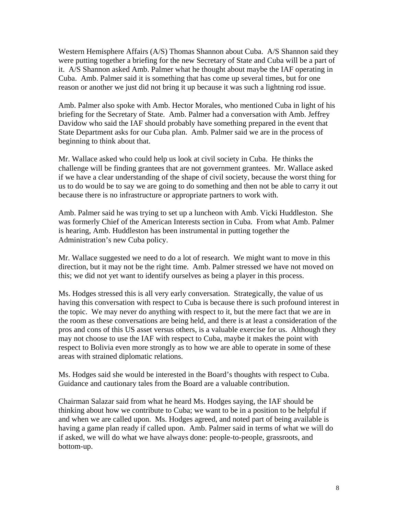Western Hemisphere Affairs (A/S) Thomas Shannon about Cuba. A/S Shannon said they were putting together a briefing for the new Secretary of State and Cuba will be a part of it. A/S Shannon asked Amb. Palmer what he thought about maybe the IAF operating in Cuba. Amb. Palmer said it is something that has come up several times, but for one reason or another we just did not bring it up because it was such a lightning rod issue.

Amb. Palmer also spoke with Amb. Hector Morales, who mentioned Cuba in light of his briefing for the Secretary of State. Amb. Palmer had a conversation with Amb. Jeffrey Davidow who said the IAF should probably have something prepared in the event that State Department asks for our Cuba plan. Amb. Palmer said we are in the process of beginning to think about that.

Mr. Wallace asked who could help us look at civil society in Cuba. He thinks the challenge will be finding grantees that are not government grantees. Mr. Wallace asked if we have a clear understanding of the shape of civil society, because the worst thing for us to do would be to say we are going to do something and then not be able to carry it out because there is no infrastructure or appropriate partners to work with.

Amb. Palmer said he was trying to set up a luncheon with Amb. Vicki Huddleston. She was formerly Chief of the American Interests section in Cuba. From what Amb. Palmer is hearing, Amb. Huddleston has been instrumental in putting together the Administration's new Cuba policy.

Mr. Wallace suggested we need to do a lot of research. We might want to move in this direction, but it may not be the right time. Amb. Palmer stressed we have not moved on this; we did not yet want to identify ourselves as being a player in this process.

Ms. Hodges stressed this is all very early conversation. Strategically, the value of us having this conversation with respect to Cuba is because there is such profound interest in the topic. We may never do anything with respect to it, but the mere fact that we are in the room as these conversations are being held, and there is at least a consideration of the pros and cons of this US asset versus others, is a valuable exercise for us. Although they may not choose to use the IAF with respect to Cuba, maybe it makes the point with respect to Bolivia even more strongly as to how we are able to operate in some of these areas with strained diplomatic relations.

Ms. Hodges said she would be interested in the Board's thoughts with respect to Cuba. Guidance and cautionary tales from the Board are a valuable contribution.

Chairman Salazar said from what he heard Ms. Hodges saying, the IAF should be thinking about how we contribute to Cuba; we want to be in a position to be helpful if and when we are called upon. Ms. Hodges agreed, and noted part of being available is having a game plan ready if called upon. Amb. Palmer said in terms of what we will do if asked, we will do what we have always done: people-to-people, grassroots, and bottom-up.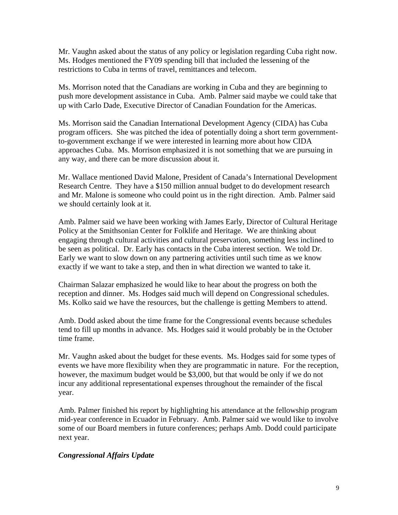Mr. Vaughn asked about the status of any policy or legislation regarding Cuba right now. Ms. Hodges mentioned the FY09 spending bill that included the lessening of the restrictions to Cuba in terms of travel, remittances and telecom.

Ms. Morrison noted that the Canadians are working in Cuba and they are beginning to push more development assistance in Cuba. Amb. Palmer said maybe we could take that up with Carlo Dade, Executive Director of Canadian Foundation for the Americas.

Ms. Morrison said the Canadian International Development Agency (CIDA) has Cuba program officers. She was pitched the idea of potentially doing a short term governmentto-government exchange if we were interested in learning more about how CIDA approaches Cuba. Ms. Morrison emphasized it is not something that we are pursuing in any way, and there can be more discussion about it.

Mr. Wallace mentioned David Malone, President of Canada's International Development Research Centre. They have a \$150 million annual budget to do development research and Mr. Malone is someone who could point us in the right direction. Amb. Palmer said we should certainly look at it.

Amb. Palmer said we have been working with James Early, Director of Cultural Heritage Policy at the Smithsonian Center for Folklife and Heritage. We are thinking about engaging through cultural activities and cultural preservation, something less inclined to be seen as political. Dr. Early has contacts in the Cuba interest section. We told Dr. Early we want to slow down on any partnering activities until such time as we know exactly if we want to take a step, and then in what direction we wanted to take it.

Chairman Salazar emphasized he would like to hear about the progress on both the reception and dinner. Ms. Hodges said much will depend on Congressional schedules. Ms. Kolko said we have the resources, but the challenge is getting Members to attend.

Amb. Dodd asked about the time frame for the Congressional events because schedules tend to fill up months in advance. Ms. Hodges said it would probably be in the October time frame.

Mr. Vaughn asked about the budget for these events. Ms. Hodges said for some types of events we have more flexibility when they are programmatic in nature. For the reception, however, the maximum budget would be \$3,000, but that would be only if we do not incur any additional representational expenses throughout the remainder of the fiscal year.

Amb. Palmer finished his report by highlighting his attendance at the fellowship program mid-year conference in Ecuador in February. Amb. Palmer said we would like to involve some of our Board members in future conferences; perhaps Amb. Dodd could participate next year.

# *Congressional Affairs Update*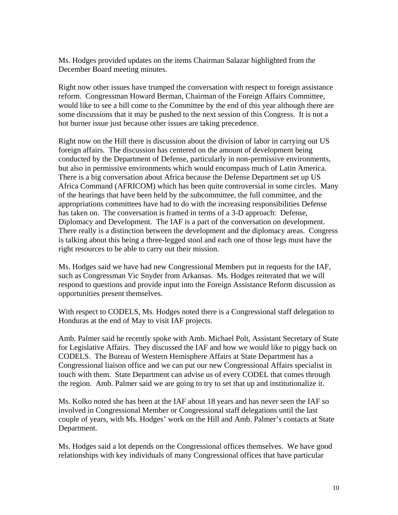Ms. Hodges provided updates on the items Chairman Salazar highlighted from the December Board meeting minutes.

Right now other issues have trumped the conversation with respect to foreign assistance reform. Congressman Howard Berman, Chairman of the Foreign Affairs Committee, would like to see a bill come to the Committee by the end of this year although there are some discussions that it may be pushed to the next session of this Congress. It is not a hot burner issue just because other issues are taking precedence.

Right now on the Hill there is discussion about the division of labor in carrying out US foreign affairs. The discussion has centered on the amount of development being conducted by the Department of Defense, particularly in non-permissive environments, but also in permissive environments which would encompass much of Latin America. There is a big conversation about Africa because the Defense Department set up US Africa Command (AFRICOM) which has been quite controversial in some circles. Many of the hearings that have been held by the subcommittee, the full committee, and the appropriations committees have had to do with the increasing responsibilities Defense has taken on. The conversation is framed in terms of a 3-D approach: Defense, Diplomacy and Development. The IAF is a part of the conversation on development. There really is a distinction between the development and the diplomacy areas. Congress is talking about this being a three-legged stool and each one of those legs must have the right resources to be able to carry out their mission.

Ms. Hodges said we have had new Congressional Members put in requests for the IAF, such as Congressman Vic Snyder from Arkansas. Ms. Hodges reiterated that we will respond to questions and provide input into the Foreign Assistance Reform discussion as opportunities present themselves.

With respect to CODELS, Ms. Hodges noted there is a Congressional staff delegation to Honduras at the end of May to visit IAF projects.

Amb. Palmer said he recently spoke with Amb. Michael Polt, Assistant Secretary of State for Legislative Affairs. They discussed the IAF and how we would like to piggy back on CODELS. The Bureau of Western Hemisphere Affairs at State Department has a Congressional liaison office and we can put our new Congressional Affairs specialist in touch with them. State Department can advise us of every CODEL that comes through the region. Amb. Palmer said we are going to try to set that up and institutionalize it.

Ms. Kolko noted she has been at the IAF about 18 years and has never seen the IAF so involved in Congressional Member or Congressional staff delegations until the last couple of years, with Ms. Hodges' work on the Hill and Amb. Palmer's contacts at State Department.

Ms. Hodges said a lot depends on the Congressional offices themselves. We have good relationships with key individuals of many Congressional offices that have particular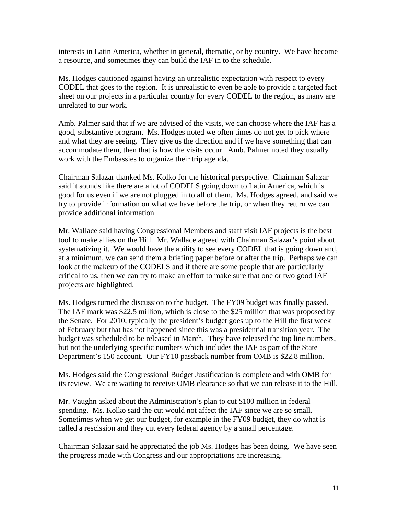interests in Latin America, whether in general, thematic, or by country. We have become a resource, and sometimes they can build the IAF in to the schedule.

Ms. Hodges cautioned against having an unrealistic expectation with respect to every CODEL that goes to the region. It is unrealistic to even be able to provide a targeted fact sheet on our projects in a particular country for every CODEL to the region, as many are unrelated to our work.

Amb. Palmer said that if we are advised of the visits, we can choose where the IAF has a good, substantive program. Ms. Hodges noted we often times do not get to pick where and what they are seeing. They give us the direction and if we have something that can accommodate them, then that is how the visits occur. Amb. Palmer noted they usually work with the Embassies to organize their trip agenda.

Chairman Salazar thanked Ms. Kolko for the historical perspective. Chairman Salazar said it sounds like there are a lot of CODELS going down to Latin America, which is good for us even if we are not plugged in to all of them. Ms. Hodges agreed, and said we try to provide information on what we have before the trip, or when they return we can provide additional information.

Mr. Wallace said having Congressional Members and staff visit IAF projects is the best tool to make allies on the Hill. Mr. Wallace agreed with Chairman Salazar's point about systematizing it. We would have the ability to see every CODEL that is going down and, at a minimum, we can send them a briefing paper before or after the trip. Perhaps we can look at the makeup of the CODELS and if there are some people that are particularly critical to us, then we can try to make an effort to make sure that one or two good IAF projects are highlighted.

Ms. Hodges turned the discussion to the budget. The FY09 budget was finally passed. The IAF mark was \$22.5 million, which is close to the \$25 million that was proposed by the Senate. For 2010, typically the president's budget goes up to the Hill the first week of February but that has not happened since this was a presidential transition year. The budget was scheduled to be released in March. They have released the top line numbers, but not the underlying specific numbers which includes the IAF as part of the State Department's 150 account. Our FY10 passback number from OMB is \$22.8 million.

Ms. Hodges said the Congressional Budget Justification is complete and with OMB for its review. We are waiting to receive OMB clearance so that we can release it to the Hill.

Mr. Vaughn asked about the Administration's plan to cut \$100 million in federal spending. Ms. Kolko said the cut would not affect the IAF since we are so small. Sometimes when we get our budget, for example in the FY09 budget, they do what is called a rescission and they cut every federal agency by a small percentage.

Chairman Salazar said he appreciated the job Ms. Hodges has been doing. We have seen the progress made with Congress and our appropriations are increasing.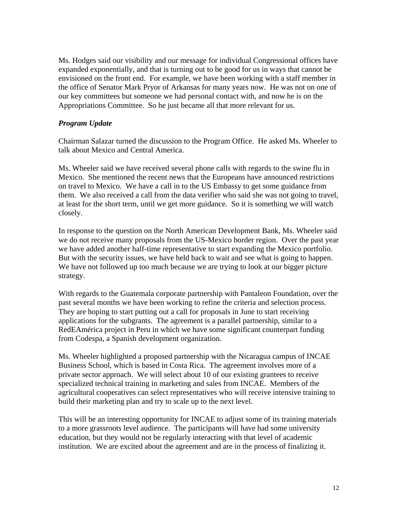Ms. Hodges said our visibility and our message for individual Congressional offices have expanded exponentially, and that is turning out to be good for us in ways that cannot be envisioned on the front end. For example, we have been working with a staff member in the office of Senator Mark Pryor of Arkansas for many years now. He was not on one of our key committees but someone we had personal contact with, and now he is on the Appropriations Committee. So he just became all that more relevant for us.

### *Program Update*

Chairman Salazar turned the discussion to the Program Office. He asked Ms. Wheeler to talk about Mexico and Central America.

Ms. Wheeler said we have received several phone calls with regards to the swine flu in Mexico. She mentioned the recent news that the Europeans have announced restrictions on travel to Mexico. We have a call in to the US Embassy to get some guidance from them. We also received a call from the data verifier who said she was not going to travel, at least for the short term, until we get more guidance. So it is something we will watch closely.

In response to the question on the North American Development Bank, Ms. Wheeler said we do not receive many proposals from the US-Mexico border region. Over the past year we have added another half-time representative to start expanding the Mexico portfolio. But with the security issues, we have held back to wait and see what is going to happen. We have not followed up too much because we are trying to look at our bigger picture strategy.

With regards to the Guatemala corporate partnership with Pantaleon Foundation, over the past several months we have been working to refine the criteria and selection process. They are hoping to start putting out a call for proposals in June to start receiving applications for the subgrants. The agreement is a parallel partnership, similar to a RedEAmérica project in Peru in which we have some significant counterpart funding from Codespa, a Spanish development organization.

Ms. Wheeler highlighted a proposed partnership with the Nicaragua campus of INCAE Business School, which is based in Costa Rica. The agreement involves more of a private sector approach. We will select about 10 of our existing grantees to receive specialized technical training in marketing and sales from INCAE. Members of the agricultural cooperatives can select representatives who will receive intensive training to build their marketing plan and try to scale up to the next level.

This will be an interesting opportunity for INCAE to adjust some of its training materials to a more grassroots level audience. The participants will have had some university education, but they would not be regularly interacting with that level of academic institution. We are excited about the agreement and are in the process of finalizing it.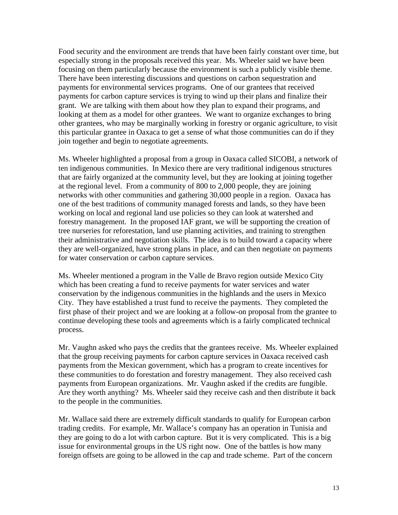Food security and the environment are trends that have been fairly constant over time, but especially strong in the proposals received this year. Ms. Wheeler said we have been focusing on them particularly because the environment is such a publicly visible theme. There have been interesting discussions and questions on carbon sequestration and payments for environmental services programs. One of our grantees that received payments for carbon capture services is trying to wind up their plans and finalize their grant. We are talking with them about how they plan to expand their programs, and looking at them as a model for other grantees. We want to organize exchanges to bring other grantees, who may be marginally working in forestry or organic agriculture, to visit this particular grantee in Oaxaca to get a sense of what those communities can do if they join together and begin to negotiate agreements.

Ms. Wheeler highlighted a proposal from a group in Oaxaca called SICOBI, a network of ten indigenous communities. In Mexico there are very traditional indigenous structures that are fairly organized at the community level, but they are looking at joining together at the regional level. From a community of 800 to 2,000 people, they are joining networks with other communities and gathering 30,000 people in a region. Oaxaca has one of the best traditions of community managed forests and lands, so they have been working on local and regional land use policies so they can look at watershed and forestry management. In the proposed IAF grant, we will be supporting the creation of tree nurseries for reforestation, land use planning activities, and training to strengthen their administrative and negotiation skills. The idea is to build toward a capacity where they are well-organized, have strong plans in place, and can then negotiate on payments for water conservation or carbon capture services.

Ms. Wheeler mentioned a program in the Valle de Bravo region outside Mexico City which has been creating a fund to receive payments for water services and water conservation by the indigenous communities in the highlands and the users in Mexico City. They have established a trust fund to receive the payments. They completed the first phase of their project and we are looking at a follow-on proposal from the grantee to continue developing these tools and agreements which is a fairly complicated technical process.

Mr. Vaughn asked who pays the credits that the grantees receive. Ms. Wheeler explained that the group receiving payments for carbon capture services in Oaxaca received cash payments from the Mexican government, which has a program to create incentives for these communities to do forestation and forestry management. They also received cash payments from European organizations. Mr. Vaughn asked if the credits are fungible. Are they worth anything? Ms. Wheeler said they receive cash and then distribute it back to the people in the communities.

Mr. Wallace said there are extremely difficult standards to qualify for European carbon trading credits. For example, Mr. Wallace's company has an operation in Tunisia and they are going to do a lot with carbon capture. But it is very complicated. This is a big issue for environmental groups in the US right now. One of the battles is how many foreign offsets are going to be allowed in the cap and trade scheme. Part of the concern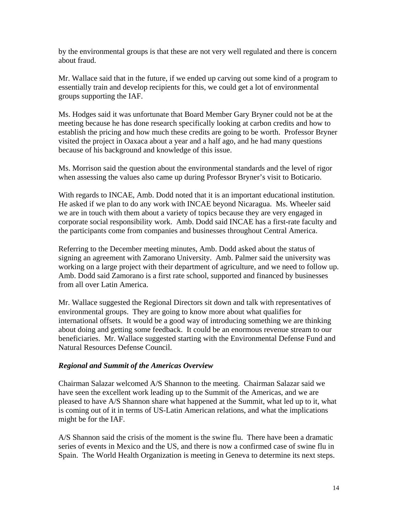by the environmental groups is that these are not very well regulated and there is concern about fraud.

Mr. Wallace said that in the future, if we ended up carving out some kind of a program to essentially train and develop recipients for this, we could get a lot of environmental groups supporting the IAF.

Ms. Hodges said it was unfortunate that Board Member Gary Bryner could not be at the meeting because he has done research specifically looking at carbon credits and how to establish the pricing and how much these credits are going to be worth. Professor Bryner visited the project in Oaxaca about a year and a half ago, and he had many questions because of his background and knowledge of this issue.

Ms. Morrison said the question about the environmental standards and the level of rigor when assessing the values also came up during Professor Bryner's visit to Boticario.

With regards to INCAE, Amb. Dodd noted that it is an important educational institution. He asked if we plan to do any work with INCAE beyond Nicaragua. Ms. Wheeler said we are in touch with them about a variety of topics because they are very engaged in corporate social responsibility work. Amb. Dodd said INCAE has a first-rate faculty and the participants come from companies and businesses throughout Central America.

Referring to the December meeting minutes, Amb. Dodd asked about the status of signing an agreement with Zamorano University. Amb. Palmer said the university was working on a large project with their department of agriculture, and we need to follow up. Amb. Dodd said Zamorano is a first rate school, supported and financed by businesses from all over Latin America.

Mr. Wallace suggested the Regional Directors sit down and talk with representatives of environmental groups. They are going to know more about what qualifies for international offsets. It would be a good way of introducing something we are thinking about doing and getting some feedback. It could be an enormous revenue stream to our beneficiaries. Mr. Wallace suggested starting with the Environmental Defense Fund and Natural Resources Defense Council.

# *Regional and Summit of the Americas Overview*

Chairman Salazar welcomed A/S Shannon to the meeting. Chairman Salazar said we have seen the excellent work leading up to the Summit of the Americas, and we are pleased to have A/S Shannon share what happened at the Summit, what led up to it, what is coming out of it in terms of US-Latin American relations, and what the implications might be for the IAF.

A/S Shannon said the crisis of the moment is the swine flu. There have been a dramatic series of events in Mexico and the US, and there is now a confirmed case of swine flu in Spain. The World Health Organization is meeting in Geneva to determine its next steps.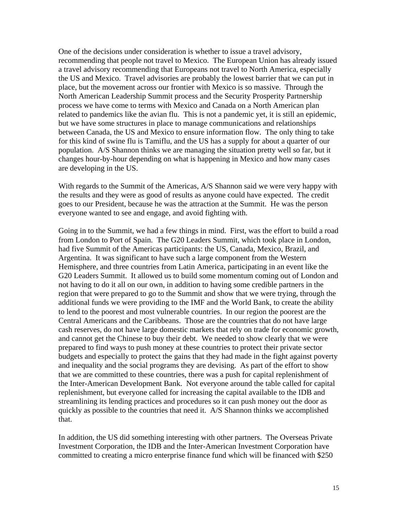One of the decisions under consideration is whether to issue a travel advisory, recommending that people not travel to Mexico. The European Union has already issued a travel advisory recommending that Europeans not travel to North America, especially the US and Mexico. Travel advisories are probably the lowest barrier that we can put in place, but the movement across our frontier with Mexico is so massive. Through the North American Leadership Summit process and the Security Prosperity Partnership process we have come to terms with Mexico and Canada on a North American plan related to pandemics like the avian flu. This is not a pandemic yet, it is still an epidemic, but we have some structures in place to manage communications and relationships between Canada, the US and Mexico to ensure information flow. The only thing to take for this kind of swine flu is Tamiflu, and the US has a supply for about a quarter of our population. A/S Shannon thinks we are managing the situation pretty well so far, but it changes hour-by-hour depending on what is happening in Mexico and how many cases are developing in the US.

With regards to the Summit of the Americas, A/S Shannon said we were very happy with the results and they were as good of results as anyone could have expected. The credit goes to our President, because he was the attraction at the Summit. He was the person everyone wanted to see and engage, and avoid fighting with.

Going in to the Summit, we had a few things in mind. First, was the effort to build a road from London to Port of Spain. The G20 Leaders Summit, which took place in London, had five Summit of the Americas participants: the US, Canada, Mexico, Brazil, and Argentina. It was significant to have such a large component from the Western Hemisphere, and three countries from Latin America, participating in an event like the G20 Leaders Summit. It allowed us to build some momentum coming out of London and not having to do it all on our own, in addition to having some credible partners in the region that were prepared to go to the Summit and show that we were trying, through the additional funds we were providing to the IMF and the World Bank, to create the ability to lend to the poorest and most vulnerable countries. In our region the poorest are the Central Americans and the Caribbeans. Those are the countries that do not have large cash reserves, do not have large domestic markets that rely on trade for economic growth, and cannot get the Chinese to buy their debt. We needed to show clearly that we were prepared to find ways to push money at these countries to protect their private sector budgets and especially to protect the gains that they had made in the fight against poverty and inequality and the social programs they are devising. As part of the effort to show that we are committed to these countries, there was a push for capital replenishment of the Inter-American Development Bank. Not everyone around the table called for capital replenishment, but everyone called for increasing the capital available to the IDB and streamlining its lending practices and procedures so it can push money out the door as quickly as possible to the countries that need it. A/S Shannon thinks we accomplished that.

In addition, the US did something interesting with other partners. The Overseas Private Investment Corporation, the IDB and the Inter-American Investment Corporation have committed to creating a micro enterprise finance fund which will be financed with \$250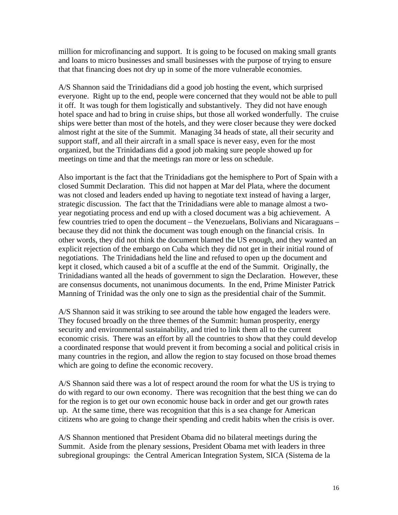million for microfinancing and support. It is going to be focused on making small grants and loans to micro businesses and small businesses with the purpose of trying to ensure that that financing does not dry up in some of the more vulnerable economies.

A/S Shannon said the Trinidadians did a good job hosting the event, which surprised everyone. Right up to the end, people were concerned that they would not be able to pull it off. It was tough for them logistically and substantively. They did not have enough hotel space and had to bring in cruise ships, but those all worked wonderfully. The cruise ships were better than most of the hotels, and they were closer because they were docked almost right at the site of the Summit. Managing 34 heads of state, all their security and support staff, and all their aircraft in a small space is never easy, even for the most organized, but the Trinidadians did a good job making sure people showed up for meetings on time and that the meetings ran more or less on schedule.

Also important is the fact that the Trinidadians got the hemisphere to Port of Spain with a closed Summit Declaration. This did not happen at Mar del Plata, where the document was not closed and leaders ended up having to negotiate text instead of having a larger, strategic discussion. The fact that the Trinidadians were able to manage almost a twoyear negotiating process and end up with a closed document was a big achievement. A few countries tried to open the document – the Venezuelans, Bolivians and Nicaraguans – because they did not think the document was tough enough on the financial crisis. In other words, they did not think the document blamed the US enough, and they wanted an explicit rejection of the embargo on Cuba which they did not get in their initial round of negotiations. The Trinidadians held the line and refused to open up the document and kept it closed, which caused a bit of a scuffle at the end of the Summit. Originally, the Trinidadians wanted all the heads of government to sign the Declaration. However, these are consensus documents, not unanimous documents. In the end, Prime Minister Patrick Manning of Trinidad was the only one to sign as the presidential chair of the Summit.

A/S Shannon said it was striking to see around the table how engaged the leaders were. They focused broadly on the three themes of the Summit: human prosperity, energy security and environmental sustainability, and tried to link them all to the current economic crisis. There was an effort by all the countries to show that they could develop a coordinated response that would prevent it from becoming a social and political crisis in many countries in the region, and allow the region to stay focused on those broad themes which are going to define the economic recovery.

A/S Shannon said there was a lot of respect around the room for what the US is trying to do with regard to our own economy. There was recognition that the best thing we can do for the region is to get our own economic house back in order and get our growth rates up. At the same time, there was recognition that this is a sea change for American citizens who are going to change their spending and credit habits when the crisis is over.

A/S Shannon mentioned that President Obama did no bilateral meetings during the Summit. Aside from the plenary sessions, President Obama met with leaders in three subregional groupings: the Central American Integration System, SICA (Sistema de la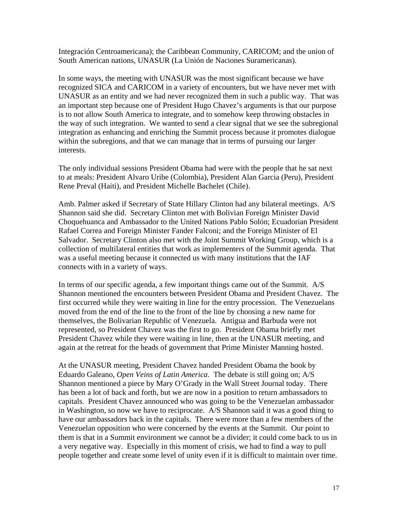Integración Centroamericana); the Caribbean Community, CARICOM; and the union of South American nations, UNASUR (La Unión de Naciones Suramericanas).

In some ways, the meeting with UNASUR was the most significant because we have recognized SICA and CARICOM in a variety of encounters, but we have never met with UNASUR as an entity and we had never recognized them in such a public way. That was an important step because one of President Hugo Chavez's arguments is that our purpose is to not allow South America to integrate, and to somehow keep throwing obstacles in the way of such integration. We wanted to send a clear signal that we see the subregional integration as enhancing and enriching the Summit process because it promotes dialogue within the subregions, and that we can manage that in terms of pursuing our larger interests.

The only individual sessions President Obama had were with the people that he sat next to at meals: President Alvaro Uribe (Colombia), President Alan Garcia (Peru), President Rene Preval (Haiti), and President Michelle Bachelet (Chile).

Amb. Palmer asked if Secretary of State Hillary Clinton had any bilateral meetings. A/S Shannon said she did. Secretary Clinton met with Bolivian Foreign Minister David Choquehuanca and Ambassador to the United Nations Pablo Solón; Ecuadorian President Rafael Correa and Foreign Minister Fander Falconi; and the Foreign Minister of El Salvador. Secretary Clinton also met with the Joint Summit Working Group, which is a collection of multilateral entities that work as implementers of the Summit agenda. That was a useful meeting because it connected us with many institutions that the IAF connects with in a variety of ways.

In terms of our specific agenda, a few important things came out of the Summit. A/S Shannon mentioned the encounters between President Obama and President Chavez. The first occurred while they were waiting in line for the entry procession. The Venezuelans moved from the end of the line to the front of the line by choosing a new name for themselves, the Bolivarian Republic of Venezuela. Antigua and Barbuda were not represented, so President Chavez was the first to go. President Obama briefly met President Chavez while they were waiting in line, then at the UNASUR meeting, and again at the retreat for the heads of government that Prime Minister Manning hosted.

At the UNASUR meeting, President Chavez handed President Obama the book by Eduardo Galeano, *Open Veins of Latin America*. The debate is still going on; A/S Shannon mentioned a piece by Mary O'Grady in the Wall Street Journal today. There has been a lot of back and forth, but we are now in a position to return ambassadors to capitals. President Chavez announced who was going to be the Venezuelan ambassador in Washington, so now we have to reciprocate. A/S Shannon said it was a good thing to have our ambassadors back in the capitals. There were more than a few members of the Venezuelan opposition who were concerned by the events at the Summit. Our point to them is that in a Summit environment we cannot be a divider; it could come back to us in a very negative way. Especially in this moment of crisis, we had to find a way to pull people together and create some level of unity even if it is difficult to maintain over time.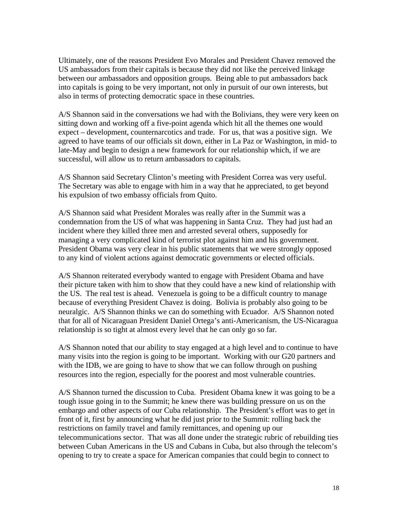Ultimately, one of the reasons President Evo Morales and President Chavez removed the US ambassadors from their capitals is because they did not like the perceived linkage between our ambassadors and opposition groups. Being able to put ambassadors back into capitals is going to be very important, not only in pursuit of our own interests, but also in terms of protecting democratic space in these countries.

A/S Shannon said in the conversations we had with the Bolivians, they were very keen on sitting down and working off a five-point agenda which hit all the themes one would expect – development, counternarcotics and trade. For us, that was a positive sign. We agreed to have teams of our officials sit down, either in La Paz or Washington, in mid- to late-May and begin to design a new framework for our relationship which, if we are successful, will allow us to return ambassadors to capitals.

A/S Shannon said Secretary Clinton's meeting with President Correa was very useful. The Secretary was able to engage with him in a way that he appreciated, to get beyond his expulsion of two embassy officials from Quito.

A/S Shannon said what President Morales was really after in the Summit was a condemnation from the US of what was happening in Santa Cruz. They had just had an incident where they killed three men and arrested several others, supposedly for managing a very complicated kind of terrorist plot against him and his government. President Obama was very clear in his public statements that we were strongly opposed to any kind of violent actions against democratic governments or elected officials.

A/S Shannon reiterated everybody wanted to engage with President Obama and have their picture taken with him to show that they could have a new kind of relationship with the US. The real test is ahead. Venezuela is going to be a difficult country to manage because of everything President Chavez is doing. Bolivia is probably also going to be neuralgic. A/S Shannon thinks we can do something with Ecuador. A/S Shannon noted that for all of Nicaraguan President Daniel Ortega's anti-Americanism, the US-Nicaragua relationship is so tight at almost every level that he can only go so far.

A/S Shannon noted that our ability to stay engaged at a high level and to continue to have many visits into the region is going to be important. Working with our G20 partners and with the IDB, we are going to have to show that we can follow through on pushing resources into the region, especially for the poorest and most vulnerable countries.

A/S Shannon turned the discussion to Cuba. President Obama knew it was going to be a tough issue going in to the Summit; he knew there was building pressure on us on the embargo and other aspects of our Cuba relationship. The President's effort was to get in front of it, first by announcing what he did just prior to the Summit: rolling back the restrictions on family travel and family remittances, and opening up our telecommunications sector. That was all done under the strategic rubric of rebuilding ties between Cuban Americans in the US and Cubans in Cuba, but also through the telecom's opening to try to create a space for American companies that could begin to connect to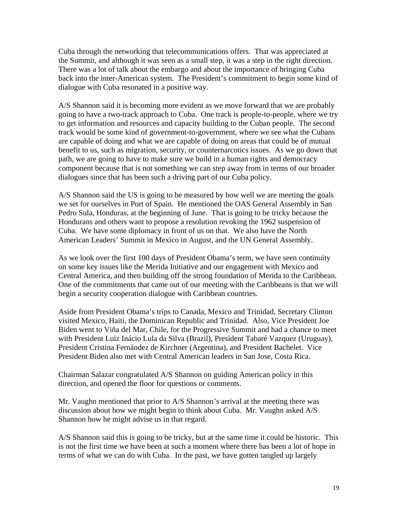Cuba through the networking that telecommunications offers. That was appreciated at the Summit, and although it was seen as a small step, it was a step in the right direction. There was a lot of talk about the embargo and about the importance of bringing Cuba back into the inter-American system. The President's commitment to begin some kind of dialogue with Cuba resonated in a positive way.

A/S Shannon said it is becoming more evident as we move forward that we are probably going to have a two-track approach to Cuba. One track is people-to-people, where we try to get information and resources and capacity building to the Cuban people. The second track would be some kind of government-to-government, where we see what the Cubans are capable of doing and what we are capable of doing on areas that could be of mutual benefit to us, such as migration, security, or counternarcotics issues. As we go down that path, we are going to have to make sure we build in a human rights and democracy component because that is not something we can step away from in terms of our broader dialogues since that has been such a driving part of our Cuba policy.

A/S Shannon said the US is going to be measured by how well we are meeting the goals we set for ourselves in Port of Spain. He mentioned the OAS General Assembly in San Pedro Sula, Honduras, at the beginning of June. That is going to be tricky because the Hondurans and others want to propose a resolution revoking the 1962 suspension of Cuba. We have some diplomacy in front of us on that. We also have the North American Leaders' Summit in Mexico in August, and the UN General Assembly.

As we look over the first 100 days of President Obama's term, we have seen continuity on some key issues like the Merida Initiative and our engagement with Mexico and Central America, and then building off the strong foundation of Merida to the Caribbean. One of the commitments that came out of our meeting with the Caribbeans is that we will begin a security cooperation dialogue with Caribbean countries.

Aside from President Obama's trips to Canada, Mexico and Trinidad, Secretary Clinton visited Mexico, Haiti, the Dominican Republic and Trinidad. Also, Vice President Joe Biden went to Viña del Mar, Chile, for the Progressive Summit and had a chance to meet with President Luiz Inácio Lula da Silva (Brazil), President Tabaré Vazquez (Uruguay), President Cristina Fernández de Kirchner (Argentina), and President Bachelet. Vice President Biden also met with Central American leaders in San Jose, Costa Rica.

Chairman Salazar congratulated A/S Shannon on guiding American policy in this direction, and opened the floor for questions or comments.

Mr. Vaughn mentioned that prior to A/S Shannon's arrival at the meeting there was discussion about how we might begin to think about Cuba. Mr. Vaughn asked A/S Shannon how he might advise us in that regard.

A/S Shannon said this is going to be tricky, but at the same time it could be historic. This is not the first time we have been at such a moment where there has been a lot of hope in terms of what we can do with Cuba. In the past, we have gotten tangled up largely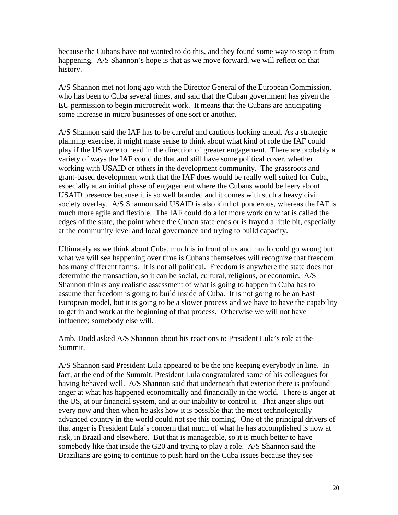because the Cubans have not wanted to do this, and they found some way to stop it from happening. A/S Shannon's hope is that as we move forward, we will reflect on that history.

A/S Shannon met not long ago with the Director General of the European Commission, who has been to Cuba several times, and said that the Cuban government has given the EU permission to begin microcredit work. It means that the Cubans are anticipating some increase in micro businesses of one sort or another.

A/S Shannon said the IAF has to be careful and cautious looking ahead. As a strategic planning exercise, it might make sense to think about what kind of role the IAF could play if the US were to head in the direction of greater engagement. There are probably a variety of ways the IAF could do that and still have some political cover, whether working with USAID or others in the development community. The grassroots and grant-based development work that the IAF does would be really well suited for Cuba, especially at an initial phase of engagement where the Cubans would be leery about USAID presence because it is so well branded and it comes with such a heavy civil society overlay. A/S Shannon said USAID is also kind of ponderous, whereas the IAF is much more agile and flexible. The IAF could do a lot more work on what is called the edges of the state, the point where the Cuban state ends or is frayed a little bit, especially at the community level and local governance and trying to build capacity.

Ultimately as we think about Cuba, much is in front of us and much could go wrong but what we will see happening over time is Cubans themselves will recognize that freedom has many different forms. It is not all political. Freedom is anywhere the state does not determine the transaction, so it can be social, cultural, religious, or economic. A/S Shannon thinks any realistic assessment of what is going to happen in Cuba has to assume that freedom is going to build inside of Cuba. It is not going to be an East European model, but it is going to be a slower process and we have to have the capability to get in and work at the beginning of that process. Otherwise we will not have influence; somebody else will.

Amb. Dodd asked A/S Shannon about his reactions to President Lula's role at the Summit.

A/S Shannon said President Lula appeared to be the one keeping everybody in line. In fact, at the end of the Summit, President Lula congratulated some of his colleagues for having behaved well. A/S Shannon said that underneath that exterior there is profound anger at what has happened economically and financially in the world. There is anger at the US, at our financial system, and at our inability to control it. That anger slips out every now and then when he asks how it is possible that the most technologically advanced country in the world could not see this coming. One of the principal drivers of that anger is President Lula's concern that much of what he has accomplished is now at risk, in Brazil and elsewhere. But that is manageable, so it is much better to have somebody like that inside the G20 and trying to play a role. A/S Shannon said the Brazilians are going to continue to push hard on the Cuba issues because they see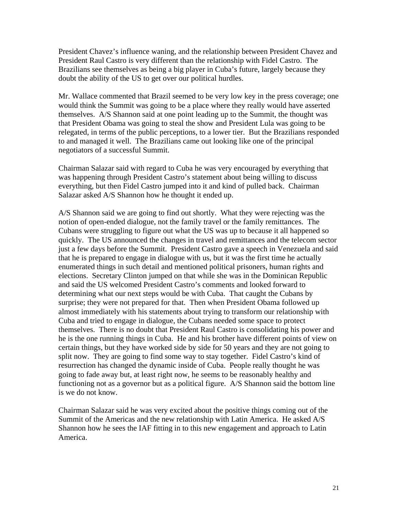President Chavez's influence waning, and the relationship between President Chavez and President Raul Castro is very different than the relationship with Fidel Castro. The Brazilians see themselves as being a big player in Cuba's future, largely because they doubt the ability of the US to get over our political hurdles.

Mr. Wallace commented that Brazil seemed to be very low key in the press coverage; one would think the Summit was going to be a place where they really would have asserted themselves. A/S Shannon said at one point leading up to the Summit, the thought was that President Obama was going to steal the show and President Lula was going to be relegated, in terms of the public perceptions, to a lower tier. But the Brazilians responded to and managed it well. The Brazilians came out looking like one of the principal negotiators of a successful Summit.

Chairman Salazar said with regard to Cuba he was very encouraged by everything that was happening through President Castro's statement about being willing to discuss everything, but then Fidel Castro jumped into it and kind of pulled back. Chairman Salazar asked A/S Shannon how he thought it ended up.

A/S Shannon said we are going to find out shortly. What they were rejecting was the notion of open-ended dialogue, not the family travel or the family remittances. The Cubans were struggling to figure out what the US was up to because it all happened so quickly. The US announced the changes in travel and remittances and the telecom sector just a few days before the Summit. President Castro gave a speech in Venezuela and said that he is prepared to engage in dialogue with us, but it was the first time he actually enumerated things in such detail and mentioned political prisoners, human rights and elections. Secretary Clinton jumped on that while she was in the Dominican Republic and said the US welcomed President Castro's comments and looked forward to determining what our next steps would be with Cuba. That caught the Cubans by surprise; they were not prepared for that. Then when President Obama followed up almost immediately with his statements about trying to transform our relationship with Cuba and tried to engage in dialogue, the Cubans needed some space to protect themselves. There is no doubt that President Raul Castro is consolidating his power and he is the one running things in Cuba. He and his brother have different points of view on certain things, but they have worked side by side for 50 years and they are not going to split now. They are going to find some way to stay together. Fidel Castro's kind of resurrection has changed the dynamic inside of Cuba. People really thought he was going to fade away but, at least right now, he seems to be reasonably healthy and functioning not as a governor but as a political figure. A/S Shannon said the bottom line is we do not know.

Chairman Salazar said he was very excited about the positive things coming out of the Summit of the Americas and the new relationship with Latin America. He asked A/S Shannon how he sees the IAF fitting in to this new engagement and approach to Latin America.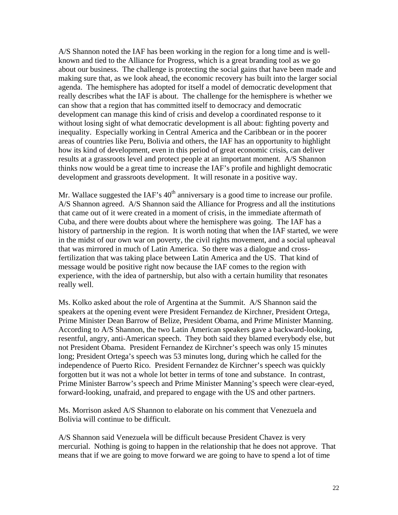A/S Shannon noted the IAF has been working in the region for a long time and is wellknown and tied to the Alliance for Progress, which is a great branding tool as we go about our business. The challenge is protecting the social gains that have been made and making sure that, as we look ahead, the economic recovery has built into the larger social agenda. The hemisphere has adopted for itself a model of democratic development that really describes what the IAF is about. The challenge for the hemisphere is whether we can show that a region that has committed itself to democracy and democratic development can manage this kind of crisis and develop a coordinated response to it without losing sight of what democratic development is all about: fighting poverty and inequality. Especially working in Central America and the Caribbean or in the poorer areas of countries like Peru, Bolivia and others, the IAF has an opportunity to highlight how its kind of development, even in this period of great economic crisis, can deliver results at a grassroots level and protect people at an important moment. A/S Shannon thinks now would be a great time to increase the IAF's profile and highlight democratic development and grassroots development. It will resonate in a positive way.

Mr. Wallace suggested the IAF's  $40<sup>th</sup>$  anniversary is a good time to increase our profile. A/S Shannon agreed. A/S Shannon said the Alliance for Progress and all the institutions that came out of it were created in a moment of crisis, in the immediate aftermath of Cuba, and there were doubts about where the hemisphere was going. The IAF has a history of partnership in the region. It is worth noting that when the IAF started, we were in the midst of our own war on poverty, the civil rights movement, and a social upheaval that was mirrored in much of Latin America. So there was a dialogue and crossfertilization that was taking place between Latin America and the US. That kind of message would be positive right now because the IAF comes to the region with experience, with the idea of partnership, but also with a certain humility that resonates really well.

Ms. Kolko asked about the role of Argentina at the Summit. A/S Shannon said the speakers at the opening event were President Fernandez de Kirchner, President Ortega, Prime Minister Dean Barrow of Belize, President Obama, and Prime Minister Manning. According to A/S Shannon, the two Latin American speakers gave a backward-looking, resentful, angry, anti-American speech. They both said they blamed everybody else, but not President Obama. President Fernandez de Kirchner's speech was only 15 minutes long; President Ortega's speech was 53 minutes long, during which he called for the independence of Puerto Rico. President Fernandez de Kirchner's speech was quickly forgotten but it was not a whole lot better in terms of tone and substance. In contrast, Prime Minister Barrow's speech and Prime Minister Manning's speech were clear-eyed, forward-looking, unafraid, and prepared to engage with the US and other partners.

Ms. Morrison asked A/S Shannon to elaborate on his comment that Venezuela and Bolivia will continue to be difficult.

A/S Shannon said Venezuela will be difficult because President Chavez is very mercurial. Nothing is going to happen in the relationship that he does not approve. That means that if we are going to move forward we are going to have to spend a lot of time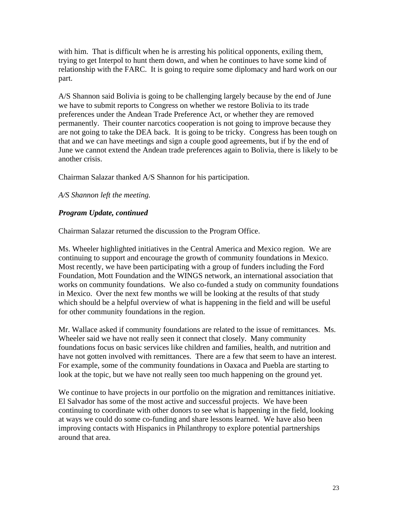with him. That is difficult when he is arresting his political opponents, exiling them, trying to get Interpol to hunt them down, and when he continues to have some kind of relationship with the FARC. It is going to require some diplomacy and hard work on our part.

A/S Shannon said Bolivia is going to be challenging largely because by the end of June we have to submit reports to Congress on whether we restore Bolivia to its trade preferences under the Andean Trade Preference Act, or whether they are removed permanently. Their counter narcotics cooperation is not going to improve because they are not going to take the DEA back. It is going to be tricky. Congress has been tough on that and we can have meetings and sign a couple good agreements, but if by the end of June we cannot extend the Andean trade preferences again to Bolivia, there is likely to be another crisis.

Chairman Salazar thanked A/S Shannon for his participation.

*A/S Shannon left the meeting.*

### *Program Update, continued*

Chairman Salazar returned the discussion to the Program Office.

Ms. Wheeler highlighted initiatives in the Central America and Mexico region. We are continuing to support and encourage the growth of community foundations in Mexico. Most recently, we have been participating with a group of funders including the Ford Foundation, Mott Foundation and the WINGS network, an international association that works on community foundations. We also co-funded a study on community foundations in Mexico. Over the next few months we will be looking at the results of that study which should be a helpful overview of what is happening in the field and will be useful for other community foundations in the region.

Mr. Wallace asked if community foundations are related to the issue of remittances. Ms. Wheeler said we have not really seen it connect that closely. Many community foundations focus on basic services like children and families, health, and nutrition and have not gotten involved with remittances. There are a few that seem to have an interest. For example, some of the community foundations in Oaxaca and Puebla are starting to look at the topic, but we have not really seen too much happening on the ground yet.

We continue to have projects in our portfolio on the migration and remittances initiative. El Salvador has some of the most active and successful projects. We have been continuing to coordinate with other donors to see what is happening in the field, looking at ways we could do some co-funding and share lessons learned. We have also been improving contacts with Hispanics in Philanthropy to explore potential partnerships around that area.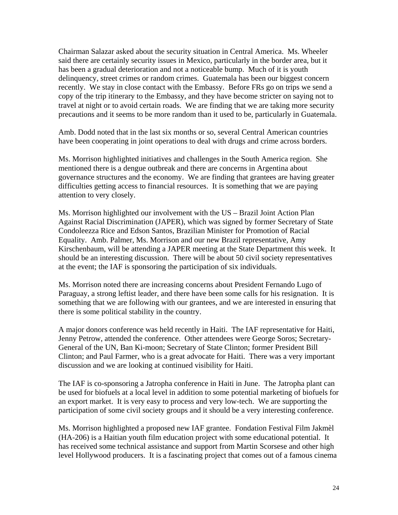Chairman Salazar asked about the security situation in Central America. Ms. Wheeler said there are certainly security issues in Mexico, particularly in the border area, but it has been a gradual deterioration and not a noticeable bump. Much of it is youth delinquency, street crimes or random crimes. Guatemala has been our biggest concern recently. We stay in close contact with the Embassy. Before FRs go on trips we send a copy of the trip itinerary to the Embassy, and they have become stricter on saying not to travel at night or to avoid certain roads. We are finding that we are taking more security precautions and it seems to be more random than it used to be, particularly in Guatemala.

Amb. Dodd noted that in the last six months or so, several Central American countries have been cooperating in joint operations to deal with drugs and crime across borders.

Ms. Morrison highlighted initiatives and challenges in the South America region. She mentioned there is a dengue outbreak and there are concerns in Argentina about governance structures and the economy. We are finding that grantees are having greater difficulties getting access to financial resources. It is something that we are paying attention to very closely.

Ms. Morrison highlighted our involvement with the US – Brazil Joint Action Plan Against Racial Discrimination (JAPER), which was signed by former Secretary of State Condoleezza Rice and Edson Santos, Brazilian Minister for Promotion of Racial Equality. Amb. Palmer, Ms. Morrison and our new Brazil representative, Amy Kirschenbaum, will be attending a JAPER meeting at the State Department this week. It should be an interesting discussion. There will be about 50 civil society representatives at the event; the IAF is sponsoring the participation of six individuals.

Ms. Morrison noted there are increasing concerns about President Fernando Lugo of Paraguay, a strong leftist leader, and there have been some calls for his resignation. It is something that we are following with our grantees, and we are interested in ensuring that there is some political stability in the country.

A major donors conference was held recently in Haiti. The IAF representative for Haiti, Jenny Petrow, attended the conference. Other attendees were George Soros; Secretary-General of the UN, Ban Ki-moon; Secretary of State Clinton; former President Bill Clinton; and Paul Farmer, who is a great advocate for Haiti. There was a very important discussion and we are looking at continued visibility for Haiti.

The IAF is co-sponsoring a Jatropha conference in Haiti in June. The Jatropha plant can be used for biofuels at a local level in addition to some potential marketing of biofuels for an export market. It is very easy to process and very low-tech. We are supporting the participation of some civil society groups and it should be a very interesting conference.

Ms. Morrison highlighted a proposed new IAF grantee. Fondation Festival Film Jakmèl (HA-206) is a Haitian youth film education project with some educational potential. It has received some technical assistance and support from Martin Scorsese and other high level Hollywood producers. It is a fascinating project that comes out of a famous cinema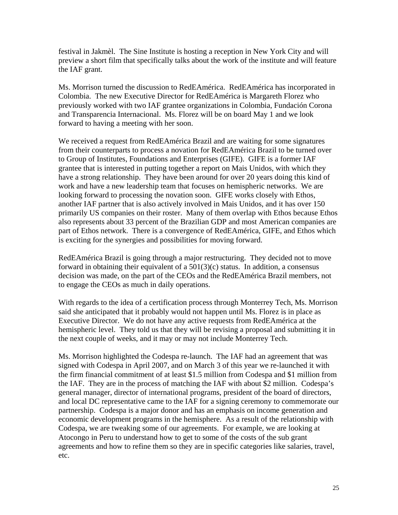festival in Jakmèl. The Sine Institute is hosting a reception in New York City and will preview a short film that specifically talks about the work of the institute and will feature the IAF grant.

Ms. Morrison turned the discussion to RedEAmérica. RedEAmérica has incorporated in Colombia. The new Executive Director for RedEAmérica is Margareth Florez who previously worked with two IAF grantee organizations in Colombia, Fundación Corona and Transparencia Internacional. Ms. Florez will be on board May 1 and we look forward to having a meeting with her soon.

We received a request from RedEAmérica Brazil and are waiting for some signatures from their counterparts to process a novation for RedEAmérica Brazil to be turned over to Group of Institutes, Foundations and Enterprises (GIFE). GIFE is a former IAF grantee that is interested in putting together a report on Mais Unidos, with which they have a strong relationship. They have been around for over 20 years doing this kind of work and have a new leadership team that focuses on hemispheric networks. We are looking forward to processing the novation soon. GIFE works closely with Ethos, another IAF partner that is also actively involved in Mais Unidos, and it has over 150 primarily US companies on their roster. Many of them overlap with Ethos because Ethos also represents about 33 percent of the Brazilian GDP and most American companies are part of Ethos network. There is a convergence of RedEAmérica, GIFE, and Ethos which is exciting for the synergies and possibilities for moving forward.

RedEAmérica Brazil is going through a major restructuring. They decided not to move forward in obtaining their equivalent of a 501(3)(c) status. In addition, a consensus decision was made, on the part of the CEOs and the RedEAmérica Brazil members, not to engage the CEOs as much in daily operations.

With regards to the idea of a certification process through Monterrey Tech, Ms. Morrison said she anticipated that it probably would not happen until Ms. Florez is in place as Executive Director. We do not have any active requests from RedEAmérica at the hemispheric level. They told us that they will be revising a proposal and submitting it in the next couple of weeks, and it may or may not include Monterrey Tech.

Ms. Morrison highlighted the Codespa re-launch. The IAF had an agreement that was signed with Codespa in April 2007, and on March 3 of this year we re-launched it with the firm financial commitment of at least \$1.5 million from Codespa and \$1 million from the IAF. They are in the process of matching the IAF with about \$2 million. Codespa's general manager, director of international programs, president of the board of directors, and local DC representative came to the IAF for a signing ceremony to commemorate our partnership. Codespa is a major donor and has an emphasis on income generation and economic development programs in the hemisphere. As a result of the relationship with Codespa, we are tweaking some of our agreements. For example, we are looking at Atocongo in Peru to understand how to get to some of the costs of the sub grant agreements and how to refine them so they are in specific categories like salaries, travel, etc.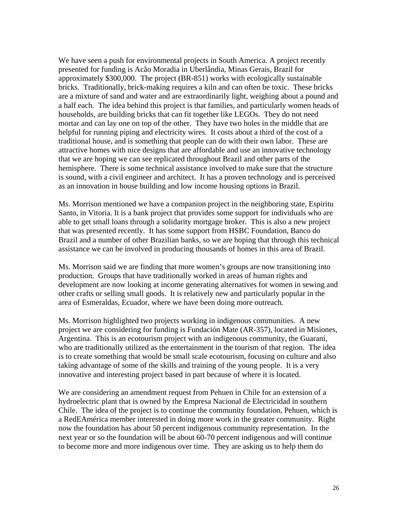We have seen a push for environmental projects in South America. A project recently presented for funding is Acão Moradia in Uberlândia, Minas Gerais, Brazil for approximately \$300,000. The project (BR-851) works with ecologically sustainable bricks. Traditionally, brick-making requires a kiln and can often be toxic. These bricks are a mixture of sand and water and are extraordinarily light, weighing about a pound and a half each. The idea behind this project is that families, and particularly women heads of households, are building bricks that can fit together like LEGOs. They do not need mortar and can lay one on top of the other. They have two holes in the middle that are helpful for running piping and electricity wires. It costs about a third of the cost of a traditional house, and is something that people can do with their own labor. These are attractive homes with nice designs that are affordable and use an innovative technology that we are hoping we can see replicated throughout Brazil and other parts of the hemisphere. There is some technical assistance involved to make sure that the structure is sound, with a civil engineer and architect. It has a proven technology and is perceived as an innovation in house building and low income housing options in Brazil.

Ms. Morrison mentioned we have a companion project in the neighboring state, Espiritu Santo, in Vitoria. It is a bank project that provides some support for individuals who are able to get small loans through a solidarity mortgage broker. This is also a new project that was presented recently. It has some support from HSBC Foundation, Banco do Brazil and a number of other Brazilian banks, so we are hoping that through this technical assistance we can be involved in producing thousands of homes in this area of Brazil.

Ms. Morrison said we are finding that more women's groups are now transitioning into production. Groups that have traditionally worked in areas of human rights and development are now looking at income generating alternatives for women in sewing and other crafts or selling small goods. It is relatively new and particularly popular in the area of Esmeraldas, Ecuador, where we have been doing more outreach.

Ms. Morrison highlighted two projects working in indigenous communities. A new project we are considering for funding is Fundación Mate (AR-357), located in Misiones, Argentina. This is an ecotourism project with an indigenous community, the Guaraní, who are traditionally utilized as the entertainment in the tourism of that region. The idea is to create something that would be small scale ecotourism, focusing on culture and also taking advantage of some of the skills and training of the young people. It is a very innovative and interesting project based in part because of where it is located.

We are considering an amendment request from Pehuen in Chile for an extension of a hydroelectric plant that is owned by the Empresa Nacional de Electricidad in southern Chile. The idea of the project is to continue the community foundation, Pehuen, which is a RedEAmérica member interested in doing more work in the greater community. Right now the foundation has about 50 percent indigenous community representation. In the next year or so the foundation will be about 60-70 percent indigenous and will continue to become more and more indigenous over time. They are asking us to help them do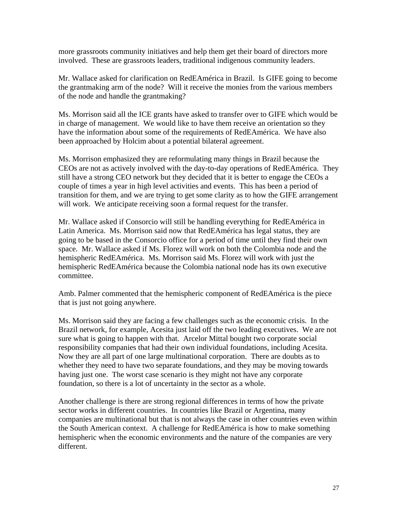more grassroots community initiatives and help them get their board of directors more involved. These are grassroots leaders, traditional indigenous community leaders.

Mr. Wallace asked for clarification on RedEAmérica in Brazil. Is GIFE going to become the grantmaking arm of the node? Will it receive the monies from the various members of the node and handle the grantmaking?

Ms. Morrison said all the ICE grants have asked to transfer over to GIFE which would be in charge of management. We would like to have them receive an orientation so they have the information about some of the requirements of RedEAmérica. We have also been approached by Holcim about a potential bilateral agreement.

Ms. Morrison emphasized they are reformulating many things in Brazil because the CEOs are not as actively involved with the day-to-day operations of RedEAmérica. They still have a strong CEO network but they decided that it is better to engage the CEOs a couple of times a year in high level activities and events. This has been a period of transition for them, and we are trying to get some clarity as to how the GIFE arrangement will work. We anticipate receiving soon a formal request for the transfer.

Mr. Wallace asked if Consorcio will still be handling everything for RedEAmérica in Latin America. Ms. Morrison said now that RedEAmérica has legal status, they are going to be based in the Consorcio office for a period of time until they find their own space. Mr. Wallace asked if Ms. Florez will work on both the Colombia node and the hemispheric RedEAmérica. Ms. Morrison said Ms. Florez will work with just the hemispheric RedEAmérica because the Colombia national node has its own executive committee.

Amb. Palmer commented that the hemispheric component of RedEAmérica is the piece that is just not going anywhere.

Ms. Morrison said they are facing a few challenges such as the economic crisis. In the Brazil network, for example, Acesita just laid off the two leading executives. We are not sure what is going to happen with that. Arcelor Mittal bought two corporate social responsibility companies that had their own individual foundations, including Acesita. Now they are all part of one large multinational corporation. There are doubts as to whether they need to have two separate foundations, and they may be moving towards having just one. The worst case scenario is they might not have any corporate foundation, so there is a lot of uncertainty in the sector as a whole.

Another challenge is there are strong regional differences in terms of how the private sector works in different countries. In countries like Brazil or Argentina, many companies are multinational but that is not always the case in other countries even within the South American context. A challenge for RedEAmérica is how to make something hemispheric when the economic environments and the nature of the companies are very different.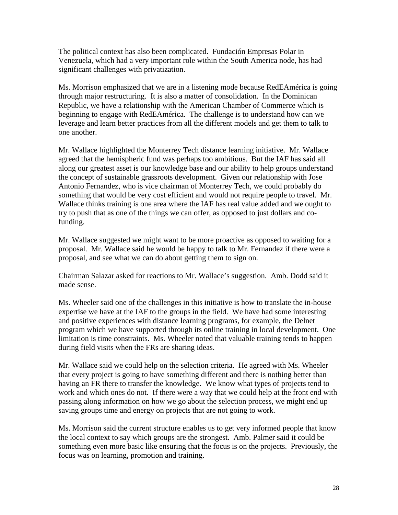The political context has also been complicated. Fundación Empresas Polar in Venezuela, which had a very important role within the South America node, has had significant challenges with privatization.

Ms. Morrison emphasized that we are in a listening mode because RedEAmérica is going through major restructuring. It is also a matter of consolidation. In the Dominican Republic, we have a relationship with the American Chamber of Commerce which is beginning to engage with RedEAmérica. The challenge is to understand how can we leverage and learn better practices from all the different models and get them to talk to one another.

Mr. Wallace highlighted the Monterrey Tech distance learning initiative. Mr. Wallace agreed that the hemispheric fund was perhaps too ambitious. But the IAF has said all along our greatest asset is our knowledge base and our ability to help groups understand the concept of sustainable grassroots development. Given our relationship with Jose Antonio Fernandez, who is vice chairman of Monterrey Tech, we could probably do something that would be very cost efficient and would not require people to travel. Mr. Wallace thinks training is one area where the IAF has real value added and we ought to try to push that as one of the things we can offer, as opposed to just dollars and cofunding.

Mr. Wallace suggested we might want to be more proactive as opposed to waiting for a proposal. Mr. Wallace said he would be happy to talk to Mr. Fernandez if there were a proposal, and see what we can do about getting them to sign on.

Chairman Salazar asked for reactions to Mr. Wallace's suggestion. Amb. Dodd said it made sense.

Ms. Wheeler said one of the challenges in this initiative is how to translate the in-house expertise we have at the IAF to the groups in the field. We have had some interesting and positive experiences with distance learning programs, for example, the Delnet program which we have supported through its online training in local development. One limitation is time constraints. Ms. Wheeler noted that valuable training tends to happen during field visits when the FRs are sharing ideas.

Mr. Wallace said we could help on the selection criteria. He agreed with Ms. Wheeler that every project is going to have something different and there is nothing better than having an FR there to transfer the knowledge. We know what types of projects tend to work and which ones do not. If there were a way that we could help at the front end with passing along information on how we go about the selection process, we might end up saving groups time and energy on projects that are not going to work.

Ms. Morrison said the current structure enables us to get very informed people that know the local context to say which groups are the strongest. Amb. Palmer said it could be something even more basic like ensuring that the focus is on the projects. Previously, the focus was on learning, promotion and training.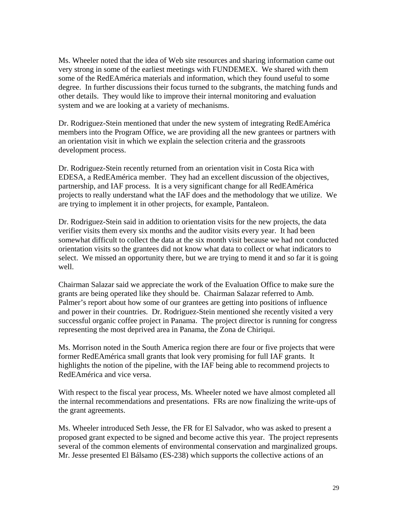Ms. Wheeler noted that the idea of Web site resources and sharing information came out very strong in some of the earliest meetings with FUNDEMEX. We shared with them some of the RedEAmérica materials and information, which they found useful to some degree. In further discussions their focus turned to the subgrants, the matching funds and other details. They would like to improve their internal monitoring and evaluation system and we are looking at a variety of mechanisms.

Dr. Rodriguez-Stein mentioned that under the new system of integrating RedEAmérica members into the Program Office, we are providing all the new grantees or partners with an orientation visit in which we explain the selection criteria and the grassroots development process.

Dr. Rodriguez-Stein recently returned from an orientation visit in Costa Rica with EDESA, a RedEAmérica member. They had an excellent discussion of the objectives, partnership, and IAF process. It is a very significant change for all RedEAmérica projects to really understand what the IAF does and the methodology that we utilize. We are trying to implement it in other projects, for example, Pantaleon.

Dr. Rodriguez-Stein said in addition to orientation visits for the new projects, the data verifier visits them every six months and the auditor visits every year. It had been somewhat difficult to collect the data at the six month visit because we had not conducted orientation visits so the grantees did not know what data to collect or what indicators to select. We missed an opportunity there, but we are trying to mend it and so far it is going well.

Chairman Salazar said we appreciate the work of the Evaluation Office to make sure the grants are being operated like they should be. Chairman Salazar referred to Amb. Palmer's report about how some of our grantees are getting into positions of influence and power in their countries. Dr. Rodriguez-Stein mentioned she recently visited a very successful organic coffee project in Panama. The project director is running for congress representing the most deprived area in Panama, the Zona de Chiriqui.

Ms. Morrison noted in the South America region there are four or five projects that were former RedEAmérica small grants that look very promising for full IAF grants. It highlights the notion of the pipeline, with the IAF being able to recommend projects to RedEAmérica and vice versa.

With respect to the fiscal year process, Ms. Wheeler noted we have almost completed all the internal recommendations and presentations. FRs are now finalizing the write-ups of the grant agreements.

Ms. Wheeler introduced Seth Jesse, the FR for El Salvador, who was asked to present a proposed grant expected to be signed and become active this year. The project represents several of the common elements of environmental conservation and marginalized groups. Mr. Jesse presented El Bálsamo (ES-238) which supports the collective actions of an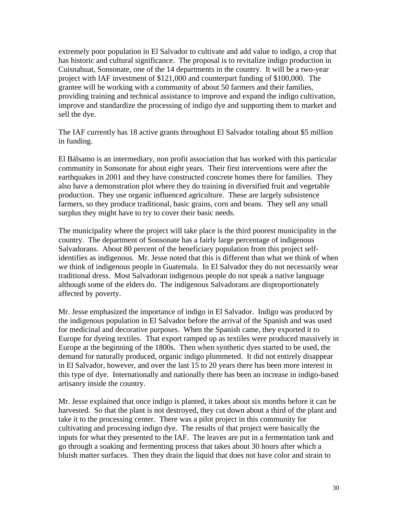extremely poor population in El Salvador to cultivate and add value to indigo, a crop that has historic and cultural significance. The proposal is to revitalize indigo production in Cuisnahuat, Sonsonate, one of the 14 departments in the country. It will be a two-year project with IAF investment of \$121,000 and counterpart funding of \$100,000. The grantee will be working with a community of about 50 farmers and their families, providing training and technical assistance to improve and expand the indigo cultivation, improve and standardize the processing of indigo dye and supporting them to market and sell the dye.

The IAF currently has 18 active grants throughout El Salvador totaling about \$5 million in funding.

El Bálsamo is an intermediary, non profit association that has worked with this particular community in Sonsonate for about eight years. Their first interventions were after the earthquakes in 2001 and they have constructed concrete homes there for families. They also have a demonstration plot where they do training in diversified fruit and vegetable production. They use organic influenced agriculture. These are largely subsistence farmers, so they produce traditional, basic grains, corn and beans. They sell any small surplus they might have to try to cover their basic needs.

The municipality where the project will take place is the third poorest municipality in the country. The department of Sonsonate has a fairly large percentage of indigenous Salvadorans. About 80 percent of the beneficiary population from this project selfidentifies as indigenous. Mr. Jesse noted that this is different than what we think of when we think of indigenous people in Guatemala. In El Salvador they do not necessarily wear traditional dress. Most Salvadoran indigenous people do not speak a native language although some of the elders do. The indigenous Salvadorans are disproportionately affected by poverty.

Mr. Jesse emphasized the importance of indigo in El Salvador. Indigo was produced by the indigenous population in El Salvador before the arrival of the Spanish and was used for medicinal and decorative purposes. When the Spanish came, they exported it to Europe for dyeing textiles. That export ramped up as textiles were produced massively in Europe at the beginning of the 1800s. Then when synthetic dyes started to be used, the demand for naturally produced, organic indigo plummeted. It did not entirely disappear in El Salvador, however, and over the last 15 to 20 years there has been more interest in this type of dye. Internationally and nationally there has been an increase in indigo-based artisanry inside the country.

Mr. Jesse explained that once indigo is planted, it takes about six months before it can be harvested. So that the plant is not destroyed, they cut down about a third of the plant and take it to the processing center. There was a pilot project in this community for cultivating and processing indigo dye. The results of that project were basically the inputs for what they presented to the IAF. The leaves are put in a fermentation tank and go through a soaking and fermenting process that takes about 30 hours after which a bluish matter surfaces. Then they drain the liquid that does not have color and strain to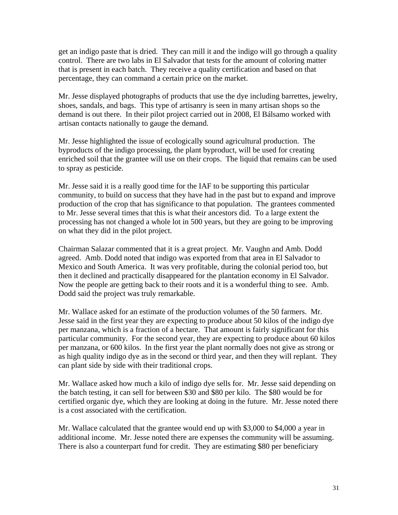get an indigo paste that is dried. They can mill it and the indigo will go through a quality control. There are two labs in El Salvador that tests for the amount of coloring matter that is present in each batch. They receive a quality certification and based on that percentage, they can command a certain price on the market.

Mr. Jesse displayed photographs of products that use the dye including barrettes, jewelry, shoes, sandals, and bags. This type of artisanry is seen in many artisan shops so the demand is out there. In their pilot project carried out in 2008, El Bálsamo worked with artisan contacts nationally to gauge the demand.

Mr. Jesse highlighted the issue of ecologically sound agricultural production. The byproducts of the indigo processing, the plant byproduct, will be used for creating enriched soil that the grantee will use on their crops. The liquid that remains can be used to spray as pesticide.

Mr. Jesse said it is a really good time for the IAF to be supporting this particular community, to build on success that they have had in the past but to expand and improve production of the crop that has significance to that population. The grantees commented to Mr. Jesse several times that this is what their ancestors did. To a large extent the processing has not changed a whole lot in 500 years, but they are going to be improving on what they did in the pilot project.

Chairman Salazar commented that it is a great project. Mr. Vaughn and Amb. Dodd agreed. Amb. Dodd noted that indigo was exported from that area in El Salvador to Mexico and South America. It was very profitable, during the colonial period too, but then it declined and practically disappeared for the plantation economy in El Salvador. Now the people are getting back to their roots and it is a wonderful thing to see. Amb. Dodd said the project was truly remarkable.

Mr. Wallace asked for an estimate of the production volumes of the 50 farmers. Mr. Jesse said in the first year they are expecting to produce about 50 kilos of the indigo dye per manzana, which is a fraction of a hectare. That amount is fairly significant for this particular community. For the second year, they are expecting to produce about 60 kilos per manzana, or 600 kilos. In the first year the plant normally does not give as strong or as high quality indigo dye as in the second or third year, and then they will replant. They can plant side by side with their traditional crops.

Mr. Wallace asked how much a kilo of indigo dye sells for. Mr. Jesse said depending on the batch testing, it can sell for between \$30 and \$80 per kilo. The \$80 would be for certified organic dye, which they are looking at doing in the future. Mr. Jesse noted there is a cost associated with the certification.

Mr. Wallace calculated that the grantee would end up with \$3,000 to \$4,000 a year in additional income. Mr. Jesse noted there are expenses the community will be assuming. There is also a counterpart fund for credit. They are estimating \$80 per beneficiary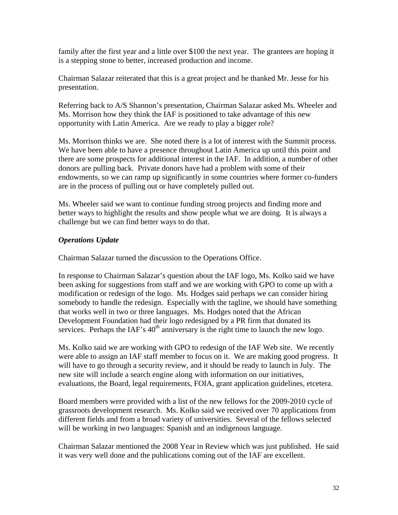family after the first year and a little over \$100 the next year. The grantees are hoping it is a stepping stone to better, increased production and income.

Chairman Salazar reiterated that this is a great project and he thanked Mr. Jesse for his presentation.

Referring back to A/S Shannon's presentation, Chairman Salazar asked Ms. Wheeler and Ms. Morrison how they think the IAF is positioned to take advantage of this new opportunity with Latin America. Are we ready to play a bigger role?

Ms. Morrison thinks we are. She noted there is a lot of interest with the Summit process. We have been able to have a presence throughout Latin America up until this point and there are some prospects for additional interest in the IAF. In addition, a number of other donors are pulling back. Private donors have had a problem with some of their endowments, so we can ramp up significantly in some countries where former co-funders are in the process of pulling out or have completely pulled out.

Ms. Wheeler said we want to continue funding strong projects and finding more and better ways to highlight the results and show people what we are doing. It is always a challenge but we can find better ways to do that.

# *Operations Update*

Chairman Salazar turned the discussion to the Operations Office.

In response to Chairman Salazar's question about the IAF logo, Ms. Kolko said we have been asking for suggestions from staff and we are working with GPO to come up with a modification or redesign of the logo. Ms. Hodges said perhaps we can consider hiring somebody to handle the redesign. Especially with the tagline, we should have something that works well in two or three languages. Ms. Hodges noted that the African Development Foundation had their logo redesigned by a PR firm that donated its services. Perhaps the IAF's  $40<sup>th</sup>$  anniversary is the right time to launch the new logo.

Ms. Kolko said we are working with GPO to redesign of the IAF Web site. We recently were able to assign an IAF staff member to focus on it. We are making good progress. It will have to go through a security review, and it should be ready to launch in July. The new site will include a search engine along with information on our initiatives, evaluations, the Board, legal requirements, FOIA, grant application guidelines, etcetera.

Board members were provided with a list of the new fellows for the 2009-2010 cycle of grassroots development research. Ms. Kolko said we received over 70 applications from different fields and from a broad variety of universities. Several of the fellows selected will be working in two languages: Spanish and an indigenous language.

Chairman Salazar mentioned the 2008 Year in Review which was just published. He said it was very well done and the publications coming out of the IAF are excellent.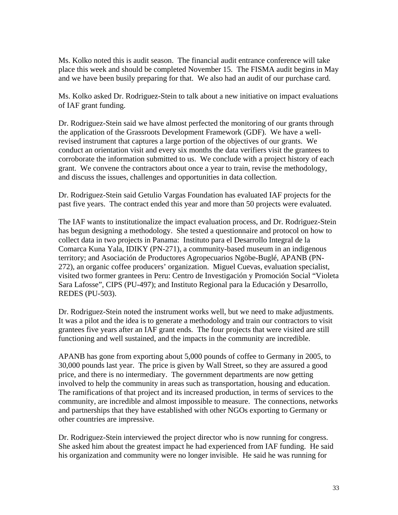Ms. Kolko noted this is audit season. The financial audit entrance conference will take place this week and should be completed November 15. The FISMA audit begins in May and we have been busily preparing for that. We also had an audit of our purchase card.

Ms. Kolko asked Dr. Rodriguez-Stein to talk about a new initiative on impact evaluations of IAF grant funding.

Dr. Rodriguez-Stein said we have almost perfected the monitoring of our grants through the application of the Grassroots Development Framework (GDF). We have a wellrevised instrument that captures a large portion of the objectives of our grants. We conduct an orientation visit and every six months the data verifiers visit the grantees to corroborate the information submitted to us. We conclude with a project history of each grant. We convene the contractors about once a year to train, revise the methodology, and discuss the issues, challenges and opportunities in data collection.

Dr. Rodriguez-Stein said Getulio Vargas Foundation has evaluated IAF projects for the past five years. The contract ended this year and more than 50 projects were evaluated.

The IAF wants to institutionalize the impact evaluation process, and Dr. Rodriguez-Stein has begun designing a methodology. She tested a questionnaire and protocol on how to collect data in two projects in Panama: Instituto para el Desarrollo Integral de la Comarca Kuna Yala, IDIKY (PN-271), a community-based museum in an indigenous territory; and Asociación de Productores Agropecuarios Ngöbe-Buglé, APANB (PN-272), an organic coffee producers' organization. Miguel Cuevas, evaluation specialist, visited two former grantees in Peru: Centro de Investigación y Promoción Social "Violeta Sara Lafosse", CIPS (PU-497); and Instituto Regional para la Educación y Desarrollo, REDES (PU-503).

Dr. Rodriguez-Stein noted the instrument works well, but we need to make adjustments. It was a pilot and the idea is to generate a methodology and train our contractors to visit grantees five years after an IAF grant ends. The four projects that were visited are still functioning and well sustained, and the impacts in the community are incredible.

APANB has gone from exporting about 5,000 pounds of coffee to Germany in 2005, to 30,000 pounds last year. The price is given by Wall Street, so they are assured a good price, and there is no intermediary. The government departments are now getting involved to help the community in areas such as transportation, housing and education. The ramifications of that project and its increased production, in terms of services to the community, are incredible and almost impossible to measure. The connections, networks and partnerships that they have established with other NGOs exporting to Germany or other countries are impressive.

Dr. Rodriguez-Stein interviewed the project director who is now running for congress. She asked him about the greatest impact he had experienced from IAF funding. He said his organization and community were no longer invisible. He said he was running for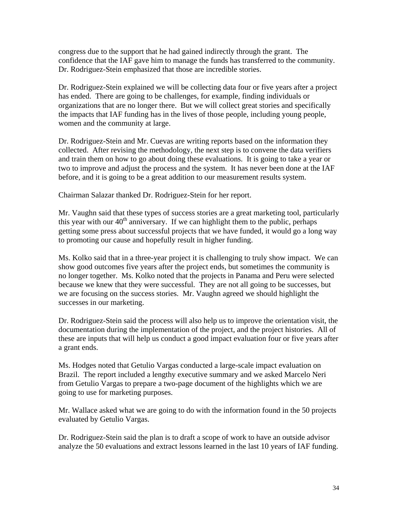congress due to the support that he had gained indirectly through the grant. The confidence that the IAF gave him to manage the funds has transferred to the community. Dr. Rodriguez-Stein emphasized that those are incredible stories.

Dr. Rodriguez-Stein explained we will be collecting data four or five years after a project has ended. There are going to be challenges, for example, finding individuals or organizations that are no longer there. But we will collect great stories and specifically the impacts that IAF funding has in the lives of those people, including young people, women and the community at large.

Dr. Rodriguez-Stein and Mr. Cuevas are writing reports based on the information they collected. After revising the methodology, the next step is to convene the data verifiers and train them on how to go about doing these evaluations. It is going to take a year or two to improve and adjust the process and the system. It has never been done at the IAF before, and it is going to be a great addition to our measurement results system.

Chairman Salazar thanked Dr. Rodriguez-Stein for her report.

Mr. Vaughn said that these types of success stories are a great marketing tool, particularly this year with our  $40<sup>th</sup>$  anniversary. If we can highlight them to the public, perhaps getting some press about successful projects that we have funded, it would go a long way to promoting our cause and hopefully result in higher funding.

Ms. Kolko said that in a three-year project it is challenging to truly show impact. We can show good outcomes five years after the project ends, but sometimes the community is no longer together. Ms. Kolko noted that the projects in Panama and Peru were selected because we knew that they were successful. They are not all going to be successes, but we are focusing on the success stories. Mr. Vaughn agreed we should highlight the successes in our marketing.

Dr. Rodriguez-Stein said the process will also help us to improve the orientation visit, the documentation during the implementation of the project, and the project histories. All of these are inputs that will help us conduct a good impact evaluation four or five years after a grant ends.

Ms. Hodges noted that Getulio Vargas conducted a large-scale impact evaluation on Brazil. The report included a lengthy executive summary and we asked Marcelo Neri from Getulio Vargas to prepare a two-page document of the highlights which we are going to use for marketing purposes.

Mr. Wallace asked what we are going to do with the information found in the 50 projects evaluated by Getulio Vargas.

Dr. Rodriguez-Stein said the plan is to draft a scope of work to have an outside advisor analyze the 50 evaluations and extract lessons learned in the last 10 years of IAF funding.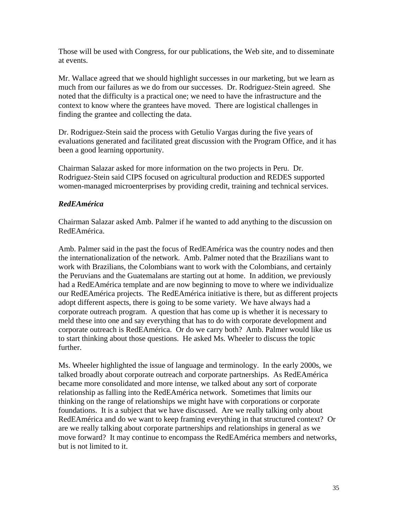Those will be used with Congress, for our publications, the Web site, and to disseminate at events.

Mr. Wallace agreed that we should highlight successes in our marketing, but we learn as much from our failures as we do from our successes. Dr. Rodriguez-Stein agreed. She noted that the difficulty is a practical one; we need to have the infrastructure and the context to know where the grantees have moved. There are logistical challenges in finding the grantee and collecting the data.

Dr. Rodriguez-Stein said the process with Getulio Vargas during the five years of evaluations generated and facilitated great discussion with the Program Office, and it has been a good learning opportunity.

Chairman Salazar asked for more information on the two projects in Peru. Dr. Rodriguez-Stein said CIPS focused on agricultural production and REDES supported women-managed microenterprises by providing credit, training and technical services.

# *RedEAmérica*

Chairman Salazar asked Amb. Palmer if he wanted to add anything to the discussion on RedEAmérica.

Amb. Palmer said in the past the focus of RedEAmérica was the country nodes and then the internationalization of the network. Amb. Palmer noted that the Brazilians want to work with Brazilians, the Colombians want to work with the Colombians, and certainly the Peruvians and the Guatemalans are starting out at home. In addition, we previously had a RedEAmérica template and are now beginning to move to where we individualize our RedEAmérica projects. The RedEAmérica initiative is there, but as different projects adopt different aspects, there is going to be some variety. We have always had a corporate outreach program. A question that has come up is whether it is necessary to meld these into one and say everything that has to do with corporate development and corporate outreach is RedEAmérica. Or do we carry both? Amb. Palmer would like us to start thinking about those questions. He asked Ms. Wheeler to discuss the topic further.

Ms. Wheeler highlighted the issue of language and terminology. In the early 2000s, we talked broadly about corporate outreach and corporate partnerships. As RedEAmérica became more consolidated and more intense, we talked about any sort of corporate relationship as falling into the RedEAmérica network. Sometimes that limits our thinking on the range of relationships we might have with corporations or corporate foundations. It is a subject that we have discussed. Are we really talking only about RedEAmérica and do we want to keep framing everything in that structured context? Or are we really talking about corporate partnerships and relationships in general as we move forward? It may continue to encompass the RedEAmérica members and networks, but is not limited to it.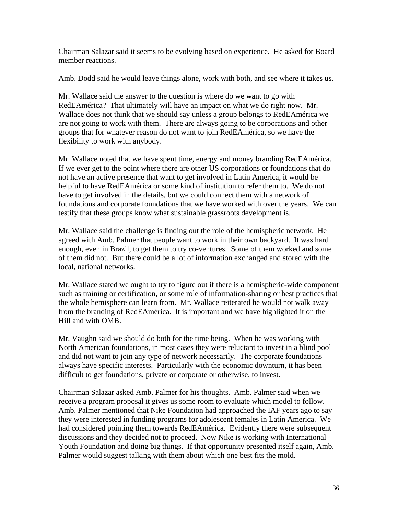Chairman Salazar said it seems to be evolving based on experience. He asked for Board member reactions.

Amb. Dodd said he would leave things alone, work with both, and see where it takes us.

Mr. Wallace said the answer to the question is where do we want to go with RedEAmérica? That ultimately will have an impact on what we do right now. Mr. Wallace does not think that we should say unless a group belongs to RedEAmérica we are not going to work with them. There are always going to be corporations and other groups that for whatever reason do not want to join RedEAmérica, so we have the flexibility to work with anybody.

Mr. Wallace noted that we have spent time, energy and money branding RedEAmérica. If we ever get to the point where there are other US corporations or foundations that do not have an active presence that want to get involved in Latin America, it would be helpful to have RedEAmérica or some kind of institution to refer them to. We do not have to get involved in the details, but we could connect them with a network of foundations and corporate foundations that we have worked with over the years. We can testify that these groups know what sustainable grassroots development is.

Mr. Wallace said the challenge is finding out the role of the hemispheric network. He agreed with Amb. Palmer that people want to work in their own backyard. It was hard enough, even in Brazil, to get them to try co-ventures. Some of them worked and some of them did not. But there could be a lot of information exchanged and stored with the local, national networks.

Mr. Wallace stated we ought to try to figure out if there is a hemispheric-wide component such as training or certification, or some role of information-sharing or best practices that the whole hemisphere can learn from. Mr. Wallace reiterated he would not walk away from the branding of RedEAmérica. It is important and we have highlighted it on the Hill and with OMB.

Mr. Vaughn said we should do both for the time being. When he was working with North American foundations, in most cases they were reluctant to invest in a blind pool and did not want to join any type of network necessarily. The corporate foundations always have specific interests. Particularly with the economic downturn, it has been difficult to get foundations, private or corporate or otherwise, to invest.

Chairman Salazar asked Amb. Palmer for his thoughts. Amb. Palmer said when we receive a program proposal it gives us some room to evaluate which model to follow. Amb. Palmer mentioned that Nike Foundation had approached the IAF years ago to say they were interested in funding programs for adolescent females in Latin America. We had considered pointing them towards RedEAmérica. Evidently there were subsequent discussions and they decided not to proceed. Now Nike is working with International Youth Foundation and doing big things. If that opportunity presented itself again, Amb. Palmer would suggest talking with them about which one best fits the mold.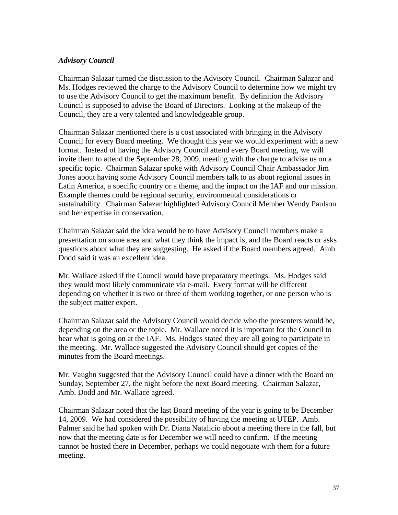### *Advisory Council*

Chairman Salazar turned the discussion to the Advisory Council. Chairman Salazar and Ms. Hodges reviewed the charge to the Advisory Council to determine how we might try to use the Advisory Council to get the maximum benefit. By definition the Advisory Council is supposed to advise the Board of Directors. Looking at the makeup of the Council, they are a very talented and knowledgeable group.

Chairman Salazar mentioned there is a cost associated with bringing in the Advisory Council for every Board meeting. We thought this year we would experiment with a new format. Instead of having the Advisory Council attend every Board meeting, we will invite them to attend the September 28, 2009, meeting with the charge to advise us on a specific topic. Chairman Salazar spoke with Advisory Council Chair Ambassador Jim Jones about having some Advisory Council members talk to us about regional issues in Latin America, a specific country or a theme, and the impact on the IAF and our mission. Example themes could be regional security, environmental considerations or sustainability. Chairman Salazar highlighted Advisory Council Member Wendy Paulson and her expertise in conservation.

Chairman Salazar said the idea would be to have Advisory Council members make a presentation on some area and what they think the impact is, and the Board reacts or asks questions about what they are suggesting. He asked if the Board members agreed. Amb. Dodd said it was an excellent idea.

Mr. Wallace asked if the Council would have preparatory meetings. Ms. Hodges said they would most likely communicate via e-mail. Every format will be different depending on whether it is two or three of them working together, or one person who is the subject matter expert.

Chairman Salazar said the Advisory Council would decide who the presenters would be, depending on the area or the topic. Mr. Wallace noted it is important for the Council to hear what is going on at the IAF. Ms. Hodges stated they are all going to participate in the meeting. Mr. Wallace suggested the Advisory Council should get copies of the minutes from the Board meetings.

Mr. Vaughn suggested that the Advisory Council could have a dinner with the Board on Sunday, September 27, the night before the next Board meeting. Chairman Salazar, Amb. Dodd and Mr. Wallace agreed.

Chairman Salazar noted that the last Board meeting of the year is going to be December 14, 2009. We had considered the possibility of having the meeting at UTEP. Amb. Palmer said he had spoken with Dr. Diana Natalicio about a meeting there in the fall, but now that the meeting date is for December we will need to confirm. If the meeting cannot be hosted there in December, perhaps we could negotiate with them for a future meeting.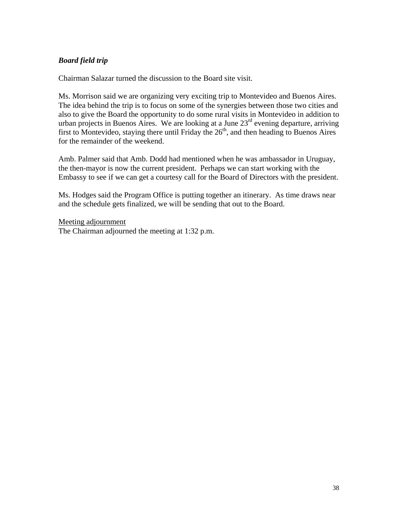# *Board field trip*

Chairman Salazar turned the discussion to the Board site visit.

Ms. Morrison said we are organizing very exciting trip to Montevideo and Buenos Aires. The idea behind the trip is to focus on some of the synergies between those two cities and also to give the Board the opportunity to do some rural visits in Montevideo in addition to urban projects in Buenos Aires. We are looking at a June 23<sup>rd</sup> evening departure, arriving first to Montevideo, staying there until Friday the  $26<sup>th</sup>$ , and then heading to Buenos Aires for the remainder of the weekend.

Amb. Palmer said that Amb. Dodd had mentioned when he was ambassador in Uruguay, the then-mayor is now the current president. Perhaps we can start working with the Embassy to see if we can get a courtesy call for the Board of Directors with the president.

Ms. Hodges said the Program Office is putting together an itinerary. As time draws near and the schedule gets finalized, we will be sending that out to the Board.

Meeting adjournment The Chairman adjourned the meeting at 1:32 p.m.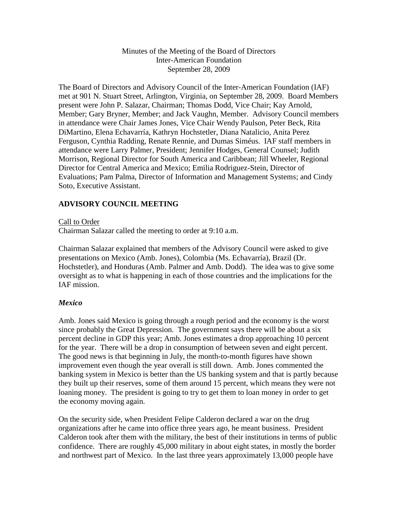### Minutes of the Meeting of the Board of Directors Inter-American Foundation September 28, 2009

The Board of Directors and Advisory Council of the Inter-American Foundation (IAF) met at 901 N. Stuart Street, Arlington, Virginia, on September 28, 2009. Board Members present were John P. Salazar, Chairman; Thomas Dodd, Vice Chair; Kay Arnold, Member; Gary Bryner, Member; and Jack Vaughn, Member. Advisory Council members in attendance were Chair James Jones, Vice Chair Wendy Paulson, Peter Beck, Rita DiMartino, Elena Echavarría, Kathryn Hochstetler, Diana Natalicio, Anita Perez Ferguson, Cynthia Radding, Renate Rennie, and Dumas Siméus. IAF staff members in attendance were Larry Palmer, President; Jennifer Hodges, General Counsel; Judith Morrison, Regional Director for South America and Caribbean; Jill Wheeler, Regional Director for Central America and Mexico; Emilia Rodriguez-Stein, Director of Evaluations; Pam Palma, Director of Information and Management Systems; and Cindy Soto, Executive Assistant.

# **ADVISORY COUNCIL MEETING**

Call to Order

Chairman Salazar called the meeting to order at 9:10 a.m.

Chairman Salazar explained that members of the Advisory Council were asked to give presentations on Mexico (Amb. Jones), Colombia (Ms. Echavarría), Brazil (Dr. Hochstetler), and Honduras (Amb. Palmer and Amb. Dodd). The idea was to give some oversight as to what is happening in each of those countries and the implications for the IAF mission.

#### *Mexico*

Amb. Jones said Mexico is going through a rough period and the economy is the worst since probably the Great Depression. The government says there will be about a six percent decline in GDP this year; Amb. Jones estimates a drop approaching 10 percent for the year. There will be a drop in consumption of between seven and eight percent. The good news is that beginning in July, the month-to-month figures have shown improvement even though the year overall is still down. Amb. Jones commented the banking system in Mexico is better than the US banking system and that is partly because they built up their reserves, some of them around 15 percent, which means they were not loaning money. The president is going to try to get them to loan money in order to get the economy moving again.

On the security side, when President Felipe Calderon declared a war on the drug organizations after he came into office three years ago, he meant business. President Calderon took after them with the military, the best of their institutions in terms of public confidence. There are roughly 45,000 military in about eight states, in mostly the border and northwest part of Mexico. In the last three years approximately 13,000 people have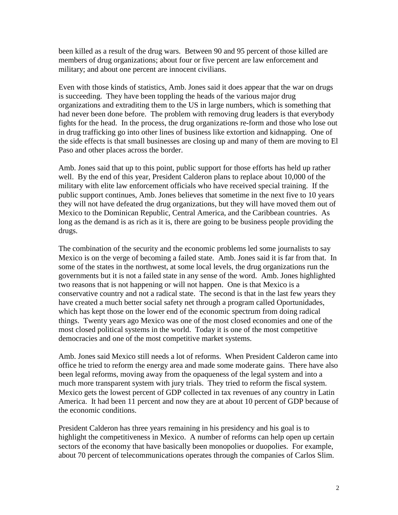been killed as a result of the drug wars. Between 90 and 95 percent of those killed are members of drug organizations; about four or five percent are law enforcement and military; and about one percent are innocent civilians.

Even with those kinds of statistics, Amb. Jones said it does appear that the war on drugs is succeeding. They have been toppling the heads of the various major drug organizations and extraditing them to the US in large numbers, which is something that had never been done before. The problem with removing drug leaders is that everybody fights for the head. In the process, the drug organizations re-form and those who lose out in drug trafficking go into other lines of business like extortion and kidnapping. One of the side effects is that small businesses are closing up and many of them are moving to El Paso and other places across the border.

Amb. Jones said that up to this point, public support for those efforts has held up rather well. By the end of this year, President Calderon plans to replace about 10,000 of the military with elite law enforcement officials who have received special training. If the public support continues, Amb. Jones believes that sometime in the next five to 10 years they will not have defeated the drug organizations, but they will have moved them out of Mexico to the Dominican Republic, Central America, and the Caribbean countries. As long as the demand is as rich as it is, there are going to be business people providing the drugs.

The combination of the security and the economic problems led some journalists to say Mexico is on the verge of becoming a failed state. Amb. Jones said it is far from that. In some of the states in the northwest, at some local levels, the drug organizations run the governments but it is not a failed state in any sense of the word. Amb. Jones highlighted two reasons that is not happening or will not happen. One is that Mexico is a conservative country and not a radical state. The second is that in the last few years they have created a much better social safety net through a program called Oportunidades, which has kept those on the lower end of the economic spectrum from doing radical things. Twenty years ago Mexico was one of the most closed economies and one of the most closed political systems in the world. Today it is one of the most competitive democracies and one of the most competitive market systems.

Amb. Jones said Mexico still needs a lot of reforms. When President Calderon came into office he tried to reform the energy area and made some moderate gains. There have also been legal reforms, moving away from the opaqueness of the legal system and into a much more transparent system with jury trials. They tried to reform the fiscal system. Mexico gets the lowest percent of GDP collected in tax revenues of any country in Latin America. It had been 11 percent and now they are at about 10 percent of GDP because of the economic conditions.

President Calderon has three years remaining in his presidency and his goal is to highlight the competitiveness in Mexico. A number of reforms can help open up certain sectors of the economy that have basically been monopolies or duopolies. For example, about 70 percent of telecommunications operates through the companies of Carlos Slim.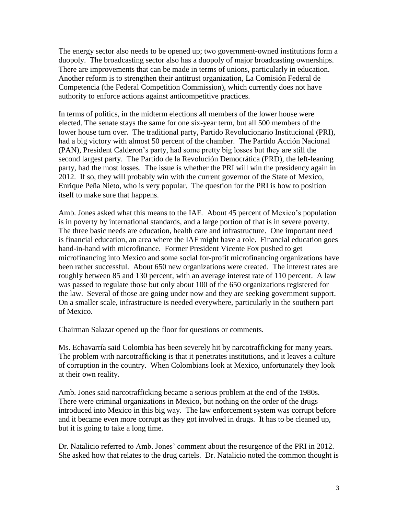The energy sector also needs to be opened up; two government-owned institutions form a duopoly. The broadcasting sector also has a duopoly of major broadcasting ownerships. There are improvements that can be made in terms of unions, particularly in education. Another reform is to strengthen their antitrust organization, La Comisión Federal de Competencia (the Federal Competition Commission), which currently does not have authority to enforce actions against anticompetitive practices.

In terms of politics, in the midterm elections all members of the lower house were elected. The senate stays the same for one six-year term, but all 500 members of the lower house turn over. The traditional party, Partido Revolucionario Institucional (PRI), had a big victory with almost 50 percent of the chamber. The Partido Acción Nacional (PAN), President Calderon's party, had some pretty big losses but they are still the second largest party. The Partido de la Revolución Democrática (PRD), the left-leaning party, had the most losses. The issue is whether the PRI will win the presidency again in 2012. If so, they will probably win with the current governor of the State of Mexico, Enrique Peña Nieto, who is very popular. The question for the PRI is how to position itself to make sure that happens.

Amb. Jones asked what this means to the IAF. About 45 percent of Mexico's population is in poverty by international standards, and a large portion of that is in severe poverty. The three basic needs are education, health care and infrastructure. One important need is financial education, an area where the IAF might have a role. Financial education goes hand-in-hand with microfinance. Former President Vicente Fox pushed to get microfinancing into Mexico and some social for-profit microfinancing organizations have been rather successful. About 650 new organizations were created. The interest rates are roughly between 85 and 130 percent, with an average interest rate of 110 percent. A law was passed to regulate those but only about 100 of the 650 organizations registered for the law. Several of those are going under now and they are seeking government support. On a smaller scale, infrastructure is needed everywhere, particularly in the southern part of Mexico.

Chairman Salazar opened up the floor for questions or comments.

Ms. Echavarría said Colombia has been severely hit by narcotrafficking for many years. The problem with narcotrafficking is that it penetrates institutions, and it leaves a culture of corruption in the country. When Colombians look at Mexico, unfortunately they look at their own reality.

Amb. Jones said narcotrafficking became a serious problem at the end of the 1980s. There were criminal organizations in Mexico, but nothing on the order of the drugs introduced into Mexico in this big way. The law enforcement system was corrupt before and it became even more corrupt as they got involved in drugs. It has to be cleaned up, but it is going to take a long time.

Dr. Natalicio referred to Amb. Jones' comment about the resurgence of the PRI in 2012. She asked how that relates to the drug cartels. Dr. Natalicio noted the common thought is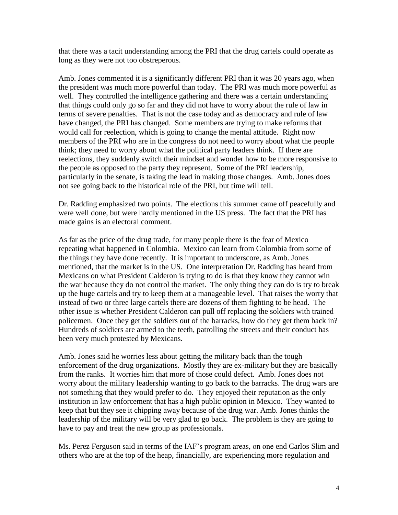that there was a tacit understanding among the PRI that the drug cartels could operate as long as they were not too obstreperous.

Amb. Jones commented it is a significantly different PRI than it was 20 years ago, when the president was much more powerful than today. The PRI was much more powerful as well. They controlled the intelligence gathering and there was a certain understanding that things could only go so far and they did not have to worry about the rule of law in terms of severe penalties. That is not the case today and as democracy and rule of law have changed, the PRI has changed. Some members are trying to make reforms that would call for reelection, which is going to change the mental attitude. Right now members of the PRI who are in the congress do not need to worry about what the people think; they need to worry about what the political party leaders think. If there are reelections, they suddenly switch their mindset and wonder how to be more responsive to the people as opposed to the party they represent. Some of the PRI leadership, particularly in the senate, is taking the lead in making those changes. Amb. Jones does not see going back to the historical role of the PRI, but time will tell.

Dr. Radding emphasized two points. The elections this summer came off peacefully and were well done, but were hardly mentioned in the US press. The fact that the PRI has made gains is an electoral comment.

As far as the price of the drug trade, for many people there is the fear of Mexico repeating what happened in Colombia. Mexico can learn from Colombia from some of the things they have done recently. It is important to underscore, as Amb. Jones mentioned, that the market is in the US. One interpretation Dr. Radding has heard from Mexicans on what President Calderon is trying to do is that they know they cannot win the war because they do not control the market. The only thing they can do is try to break up the huge cartels and try to keep them at a manageable level. That raises the worry that instead of two or three large cartels there are dozens of them fighting to be head. The other issue is whether President Calderon can pull off replacing the soldiers with trained policemen. Once they get the soldiers out of the barracks, how do they get them back in? Hundreds of soldiers are armed to the teeth, patrolling the streets and their conduct has been very much protested by Mexicans.

Amb. Jones said he worries less about getting the military back than the tough enforcement of the drug organizations. Mostly they are ex-military but they are basically from the ranks. It worries him that more of those could defect. Amb. Jones does not worry about the military leadership wanting to go back to the barracks. The drug wars are not something that they would prefer to do. They enjoyed their reputation as the only institution in law enforcement that has a high public opinion in Mexico. They wanted to keep that but they see it chipping away because of the drug war. Amb. Jones thinks the leadership of the military will be very glad to go back. The problem is they are going to have to pay and treat the new group as professionals.

Ms. Perez Ferguson said in terms of the IAF's program areas, on one end Carlos Slim and others who are at the top of the heap, financially, are experiencing more regulation and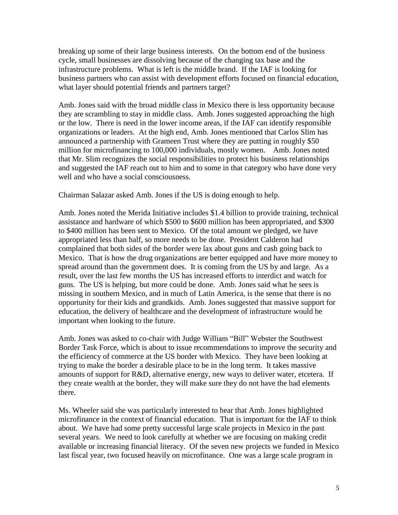breaking up some of their large business interests. On the bottom end of the business cycle, small businesses are dissolving because of the changing tax base and the infrastructure problems. What is left is the middle brand. If the IAF is looking for business partners who can assist with development efforts focused on financial education, what layer should potential friends and partners target?

Amb. Jones said with the broad middle class in Mexico there is less opportunity because they are scrambling to stay in middle class. Amb. Jones suggested approaching the high or the low. There is need in the lower income areas, if the IAF can identify responsible organizations or leaders. At the high end, Amb. Jones mentioned that Carlos Slim has announced a partnership with Grameen Trust where they are putting in roughly \$50 million for microfinancing to 100,000 individuals, mostly women. Amb. Jones noted that Mr. Slim recognizes the social responsibilities to protect his business relationships and suggested the IAF reach out to him and to some in that category who have done very well and who have a social consciousness.

Chairman Salazar asked Amb. Jones if the US is doing enough to help.

Amb. Jones noted the Merida Initiative includes \$1.4 billion to provide training, technical assistance and hardware of which \$500 to \$600 million has been appropriated, and \$300 to \$400 million has been sent to Mexico. Of the total amount we pledged, we have appropriated less than half, so more needs to be done. President Calderon had complained that both sides of the border were lax about guns and cash going back to Mexico. That is how the drug organizations are better equipped and have more money to spread around than the government does. It is coming from the US by and large. As a result, over the last few months the US has increased efforts to interdict and watch for guns. The US is helping, but more could be done. Amb. Jones said what he sees is missing in southern Mexico, and in much of Latin America, is the sense that there is no opportunity for their kids and grandkids. Amb. Jones suggested that massive support for education, the delivery of healthcare and the development of infrastructure would be important when looking to the future.

Amb. Jones was asked to co-chair with Judge William "Bill" Webster the Southwest Border Task Force, which is about to issue recommendations to improve the security and the efficiency of commerce at the US border with Mexico. They have been looking at trying to make the border a desirable place to be in the long term. It takes massive amounts of support for R&D, alternative energy, new ways to deliver water, etcetera. If they create wealth at the border, they will make sure they do not have the bad elements there.

Ms. Wheeler said she was particularly interested to hear that Amb. Jones highlighted microfinance in the context of financial education. That is important for the IAF to think about. We have had some pretty successful large scale projects in Mexico in the past several years. We need to look carefully at whether we are focusing on making credit available or increasing financial literacy. Of the seven new projects we funded in Mexico last fiscal year, two focused heavily on microfinance. One was a large scale program in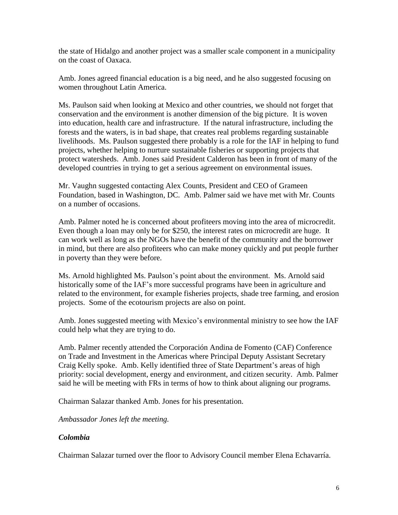the state of Hidalgo and another project was a smaller scale component in a municipality on the coast of Oaxaca.

Amb. Jones agreed financial education is a big need, and he also suggested focusing on women throughout Latin America.

Ms. Paulson said when looking at Mexico and other countries, we should not forget that conservation and the environment is another dimension of the big picture. It is woven into education, health care and infrastructure. If the natural infrastructure, including the forests and the waters, is in bad shape, that creates real problems regarding sustainable livelihoods. Ms. Paulson suggested there probably is a role for the IAF in helping to fund projects, whether helping to nurture sustainable fisheries or supporting projects that protect watersheds. Amb. Jones said President Calderon has been in front of many of the developed countries in trying to get a serious agreement on environmental issues.

Mr. Vaughn suggested contacting Alex Counts, President and CEO of Grameen Foundation, based in Washington, DC. Amb. Palmer said we have met with Mr. Counts on a number of occasions.

Amb. Palmer noted he is concerned about profiteers moving into the area of microcredit. Even though a loan may only be for \$250, the interest rates on microcredit are huge. It can work well as long as the NGOs have the benefit of the community and the borrower in mind, but there are also profiteers who can make money quickly and put people further in poverty than they were before.

Ms. Arnold highlighted Ms. Paulson's point about the environment. Ms. Arnold said historically some of the IAF's more successful programs have been in agriculture and related to the environment, for example fisheries projects, shade tree farming, and erosion projects. Some of the ecotourism projects are also on point.

Amb. Jones suggested meeting with Mexico's environmental ministry to see how the IAF could help what they are trying to do.

Amb. Palmer recently attended the Corporación Andina de Fomento (CAF) Conference on Trade and Investment in the Americas where Principal Deputy Assistant Secretary Craig Kelly spoke. Amb. Kelly identified three of State Department's areas of high priority: social development, energy and environment, and citizen security. Amb. Palmer said he will be meeting with FRs in terms of how to think about aligning our programs.

Chairman Salazar thanked Amb. Jones for his presentation.

*Ambassador Jones left the meeting.*

# *Colombia*

Chairman Salazar turned over the floor to Advisory Council member Elena Echavarría.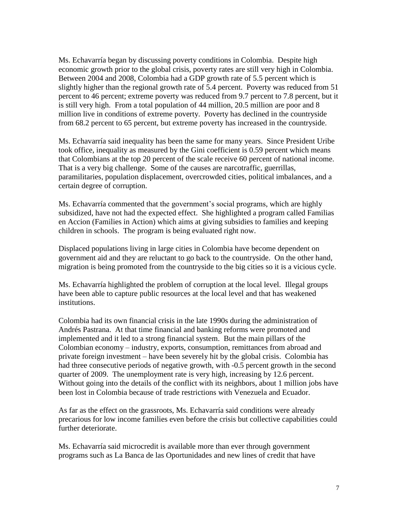Ms. Echavarría began by discussing poverty conditions in Colombia. Despite high economic growth prior to the global crisis, poverty rates are still very high in Colombia. Between 2004 and 2008, Colombia had a GDP growth rate of 5.5 percent which is slightly higher than the regional growth rate of 5.4 percent. Poverty was reduced from 51 percent to 46 percent; extreme poverty was reduced from 9.7 percent to 7.8 percent, but it is still very high. From a total population of 44 million, 20.5 million are poor and 8 million live in conditions of extreme poverty. Poverty has declined in the countryside from 68.2 percent to 65 percent, but extreme poverty has increased in the countryside.

Ms. Echavarría said inequality has been the same for many years. Since President Uribe took office, inequality as measured by the Gini coefficient is 0.59 percent which means that Colombians at the top 20 percent of the scale receive 60 percent of national income. That is a very big challenge. Some of the causes are narcotraffic, guerrillas, paramilitaries, population displacement, overcrowded cities, political imbalances, and a certain degree of corruption.

Ms. Echavarría commented that the government's social programs, which are highly subsidized, have not had the expected effect. She highlighted a program called Familias en Accion (Families in Action) which aims at giving subsidies to families and keeping children in schools. The program is being evaluated right now.

Displaced populations living in large cities in Colombia have become dependent on government aid and they are reluctant to go back to the countryside. On the other hand, migration is being promoted from the countryside to the big cities so it is a vicious cycle.

Ms. Echavarría highlighted the problem of corruption at the local level. Illegal groups have been able to capture public resources at the local level and that has weakened institutions.

Colombia had its own financial crisis in the late 1990s during the administration of Andrés Pastrana. At that time financial and banking reforms were promoted and implemented and it led to a strong financial system. But the main pillars of the Colombian economy – industry, exports, consumption, remittances from abroad and private foreign investment – have been severely hit by the global crisis. Colombia has had three consecutive periods of negative growth, with -0.5 percent growth in the second quarter of 2009. The unemployment rate is very high, increasing by 12.6 percent. Without going into the details of the conflict with its neighbors, about 1 million jobs have been lost in Colombia because of trade restrictions with Venezuela and Ecuador.

As far as the effect on the grassroots, Ms. Echavarría said conditions were already precarious for low income families even before the crisis but collective capabilities could further deteriorate.

Ms. Echavarría said microcredit is available more than ever through government programs such as La Banca de las Oportunidades and new lines of credit that have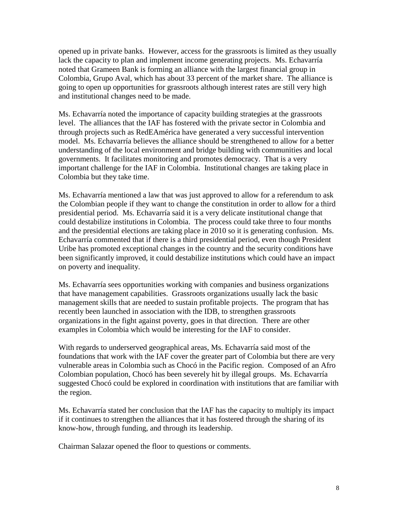opened up in private banks. However, access for the grassroots is limited as they usually lack the capacity to plan and implement income generating projects. Ms. Echavarría noted that Grameen Bank is forming an alliance with the largest financial group in Colombia, Grupo Aval, which has about 33 percent of the market share. The alliance is going to open up opportunities for grassroots although interest rates are still very high and institutional changes need to be made.

Ms. Echavarría noted the importance of capacity building strategies at the grassroots level. The alliances that the IAF has fostered with the private sector in Colombia and through projects such as RedEAmérica have generated a very successful intervention model. Ms. Echavarría believes the alliance should be strengthened to allow for a better understanding of the local environment and bridge building with communities and local governments. It facilitates monitoring and promotes democracy. That is a very important challenge for the IAF in Colombia. Institutional changes are taking place in Colombia but they take time.

Ms. Echavarría mentioned a law that was just approved to allow for a referendum to ask the Colombian people if they want to change the constitution in order to allow for a third presidential period. Ms. Echavarría said it is a very delicate institutional change that could destabilize institutions in Colombia. The process could take three to four months and the presidential elections are taking place in 2010 so it is generating confusion. Ms. Echavarría commented that if there is a third presidential period, even though President Uribe has promoted exceptional changes in the country and the security conditions have been significantly improved, it could destabilize institutions which could have an impact on poverty and inequality.

Ms. Echavarría sees opportunities working with companies and business organizations that have management capabilities. Grassroots organizations usually lack the basic management skills that are needed to sustain profitable projects. The program that has recently been launched in association with the IDB, to strengthen grassroots organizations in the fight against poverty, goes in that direction. There are other examples in Colombia which would be interesting for the IAF to consider.

With regards to underserved geographical areas, Ms. Echavarría said most of the foundations that work with the IAF cover the greater part of Colombia but there are very vulnerable areas in Colombia such as Chocó in the Pacific region. Composed of an Afro Colombian population, Chocó has been severely hit by illegal groups. Ms. Echavarría suggested Chocó could be explored in coordination with institutions that are familiar with the region.

Ms. Echavarría stated her conclusion that the IAF has the capacity to multiply its impact if it continues to strengthen the alliances that it has fostered through the sharing of its know-how, through funding, and through its leadership.

Chairman Salazar opened the floor to questions or comments.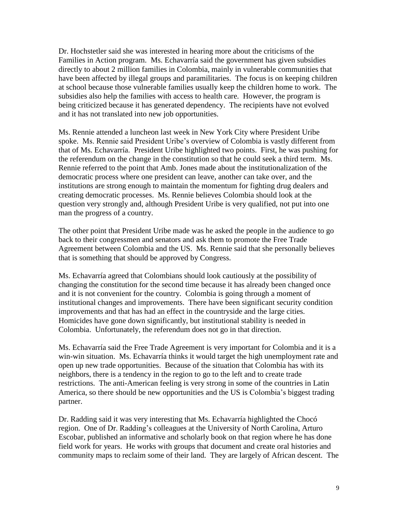Dr. Hochstetler said she was interested in hearing more about the criticisms of the Families in Action program. Ms. Echavarría said the government has given subsidies directly to about 2 million families in Colombia, mainly in vulnerable communities that have been affected by illegal groups and paramilitaries. The focus is on keeping children at school because those vulnerable families usually keep the children home to work. The subsidies also help the families with access to health care. However, the program is being criticized because it has generated dependency. The recipients have not evolved and it has not translated into new job opportunities.

Ms. Rennie attended a luncheon last week in New York City where President Uribe spoke. Ms. Rennie said President Uribe's overview of Colombia is vastly different from that of Ms. Echavarría. President Uribe highlighted two points. First, he was pushing for the referendum on the change in the constitution so that he could seek a third term. Ms. Rennie referred to the point that Amb. Jones made about the institutionalization of the democratic process where one president can leave, another can take over, and the institutions are strong enough to maintain the momentum for fighting drug dealers and creating democratic processes. Ms. Rennie believes Colombia should look at the question very strongly and, although President Uribe is very qualified, not put into one man the progress of a country.

The other point that President Uribe made was he asked the people in the audience to go back to their congressmen and senators and ask them to promote the Free Trade Agreement between Colombia and the US. Ms. Rennie said that she personally believes that is something that should be approved by Congress.

Ms. Echavarría agreed that Colombians should look cautiously at the possibility of changing the constitution for the second time because it has already been changed once and it is not convenient for the country. Colombia is going through a moment of institutional changes and improvements. There have been significant security condition improvements and that has had an effect in the countryside and the large cities. Homicides have gone down significantly, but institutional stability is needed in Colombia. Unfortunately, the referendum does not go in that direction.

Ms. Echavarría said the Free Trade Agreement is very important for Colombia and it is a win-win situation. Ms. Echavarría thinks it would target the high unemployment rate and open up new trade opportunities. Because of the situation that Colombia has with its neighbors, there is a tendency in the region to go to the left and to create trade restrictions. The anti-American feeling is very strong in some of the countries in Latin America, so there should be new opportunities and the US is Colombia's biggest trading partner.

Dr. Radding said it was very interesting that Ms. Echavarría highlighted the Chocó region. One of Dr. Radding's colleagues at the University of North Carolina, Arturo Escobar, published an informative and scholarly book on that region where he has done field work for years. He works with groups that document and create oral histories and community maps to reclaim some of their land. They are largely of African descent. The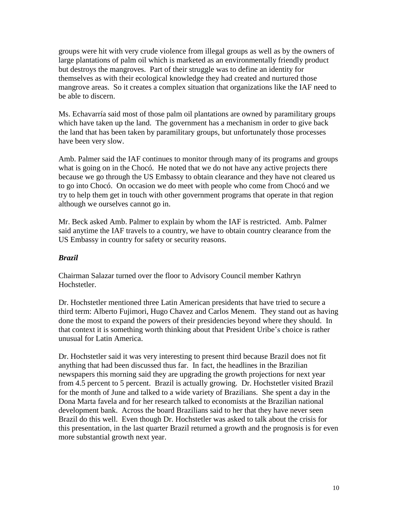groups were hit with very crude violence from illegal groups as well as by the owners of large plantations of palm oil which is marketed as an environmentally friendly product but destroys the mangroves. Part of their struggle was to define an identity for themselves as with their ecological knowledge they had created and nurtured those mangrove areas. So it creates a complex situation that organizations like the IAF need to be able to discern.

Ms. Echavarría said most of those palm oil plantations are owned by paramilitary groups which have taken up the land. The government has a mechanism in order to give back the land that has been taken by paramilitary groups, but unfortunately those processes have been very slow.

Amb. Palmer said the IAF continues to monitor through many of its programs and groups what is going on in the Chocó. He noted that we do not have any active projects there because we go through the US Embassy to obtain clearance and they have not cleared us to go into Chocó. On occasion we do meet with people who come from Chocó and we try to help them get in touch with other government programs that operate in that region although we ourselves cannot go in.

Mr. Beck asked Amb. Palmer to explain by whom the IAF is restricted. Amb. Palmer said anytime the IAF travels to a country, we have to obtain country clearance from the US Embassy in country for safety or security reasons.

# *Brazil*

Chairman Salazar turned over the floor to Advisory Council member Kathryn Hochstetler.

Dr. Hochstetler mentioned three Latin American presidents that have tried to secure a third term: Alberto Fujimori, Hugo Chavez and Carlos Menem. They stand out as having done the most to expand the powers of their presidencies beyond where they should. In that context it is something worth thinking about that President Uribe's choice is rather unusual for Latin America.

Dr. Hochstetler said it was very interesting to present third because Brazil does not fit anything that had been discussed thus far. In fact, the headlines in the Brazilian newspapers this morning said they are upgrading the growth projections for next year from 4.5 percent to 5 percent. Brazil is actually growing. Dr. Hochstetler visited Brazil for the month of June and talked to a wide variety of Brazilians. She spent a day in the Dona Marta favela and for her research talked to economists at the Brazilian national development bank. Across the board Brazilians said to her that they have never seen Brazil do this well. Even though Dr. Hochstetler was asked to talk about the crisis for this presentation, in the last quarter Brazil returned a growth and the prognosis is for even more substantial growth next year.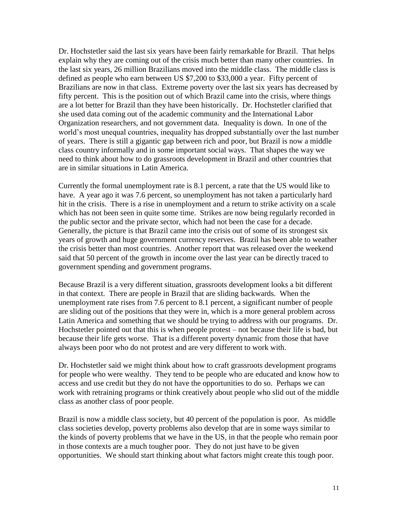Dr. Hochstetler said the last six years have been fairly remarkable for Brazil. That helps explain why they are coming out of the crisis much better than many other countries. In the last six years, 26 million Brazilians moved into the middle class. The middle class is defined as people who earn between US \$7,200 to \$33,000 a year. Fifty percent of Brazilians are now in that class. Extreme poverty over the last six years has decreased by fifty percent. This is the position out of which Brazil came into the crisis, where things are a lot better for Brazil than they have been historically. Dr. Hochstetler clarified that she used data coming out of the academic community and the International Labor Organization researchers, and not government data. Inequality is down. In one of the world's most unequal countries, inequality has dropped substantially over the last number of years. There is still a gigantic gap between rich and poor, but Brazil is now a middle class country informally and in some important social ways. That shapes the way we need to think about how to do grassroots development in Brazil and other countries that are in similar situations in Latin America.

Currently the formal unemployment rate is 8.1 percent, a rate that the US would like to have. A year ago it was 7.6 percent, so unemployment has not taken a particularly hard hit in the crisis. There is a rise in unemployment and a return to strike activity on a scale which has not been seen in quite some time. Strikes are now being regularly recorded in the public sector and the private sector, which had not been the case for a decade. Generally, the picture is that Brazil came into the crisis out of some of its strongest six years of growth and huge government currency reserves. Brazil has been able to weather the crisis better than most countries. Another report that was released over the weekend said that 50 percent of the growth in income over the last year can be directly traced to government spending and government programs.

Because Brazil is a very different situation, grassroots development looks a bit different in that context. There are people in Brazil that are sliding backwards. When the unemployment rate rises from 7.6 percent to 8.1 percent, a significant number of people are sliding out of the positions that they were in, which is a more general problem across Latin America and something that we should be trying to address with our programs. Dr. Hochstetler pointed out that this is when people protest – not because their life is bad, but because their life gets worse. That is a different poverty dynamic from those that have always been poor who do not protest and are very different to work with.

Dr. Hochstetler said we might think about how to craft grassroots development programs for people who were wealthy. They tend to be people who are educated and know how to access and use credit but they do not have the opportunities to do so. Perhaps we can work with retraining programs or think creatively about people who slid out of the middle class as another class of poor people.

Brazil is now a middle class society, but 40 percent of the population is poor. As middle class societies develop, poverty problems also develop that are in some ways similar to the kinds of poverty problems that we have in the US, in that the people who remain poor in those contexts are a much tougher poor. They do not just have to be given opportunities. We should start thinking about what factors might create this tough poor.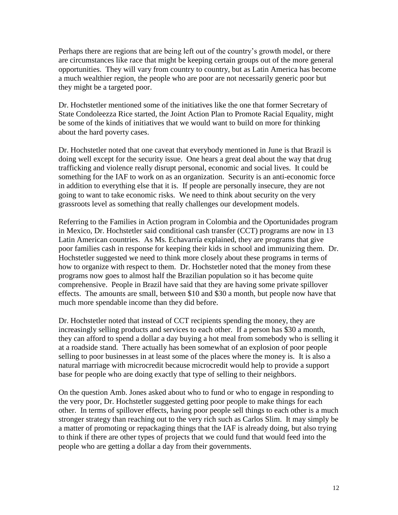Perhaps there are regions that are being left out of the country's growth model, or there are circumstances like race that might be keeping certain groups out of the more general opportunities. They will vary from country to country, but as Latin America has become a much wealthier region, the people who are poor are not necessarily generic poor but they might be a targeted poor.

Dr. Hochstetler mentioned some of the initiatives like the one that former Secretary of State Condoleezza Rice started, the Joint Action Plan to Promote Racial Equality, might be some of the kinds of initiatives that we would want to build on more for thinking about the hard poverty cases.

Dr. Hochstetler noted that one caveat that everybody mentioned in June is that Brazil is doing well except for the security issue. One hears a great deal about the way that drug trafficking and violence really disrupt personal, economic and social lives. It could be something for the IAF to work on as an organization. Security is an anti-economic force in addition to everything else that it is. If people are personally insecure, they are not going to want to take economic risks. We need to think about security on the very grassroots level as something that really challenges our development models.

Referring to the Families in Action program in Colombia and the Oportunidades program in Mexico, Dr. Hochstetler said conditional cash transfer (CCT) programs are now in 13 Latin American countries. As Ms. Echavarría explained, they are programs that give poor families cash in response for keeping their kids in school and immunizing them. Dr. Hochstetler suggested we need to think more closely about these programs in terms of how to organize with respect to them. Dr. Hochstetler noted that the money from these programs now goes to almost half the Brazilian population so it has become quite comprehensive. People in Brazil have said that they are having some private spillover effects. The amounts are small, between \$10 and \$30 a month, but people now have that much more spendable income than they did before.

Dr. Hochstetler noted that instead of CCT recipients spending the money, they are increasingly selling products and services to each other. If a person has \$30 a month, they can afford to spend a dollar a day buying a hot meal from somebody who is selling it at a roadside stand. There actually has been somewhat of an explosion of poor people selling to poor businesses in at least some of the places where the money is. It is also a natural marriage with microcredit because microcredit would help to provide a support base for people who are doing exactly that type of selling to their neighbors.

On the question Amb. Jones asked about who to fund or who to engage in responding to the very poor, Dr. Hochstetler suggested getting poor people to make things for each other. In terms of spillover effects, having poor people sell things to each other is a much stronger strategy than reaching out to the very rich such as Carlos Slim. It may simply be a matter of promoting or repackaging things that the IAF is already doing, but also trying to think if there are other types of projects that we could fund that would feed into the people who are getting a dollar a day from their governments.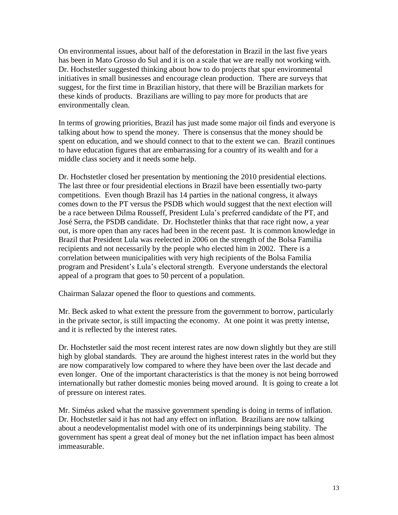On environmental issues, about half of the deforestation in Brazil in the last five years has been in Mato Grosso do Sul and it is on a scale that we are really not working with. Dr. Hochstetler suggested thinking about how to do projects that spur environmental initiatives in small businesses and encourage clean production. There are surveys that suggest, for the first time in Brazilian history, that there will be Brazilian markets for these kinds of products. Brazilians are willing to pay more for products that are environmentally clean.

In terms of growing priorities, Brazil has just made some major oil finds and everyone is talking about how to spend the money. There is consensus that the money should be spent on education, and we should connect to that to the extent we can. Brazil continues to have education figures that are embarrassing for a country of its wealth and for a middle class society and it needs some help.

Dr. Hochstetler closed her presentation by mentioning the 2010 presidential elections. The last three or four presidential elections in Brazil have been essentially two-party competitions. Even though Brazil has 14 parties in the national congress, it always comes down to the PT versus the PSDB which would suggest that the next election will be a race between Dilma Rousseff, President Lula's preferred candidate of the PT, and José Serra, the PSDB candidate. Dr. Hochstetler thinks that that race right now, a year out, is more open than any races had been in the recent past. It is common knowledge in Brazil that President Lula was reelected in 2006 on the strength of the Bolsa Familia recipients and not necessarily by the people who elected him in 2002. There is a correlation between municipalities with very high recipients of the Bolsa Familia program and President's Lula's electoral strength. Everyone understands the electoral appeal of a program that goes to 50 percent of a population.

Chairman Salazar opened the floor to questions and comments.

Mr. Beck asked to what extent the pressure from the government to borrow, particularly in the private sector, is still impacting the economy. At one point it was pretty intense, and it is reflected by the interest rates.

Dr. Hochstetler said the most recent interest rates are now down slightly but they are still high by global standards. They are around the highest interest rates in the world but they are now comparatively low compared to where they have been over the last decade and even longer. One of the important characteristics is that the money is not being borrowed internationally but rather domestic monies being moved around. It is going to create a lot of pressure on interest rates.

Mr. Siméus asked what the massive government spending is doing in terms of inflation. Dr. Hochstetler said it has not had any effect on inflation. Brazilians are now talking about a neodevelopmentalist model with one of its underpinnings being stability. The government has spent a great deal of money but the net inflation impact has been almost immeasurable.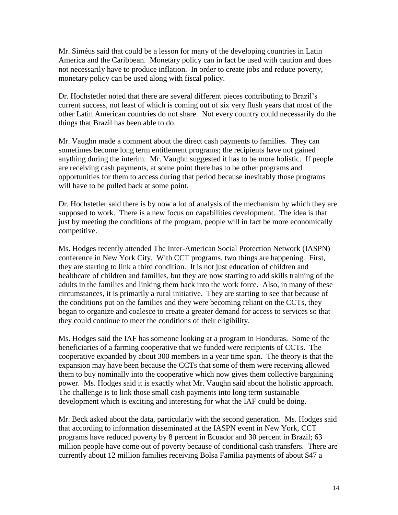Mr. Siméus said that could be a lesson for many of the developing countries in Latin America and the Caribbean. Monetary policy can in fact be used with caution and does not necessarily have to produce inflation. In order to create jobs and reduce poverty, monetary policy can be used along with fiscal policy.

Dr. Hochstetler noted that there are several different pieces contributing to Brazil's current success, not least of which is coming out of six very flush years that most of the other Latin American countries do not share. Not every country could necessarily do the things that Brazil has been able to do.

Mr. Vaughn made a comment about the direct cash payments to families. They can sometimes become long term entitlement programs; the recipients have not gained anything during the interim. Mr. Vaughn suggested it has to be more holistic. If people are receiving cash payments, at some point there has to be other programs and opportunities for them to access during that period because inevitably those programs will have to be pulled back at some point.

Dr. Hochstetler said there is by now a lot of analysis of the mechanism by which they are supposed to work. There is a new focus on capabilities development. The idea is that just by meeting the conditions of the program, people will in fact be more economically competitive.

Ms. Hodges recently attended The Inter-American Social Protection Network (IASPN) conference in New York City. With CCT programs, two things are happening. First, they are starting to link a third condition. It is not just education of children and healthcare of children and families, but they are now starting to add skills training of the adults in the families and linking them back into the work force. Also, in many of these circumstances, it is primarily a rural initiative. They are starting to see that because of the conditions put on the families and they were becoming reliant on the CCTs, they began to organize and coalesce to create a greater demand for access to services so that they could continue to meet the conditions of their eligibility.

Ms. Hodges said the IAF has someone looking at a program in Honduras. Some of the beneficiaries of a farming cooperative that we funded were recipients of CCTs. The cooperative expanded by about 300 members in a year time span. The theory is that the expansion may have been because the CCTs that some of them were receiving allowed them to buy nominally into the cooperative which now gives them collective bargaining power. Ms. Hodges said it is exactly what Mr. Vaughn said about the holistic approach. The challenge is to link those small cash payments into long term sustainable development which is exciting and interesting for what the IAF could be doing.

Mr. Beck asked about the data, particularly with the second generation. Ms. Hodges said that according to information disseminated at the IASPN event in New York, CCT programs have reduced poverty by 8 percent in Ecuador and 30 percent in Brazil; 63 million people have come out of poverty because of conditional cash transfers. There are currently about 12 million families receiving Bolsa Familia payments of about \$47 a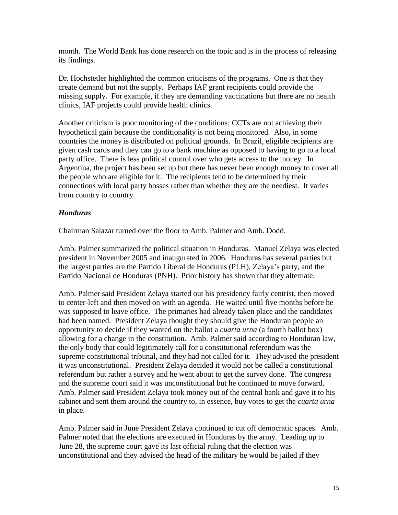month. The World Bank has done research on the topic and is in the process of releasing its findings.

Dr. Hochstetler highlighted the common criticisms of the programs. One is that they create demand but not the supply. Perhaps IAF grant recipients could provide the missing supply. For example, if they are demanding vaccinations but there are no health clinics, IAF projects could provide health clinics.

Another criticism is poor monitoring of the conditions; CCTs are not achieving their hypothetical gain because the conditionality is not being monitored. Also, in some countries the money is distributed on political grounds. In Brazil, eligible recipients are given cash cards and they can go to a bank machine as opposed to having to go to a local party office. There is less political control over who gets access to the money. In Argentina, the project has been set up but there has never been enough money to cover all the people who are eligible for it. The recipients tend to be determined by their connections with local party bosses rather than whether they are the neediest. It varies from country to country.

# *Honduras*

Chairman Salazar turned over the floor to Amb. Palmer and Amb. Dodd.

Amb. Palmer summarized the political situation in Honduras. Manuel Zelaya was elected president in November 2005 and inaugurated in 2006. Honduras has several parties but the largest parties are the Partido Liberal de Honduras (PLH), Zelaya's party, and the Partido Nacional de Honduras (PNH). Prior history has shown that they alternate.

Amb. Palmer said President Zelaya started out his presidency fairly centrist, then moved to center-left and then moved on with an agenda. He waited until five months before he was supposed to leave office. The primaries had already taken place and the candidates had been named. President Zelaya thought they should give the Honduran people an opportunity to decide if they wanted on the ballot a *cuarta urna* (a fourth ballot box) allowing for a change in the constitution. Amb. Palmer said according to Honduran law, the only body that could legitimately call for a constitutional referendum was the supreme constitutional tribunal, and they had not called for it. They advised the president it was unconstitutional. President Zelaya decided it would not be called a constitutional referendum but rather a survey and he went about to get the survey done. The congress and the supreme court said it was unconstitutional but he continued to move forward. Amb. Palmer said President Zelaya took money out of the central bank and gave it to his cabinet and sent them around the country to, in essence, buy votes to get the *cuarta urna* in place.

Amb. Palmer said in June President Zelaya continued to cut off democratic spaces. Amb. Palmer noted that the elections are executed in Honduras by the army. Leading up to June 28, the supreme court gave its last official ruling that the election was unconstitutional and they advised the head of the military he would be jailed if they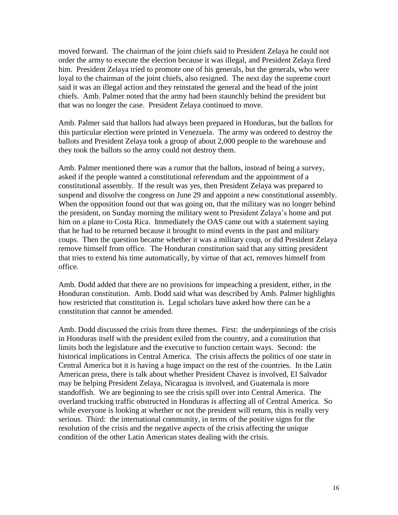moved forward. The chairman of the joint chiefs said to President Zelaya he could not order the army to execute the election because it was illegal, and President Zelaya fired him. President Zelaya tried to promote one of his generals, but the generals, who were loyal to the chairman of the joint chiefs, also resigned. The next day the supreme court said it was an illegal action and they reinstated the general and the head of the joint chiefs. Amb. Palmer noted that the army had been staunchly behind the president but that was no longer the case. President Zelaya continued to move.

Amb. Palmer said that ballots had always been prepared in Honduras, but the ballots for this particular election were printed in Venezuela. The army was ordered to destroy the ballots and President Zelaya took a group of about 2,000 people to the warehouse and they took the ballots so the army could not destroy them.

Amb. Palmer mentioned there was a rumor that the ballots, instead of being a survey, asked if the people wanted a constitutional referendum and the appointment of a constitutional assembly. If the result was yes, then President Zelaya was prepared to suspend and dissolve the congress on June 29 and appoint a new constitutional assembly. When the opposition found out that was going on, that the military was no longer behind the president, on Sunday morning the military went to President Zelaya's home and put him on a plane to Costa Rica. Immediately the OAS came out with a statement saying that he had to be returned because it brought to mind events in the past and military coups. Then the question became whether it was a military coup, or did President Zelaya remove himself from office. The Honduran constitution said that any sitting president that tries to extend his time automatically, by virtue of that act, removes himself from office.

Amb. Dodd added that there are no provisions for impeaching a president, either, in the Honduran constitution. Amb. Dodd said what was described by Amb. Palmer highlights how restricted that constitution is. Legal scholars have asked how there can be a constitution that cannot be amended.

Amb. Dodd discussed the crisis from three themes. First: the underpinnings of the crisis in Honduras itself with the president exiled from the country, and a constitution that limits both the legislature and the executive to function certain ways. Second: the historical implications in Central America. The crisis affects the politics of one state in Central America but it is having a huge impact on the rest of the countries. In the Latin American press, there is talk about whether President Chavez is involved, El Salvador may be helping President Zelaya, Nicaragua is involved, and Guatemala is more standoffish. We are beginning to see the crisis spill over into Central America. The overland trucking traffic obstructed in Honduras is affecting all of Central America. So while everyone is looking at whether or not the president will return, this is really very serious. Third: the international community, in terms of the positive signs for the resolution of the crisis and the negative aspects of the crisis affecting the unique condition of the other Latin American states dealing with the crisis.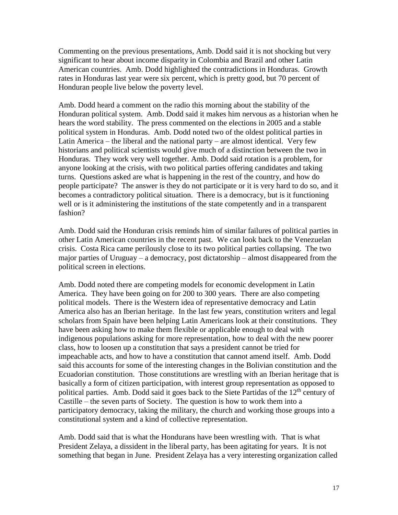Commenting on the previous presentations, Amb. Dodd said it is not shocking but very significant to hear about income disparity in Colombia and Brazil and other Latin American countries. Amb. Dodd highlighted the contradictions in Honduras. Growth rates in Honduras last year were six percent, which is pretty good, but 70 percent of Honduran people live below the poverty level.

Amb. Dodd heard a comment on the radio this morning about the stability of the Honduran political system. Amb. Dodd said it makes him nervous as a historian when he hears the word stability. The press commented on the elections in 2005 and a stable political system in Honduras. Amb. Dodd noted two of the oldest political parties in Latin America – the liberal and the national party – are almost identical. Very few historians and political scientists would give much of a distinction between the two in Honduras. They work very well together. Amb. Dodd said rotation is a problem, for anyone looking at the crisis, with two political parties offering candidates and taking turns. Questions asked are what is happening in the rest of the country, and how do people participate? The answer is they do not participate or it is very hard to do so, and it becomes a contradictory political situation. There is a democracy, but is it functioning well or is it administering the institutions of the state competently and in a transparent fashion?

Amb. Dodd said the Honduran crisis reminds him of similar failures of political parties in other Latin American countries in the recent past. We can look back to the Venezuelan crisis. Costa Rica came perilously close to its two political parties collapsing. The two major parties of Uruguay – a democracy, post dictatorship – almost disappeared from the political screen in elections.

Amb. Dodd noted there are competing models for economic development in Latin America. They have been going on for 200 to 300 years. There are also competing political models. There is the Western idea of representative democracy and Latin America also has an Iberian heritage. In the last few years, constitution writers and legal scholars from Spain have been helping Latin Americans look at their constitutions. They have been asking how to make them flexible or applicable enough to deal with indigenous populations asking for more representation, how to deal with the new poorer class, how to loosen up a constitution that says a president cannot be tried for impeachable acts, and how to have a constitution that cannot amend itself. Amb. Dodd said this accounts for some of the interesting changes in the Bolivian constitution and the Ecuadorian constitution. Those constitutions are wrestling with an Iberian heritage that is basically a form of citizen participation, with interest group representation as opposed to political parties. Amb. Dodd said it goes back to the Siete Partidas of the  $12<sup>th</sup>$  century of Castille – the seven parts of Society. The question is how to work them into a participatory democracy, taking the military, the church and working those groups into a constitutional system and a kind of collective representation.

Amb. Dodd said that is what the Hondurans have been wrestling with. That is what President Zelaya, a dissident in the liberal party, has been agitating for years. It is not something that began in June. President Zelaya has a very interesting organization called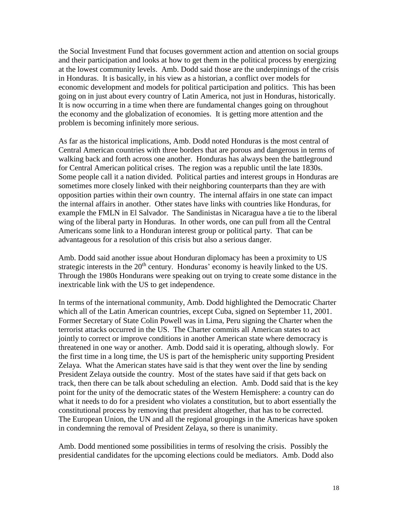the Social Investment Fund that focuses government action and attention on social groups and their participation and looks at how to get them in the political process by energizing at the lowest community levels. Amb. Dodd said those are the underpinnings of the crisis in Honduras. It is basically, in his view as a historian, a conflict over models for economic development and models for political participation and politics. This has been going on in just about every country of Latin America, not just in Honduras, historically. It is now occurring in a time when there are fundamental changes going on throughout the economy and the globalization of economies. It is getting more attention and the problem is becoming infinitely more serious.

As far as the historical implications, Amb. Dodd noted Honduras is the most central of Central American countries with three borders that are porous and dangerous in terms of walking back and forth across one another. Honduras has always been the battleground for Central American political crises. The region was a republic until the late 1830s. Some people call it a nation divided. Political parties and interest groups in Honduras are sometimes more closely linked with their neighboring counterparts than they are with opposition parties within their own country. The internal affairs in one state can impact the internal affairs in another. Other states have links with countries like Honduras, for example the FMLN in El Salvador. The Sandinistas in Nicaragua have a tie to the liberal wing of the liberal party in Honduras. In other words, one can pull from all the Central Americans some link to a Honduran interest group or political party. That can be advantageous for a resolution of this crisis but also a serious danger.

Amb. Dodd said another issue about Honduran diplomacy has been a proximity to US strategic interests in the  $20<sup>th</sup>$  century. Honduras' economy is heavily linked to the US. Through the 1980s Hondurans were speaking out on trying to create some distance in the inextricable link with the US to get independence.

In terms of the international community, Amb. Dodd highlighted the Democratic Charter which all of the Latin American countries, except Cuba, signed on September 11, 2001. Former Secretary of State Colin Powell was in Lima, Peru signing the Charter when the terrorist attacks occurred in the US. The Charter commits all American states to act jointly to correct or improve conditions in another American state where democracy is threatened in one way or another. Amb. Dodd said it is operating, although slowly. For the first time in a long time, the US is part of the hemispheric unity supporting President Zelaya. What the American states have said is that they went over the line by sending President Zelaya outside the country. Most of the states have said if that gets back on track, then there can be talk about scheduling an election. Amb. Dodd said that is the key point for the unity of the democratic states of the Western Hemisphere: a country can do what it needs to do for a president who violates a constitution, but to abort essentially the constitutional process by removing that president altogether, that has to be corrected. The European Union, the UN and all the regional groupings in the Americas have spoken in condemning the removal of President Zelaya, so there is unanimity.

Amb. Dodd mentioned some possibilities in terms of resolving the crisis. Possibly the presidential candidates for the upcoming elections could be mediators. Amb. Dodd also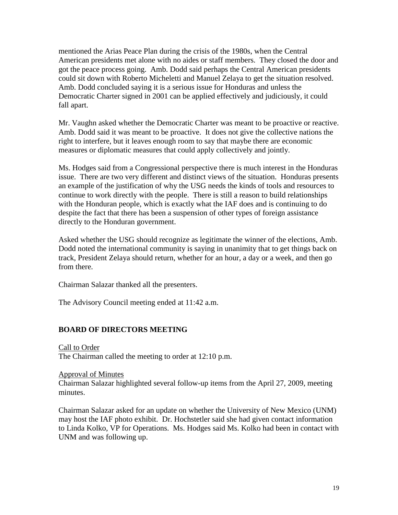mentioned the Arias Peace Plan during the crisis of the 1980s, when the Central American presidents met alone with no aides or staff members. They closed the door and got the peace process going. Amb. Dodd said perhaps the Central American presidents could sit down with Roberto Micheletti and Manuel Zelaya to get the situation resolved. Amb. Dodd concluded saying it is a serious issue for Honduras and unless the Democratic Charter signed in 2001 can be applied effectively and judiciously, it could fall apart.

Mr. Vaughn asked whether the Democratic Charter was meant to be proactive or reactive. Amb. Dodd said it was meant to be proactive. It does not give the collective nations the right to interfere, but it leaves enough room to say that maybe there are economic measures or diplomatic measures that could apply collectively and jointly.

Ms. Hodges said from a Congressional perspective there is much interest in the Honduras issue. There are two very different and distinct views of the situation. Honduras presents an example of the justification of why the USG needs the kinds of tools and resources to continue to work directly with the people. There is still a reason to build relationships with the Honduran people, which is exactly what the IAF does and is continuing to do despite the fact that there has been a suspension of other types of foreign assistance directly to the Honduran government.

Asked whether the USG should recognize as legitimate the winner of the elections, Amb. Dodd noted the international community is saying in unanimity that to get things back on track, President Zelaya should return, whether for an hour, a day or a week, and then go from there.

Chairman Salazar thanked all the presenters.

The Advisory Council meeting ended at 11:42 a.m.

# **BOARD OF DIRECTORS MEETING**

Call to Order The Chairman called the meeting to order at 12:10 p.m.

Approval of Minutes

Chairman Salazar highlighted several follow-up items from the April 27, 2009, meeting minutes.

Chairman Salazar asked for an update on whether the University of New Mexico (UNM) may host the IAF photo exhibit. Dr. Hochstetler said she had given contact information to Linda Kolko, VP for Operations. Ms. Hodges said Ms. Kolko had been in contact with UNM and was following up.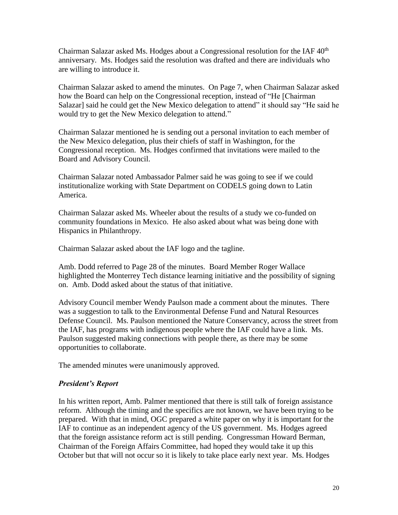Chairman Salazar asked Ms. Hodges about a Congressional resolution for the IAF  $40<sup>th</sup>$ anniversary. Ms. Hodges said the resolution was drafted and there are individuals who are willing to introduce it.

Chairman Salazar asked to amend the minutes. On Page 7, when Chairman Salazar asked how the Board can help on the Congressional reception, instead of "He [Chairman Salazar] said he could get the New Mexico delegation to attend" it should say "He said he would try to get the New Mexico delegation to attend."

Chairman Salazar mentioned he is sending out a personal invitation to each member of the New Mexico delegation, plus their chiefs of staff in Washington, for the Congressional reception. Ms. Hodges confirmed that invitations were mailed to the Board and Advisory Council.

Chairman Salazar noted Ambassador Palmer said he was going to see if we could institutionalize working with State Department on CODELS going down to Latin America.

Chairman Salazar asked Ms. Wheeler about the results of a study we co-funded on community foundations in Mexico. He also asked about what was being done with Hispanics in Philanthropy.

Chairman Salazar asked about the IAF logo and the tagline.

Amb. Dodd referred to Page 28 of the minutes. Board Member Roger Wallace highlighted the Monterrey Tech distance learning initiative and the possibility of signing on. Amb. Dodd asked about the status of that initiative.

Advisory Council member Wendy Paulson made a comment about the minutes. There was a suggestion to talk to the Environmental Defense Fund and Natural Resources Defense Council. Ms. Paulson mentioned the Nature Conservancy, across the street from the IAF, has programs with indigenous people where the IAF could have a link. Ms. Paulson suggested making connections with people there, as there may be some opportunities to collaborate.

The amended minutes were unanimously approved.

# *President's Report*

In his written report, Amb. Palmer mentioned that there is still talk of foreign assistance reform. Although the timing and the specifics are not known, we have been trying to be prepared. With that in mind, OGC prepared a white paper on why it is important for the IAF to continue as an independent agency of the US government. Ms. Hodges agreed that the foreign assistance reform act is still pending. Congressman Howard Berman, Chairman of the Foreign Affairs Committee, had hoped they would take it up this October but that will not occur so it is likely to take place early next year. Ms. Hodges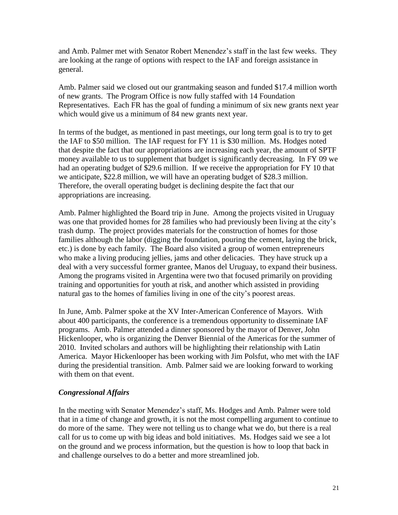and Amb. Palmer met with Senator Robert Menendez's staff in the last few weeks. They are looking at the range of options with respect to the IAF and foreign assistance in general.

Amb. Palmer said we closed out our grantmaking season and funded \$17.4 million worth of new grants. The Program Office is now fully staffed with 14 Foundation Representatives. Each FR has the goal of funding a minimum of six new grants next year which would give us a minimum of 84 new grants next year.

In terms of the budget, as mentioned in past meetings, our long term goal is to try to get the IAF to \$50 million. The IAF request for FY 11 is \$30 million. Ms. Hodges noted that despite the fact that our appropriations are increasing each year, the amount of SPTF money available to us to supplement that budget is significantly decreasing. In FY 09 we had an operating budget of \$29.6 million. If we receive the appropriation for FY 10 that we anticipate, \$22.8 million, we will have an operating budget of \$28.3 million. Therefore, the overall operating budget is declining despite the fact that our appropriations are increasing.

Amb. Palmer highlighted the Board trip in June. Among the projects visited in Uruguay was one that provided homes for 28 families who had previously been living at the city's trash dump. The project provides materials for the construction of homes for those families although the labor (digging the foundation, pouring the cement, laying the brick, etc.) is done by each family. The Board also visited a group of women entrepreneurs who make a living producing jellies, jams and other delicacies. They have struck up a deal with a very successful former grantee, Manos del Uruguay, to expand their business. Among the programs visited in Argentina were two that focused primarily on providing training and opportunities for youth at risk, and another which assisted in providing natural gas to the homes of families living in one of the city's poorest areas.

In June, Amb. Palmer spoke at the XV Inter-American Conference of Mayors. With about 400 participants, the conference is a tremendous opportunity to disseminate IAF programs. Amb. Palmer attended a dinner sponsored by the mayor of Denver, John Hickenlooper, who is organizing the Denver Biennial of the Americas for the summer of 2010. Invited scholars and authors will be highlighting their relationship with Latin America. Mayor Hickenlooper has been working with Jim Polsfut, who met with the IAF during the presidential transition. Amb. Palmer said we are looking forward to working with them on that event.

# *Congressional Affairs*

In the meeting with Senator Menendez's staff, Ms. Hodges and Amb. Palmer were told that in a time of change and growth, it is not the most compelling argument to continue to do more of the same. They were not telling us to change what we do, but there is a real call for us to come up with big ideas and bold initiatives. Ms. Hodges said we see a lot on the ground and we process information, but the question is how to loop that back in and challenge ourselves to do a better and more streamlined job.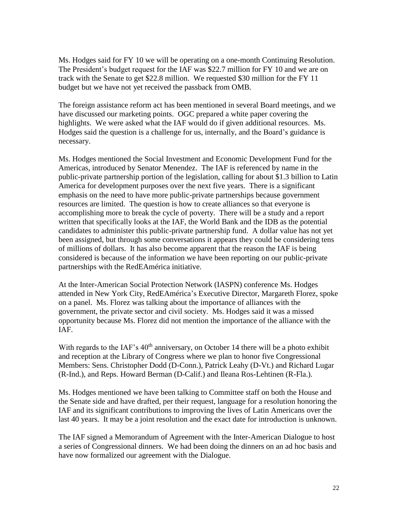Ms. Hodges said for FY 10 we will be operating on a one-month Continuing Resolution. The President's budget request for the IAF was \$22.7 million for FY 10 and we are on track with the Senate to get \$22.8 million. We requested \$30 million for the FY 11 budget but we have not yet received the passback from OMB.

The foreign assistance reform act has been mentioned in several Board meetings, and we have discussed our marketing points. OGC prepared a white paper covering the highlights. We were asked what the IAF would do if given additional resources. Ms. Hodges said the question is a challenge for us, internally, and the Board's guidance is necessary.

Ms. Hodges mentioned the Social Investment and Economic Development Fund for the Americas, introduced by Senator Menendez. The IAF is referenced by name in the public-private partnership portion of the legislation, calling for about \$1.3 billion to Latin America for development purposes over the next five years. There is a significant emphasis on the need to have more public-private partnerships because government resources are limited. The question is how to create alliances so that everyone is accomplishing more to break the cycle of poverty. There will be a study and a report written that specifically looks at the IAF, the World Bank and the IDB as the potential candidates to administer this public-private partnership fund. A dollar value has not yet been assigned, but through some conversations it appears they could be considering tens of millions of dollars. It has also become apparent that the reason the IAF is being considered is because of the information we have been reporting on our public-private partnerships with the RedEAmérica initiative.

At the Inter-American Social Protection Network (IASPN) conference Ms. Hodges attended in New York City, RedEAmérica's Executive Director, Margareth Florez, spoke on a panel. Ms. Florez was talking about the importance of alliances with the government, the private sector and civil society. Ms. Hodges said it was a missed opportunity because Ms. Florez did not mention the importance of the alliance with the IAF.

With regards to the IAF's  $40<sup>th</sup>$  anniversary, on October 14 there will be a photo exhibit and reception at the Library of Congress where we plan to honor five Congressional Members: Sens. Christopher Dodd (D-Conn.), Patrick Leahy (D-Vt.) and Richard Lugar (R-Ind.), and Reps. Howard Berman (D-Calif.) and Ileana Ros-Lehtinen (R-Fla.).

Ms. Hodges mentioned we have been talking to Committee staff on both the House and the Senate side and have drafted, per their request, language for a resolution honoring the IAF and its significant contributions to improving the lives of Latin Americans over the last 40 years. It may be a joint resolution and the exact date for introduction is unknown.

The IAF signed a Memorandum of Agreement with the Inter-American Dialogue to host a series of Congressional dinners. We had been doing the dinners on an ad hoc basis and have now formalized our agreement with the Dialogue.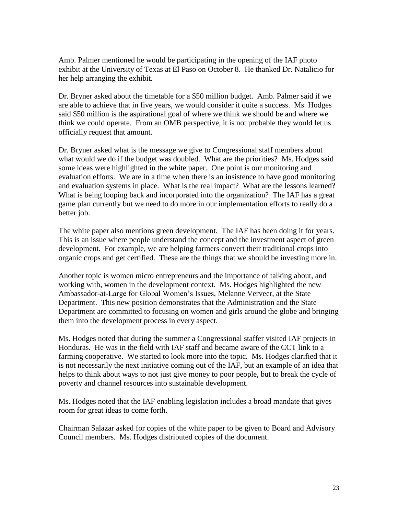Amb. Palmer mentioned he would be participating in the opening of the IAF photo exhibit at the University of Texas at El Paso on October 8. He thanked Dr. Natalicio for her help arranging the exhibit.

Dr. Bryner asked about the timetable for a \$50 million budget. Amb. Palmer said if we are able to achieve that in five years, we would consider it quite a success. Ms. Hodges said \$50 million is the aspirational goal of where we think we should be and where we think we could operate. From an OMB perspective, it is not probable they would let us officially request that amount.

Dr. Bryner asked what is the message we give to Congressional staff members about what would we do if the budget was doubled. What are the priorities? Ms. Hodges said some ideas were highlighted in the white paper. One point is our monitoring and evaluation efforts. We are in a time when there is an insistence to have good monitoring and evaluation systems in place. What is the real impact? What are the lessons learned? What is being looping back and incorporated into the organization? The IAF has a great game plan currently but we need to do more in our implementation efforts to really do a better job.

The white paper also mentions green development. The IAF has been doing it for years. This is an issue where people understand the concept and the investment aspect of green development. For example, we are helping farmers convert their traditional crops into organic crops and get certified. These are the things that we should be investing more in.

Another topic is women micro entrepreneurs and the importance of talking about, and working with, women in the development context. Ms. Hodges highlighted the new Ambassador-at-Large for Global Women's Issues, Melanne Verveer, at the State Department. This new position demonstrates that the Administration and the State Department are committed to focusing on women and girls around the globe and bringing them into the development process in every aspect.

Ms. Hodges noted that during the summer a Congressional staffer visited IAF projects in Honduras. He was in the field with IAF staff and became aware of the CCT link to a farming cooperative. We started to look more into the topic. Ms. Hodges clarified that it is not necessarily the next initiative coming out of the IAF, but an example of an idea that helps to think about ways to not just give money to poor people, but to break the cycle of poverty and channel resources into sustainable development.

Ms. Hodges noted that the IAF enabling legislation includes a broad mandate that gives room for great ideas to come forth.

Chairman Salazar asked for copies of the white paper to be given to Board and Advisory Council members. Ms. Hodges distributed copies of the document.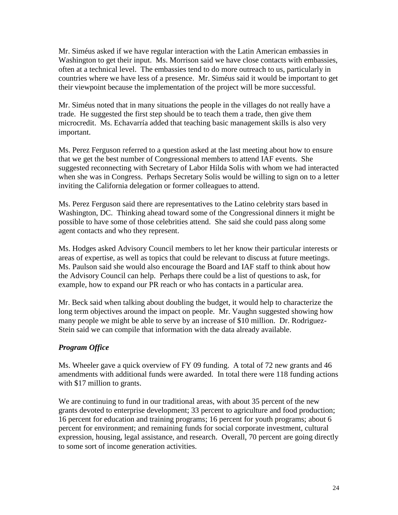Mr. Siméus asked if we have regular interaction with the Latin American embassies in Washington to get their input. Ms. Morrison said we have close contacts with embassies, often at a technical level. The embassies tend to do more outreach to us, particularly in countries where we have less of a presence. Mr. Siméus said it would be important to get their viewpoint because the implementation of the project will be more successful.

Mr. Siméus noted that in many situations the people in the villages do not really have a trade. He suggested the first step should be to teach them a trade, then give them microcredit. Ms. Echavarría added that teaching basic management skills is also very important.

Ms. Perez Ferguson referred to a question asked at the last meeting about how to ensure that we get the best number of Congressional members to attend IAF events. She suggested reconnecting with Secretary of Labor Hilda Solis with whom we had interacted when she was in Congress. Perhaps Secretary Solis would be willing to sign on to a letter inviting the California delegation or former colleagues to attend.

Ms. Perez Ferguson said there are representatives to the Latino celebrity stars based in Washington, DC. Thinking ahead toward some of the Congressional dinners it might be possible to have some of those celebrities attend. She said she could pass along some agent contacts and who they represent.

Ms. Hodges asked Advisory Council members to let her know their particular interests or areas of expertise, as well as topics that could be relevant to discuss at future meetings. Ms. Paulson said she would also encourage the Board and IAF staff to think about how the Advisory Council can help. Perhaps there could be a list of questions to ask, for example, how to expand our PR reach or who has contacts in a particular area.

Mr. Beck said when talking about doubling the budget, it would help to characterize the long term objectives around the impact on people. Mr. Vaughn suggested showing how many people we might be able to serve by an increase of \$10 million. Dr. Rodriguez-Stein said we can compile that information with the data already available.

# *Program Office*

Ms. Wheeler gave a quick overview of FY 09 funding. A total of 72 new grants and 46 amendments with additional funds were awarded. In total there were 118 funding actions with \$17 million to grants.

We are continuing to fund in our traditional areas, with about 35 percent of the new grants devoted to enterprise development; 33 percent to agriculture and food production; 16 percent for education and training programs; 16 percent for youth programs; about 6 percent for environment; and remaining funds for social corporate investment, cultural expression, housing, legal assistance, and research. Overall, 70 percent are going directly to some sort of income generation activities.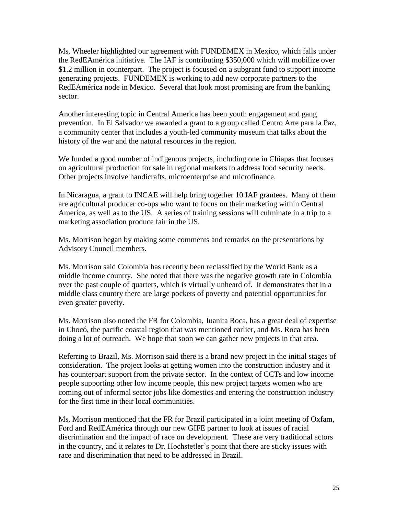Ms. Wheeler highlighted our agreement with FUNDEMEX in Mexico, which falls under the RedEAmérica initiative. The IAF is contributing \$350,000 which will mobilize over \$1.2 million in counterpart. The project is focused on a subgrant fund to support income generating projects. FUNDEMEX is working to add new corporate partners to the RedEAmérica node in Mexico. Several that look most promising are from the banking sector.

Another interesting topic in Central America has been youth engagement and gang prevention. In El Salvador we awarded a grant to a group called Centro Arte para la Paz, a community center that includes a youth-led community museum that talks about the history of the war and the natural resources in the region.

We funded a good number of indigenous projects, including one in Chiapas that focuses on agricultural production for sale in regional markets to address food security needs. Other projects involve handicrafts, microenterprise and microfinance.

In Nicaragua, a grant to INCAE will help bring together 10 IAF grantees. Many of them are agricultural producer co-ops who want to focus on their marketing within Central America, as well as to the US. A series of training sessions will culminate in a trip to a marketing association produce fair in the US.

Ms. Morrison began by making some comments and remarks on the presentations by Advisory Council members.

Ms. Morrison said Colombia has recently been reclassified by the World Bank as a middle income country. She noted that there was the negative growth rate in Colombia over the past couple of quarters, which is virtually unheard of. It demonstrates that in a middle class country there are large pockets of poverty and potential opportunities for even greater poverty.

Ms. Morrison also noted the FR for Colombia, Juanita Roca, has a great deal of expertise in Chocó, the pacific coastal region that was mentioned earlier, and Ms. Roca has been doing a lot of outreach. We hope that soon we can gather new projects in that area.

Referring to Brazil, Ms. Morrison said there is a brand new project in the initial stages of consideration. The project looks at getting women into the construction industry and it has counterpart support from the private sector. In the context of CCTs and low income people supporting other low income people, this new project targets women who are coming out of informal sector jobs like domestics and entering the construction industry for the first time in their local communities.

Ms. Morrison mentioned that the FR for Brazil participated in a joint meeting of Oxfam, Ford and RedEAmérica through our new GIFE partner to look at issues of racial discrimination and the impact of race on development. These are very traditional actors in the country, and it relates to Dr. Hochstetler's point that there are sticky issues with race and discrimination that need to be addressed in Brazil.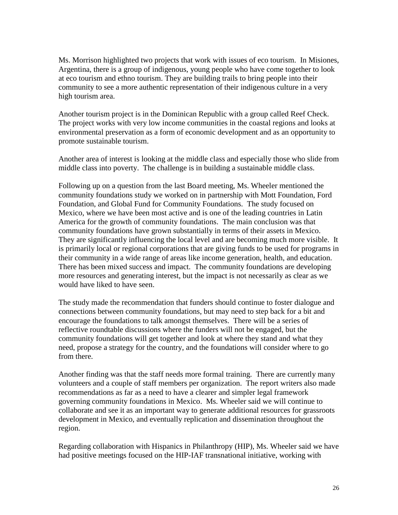Ms. Morrison highlighted two projects that work with issues of eco tourism. In Misiones, Argentina, there is a group of indigenous, young people who have come together to look at eco tourism and ethno tourism. They are building trails to bring people into their community to see a more authentic representation of their indigenous culture in a very high tourism area.

Another tourism project is in the Dominican Republic with a group called Reef Check. The project works with very low income communities in the coastal regions and looks at environmental preservation as a form of economic development and as an opportunity to promote sustainable tourism.

Another area of interest is looking at the middle class and especially those who slide from middle class into poverty. The challenge is in building a sustainable middle class.

Following up on a question from the last Board meeting, Ms. Wheeler mentioned the community foundations study we worked on in partnership with Mott Foundation, Ford Foundation, and Global Fund for Community Foundations. The study focused on Mexico, where we have been most active and is one of the leading countries in Latin America for the growth of community foundations. The main conclusion was that community foundations have grown substantially in terms of their assets in Mexico. They are significantly influencing the local level and are becoming much more visible. It is primarily local or regional corporations that are giving funds to be used for programs in their community in a wide range of areas like income generation, health, and education. There has been mixed success and impact. The community foundations are developing more resources and generating interest, but the impact is not necessarily as clear as we would have liked to have seen.

The study made the recommendation that funders should continue to foster dialogue and connections between community foundations, but may need to step back for a bit and encourage the foundations to talk amongst themselves. There will be a series of reflective roundtable discussions where the funders will not be engaged, but the community foundations will get together and look at where they stand and what they need, propose a strategy for the country, and the foundations will consider where to go from there.

Another finding was that the staff needs more formal training. There are currently many volunteers and a couple of staff members per organization. The report writers also made recommendations as far as a need to have a clearer and simpler legal framework governing community foundations in Mexico. Ms. Wheeler said we will continue to collaborate and see it as an important way to generate additional resources for grassroots development in Mexico, and eventually replication and dissemination throughout the region.

Regarding collaboration with Hispanics in Philanthropy (HIP), Ms. Wheeler said we have had positive meetings focused on the HIP-IAF transnational initiative, working with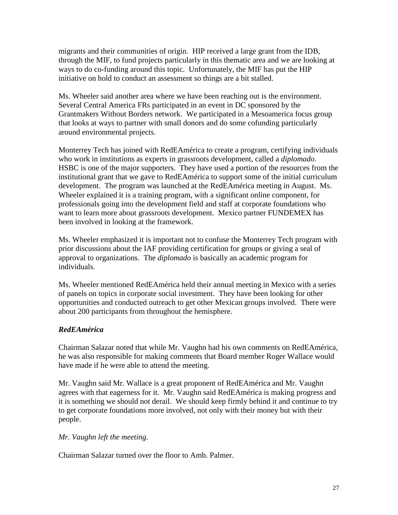migrants and their communities of origin. HIP received a large grant from the IDB, through the MIF, to fund projects particularly in this thematic area and we are looking at ways to do co-funding around this topic. Unfortunately, the MIF has put the HIP initiative on hold to conduct an assessment so things are a bit stalled.

Ms. Wheeler said another area where we have been reaching out is the environment. Several Central America FRs participated in an event in DC sponsored by the Grantmakers Without Borders network. We participated in a Mesoamerica focus group that looks at ways to partner with small donors and do some cofunding particularly around environmental projects.

Monterrey Tech has joined with RedEAmérica to create a program, certifying individuals who work in institutions as experts in grassroots development, called a *diplomado*. HSBC is one of the major supporters. They have used a portion of the resources from the institutional grant that we gave to RedEAmérica to support some of the initial curriculum development. The program was launched at the RedEAmérica meeting in August. Ms. Wheeler explained it is a training program, with a significant online component, for professionals going into the development field and staff at corporate foundations who want to learn more about grassroots development. Mexico partner FUNDEMEX has been involved in looking at the framework.

Ms. Wheeler emphasized it is important not to confuse the Monterrey Tech program with prior discussions about the IAF providing certification for groups or giving a seal of approval to organizations. The *diplomado* is basically an academic program for individuals.

Ms. Wheeler mentioned RedEAmérica held their annual meeting in Mexico with a series of panels on topics in corporate social investment. They have been looking for other opportunities and conducted outreach to get other Mexican groups involved. There were about 200 participants from throughout the hemisphere.

# *RedEAmérica*

Chairman Salazar noted that while Mr. Vaughn had his own comments on RedEAmérica, he was also responsible for making comments that Board member Roger Wallace would have made if he were able to attend the meeting.

Mr. Vaughn said Mr. Wallace is a great proponent of RedEAmérica and Mr. Vaughn agrees with that eagerness for it. Mr. Vaughn said RedEAmérica is making progress and it is something we should not derail. We should keep firmly behind it and continue to try to get corporate foundations more involved, not only with their money but with their people.

# *Mr. Vaughn left the meeting.*

Chairman Salazar turned over the floor to Amb. Palmer.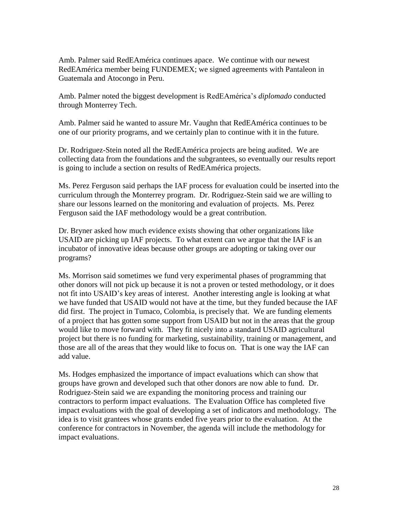Amb. Palmer said RedEAmérica continues apace. We continue with our newest RedEAmérica member being FUNDEMEX; we signed agreements with Pantaleon in Guatemala and Atocongo in Peru.

Amb. Palmer noted the biggest development is RedEAmérica's *diplomado* conducted through Monterrey Tech.

Amb. Palmer said he wanted to assure Mr. Vaughn that RedEAmérica continues to be one of our priority programs, and we certainly plan to continue with it in the future.

Dr. Rodriguez-Stein noted all the RedEAmérica projects are being audited. We are collecting data from the foundations and the subgrantees, so eventually our results report is going to include a section on results of RedEAmérica projects.

Ms. Perez Ferguson said perhaps the IAF process for evaluation could be inserted into the curriculum through the Monterrey program. Dr. Rodriguez-Stein said we are willing to share our lessons learned on the monitoring and evaluation of projects. Ms. Perez Ferguson said the IAF methodology would be a great contribution.

Dr. Bryner asked how much evidence exists showing that other organizations like USAID are picking up IAF projects. To what extent can we argue that the IAF is an incubator of innovative ideas because other groups are adopting or taking over our programs?

Ms. Morrison said sometimes we fund very experimental phases of programming that other donors will not pick up because it is not a proven or tested methodology, or it does not fit into USAID's key areas of interest. Another interesting angle is looking at what we have funded that USAID would not have at the time, but they funded because the IAF did first. The project in Tumaco, Colombia, is precisely that. We are funding elements of a project that has gotten some support from USAID but not in the areas that the group would like to move forward with. They fit nicely into a standard USAID agricultural project but there is no funding for marketing, sustainability, training or management, and those are all of the areas that they would like to focus on. That is one way the IAF can add value.

Ms. Hodges emphasized the importance of impact evaluations which can show that groups have grown and developed such that other donors are now able to fund. Dr. Rodriguez-Stein said we are expanding the monitoring process and training our contractors to perform impact evaluations. The Evaluation Office has completed five impact evaluations with the goal of developing a set of indicators and methodology. The idea is to visit grantees whose grants ended five years prior to the evaluation. At the conference for contractors in November, the agenda will include the methodology for impact evaluations.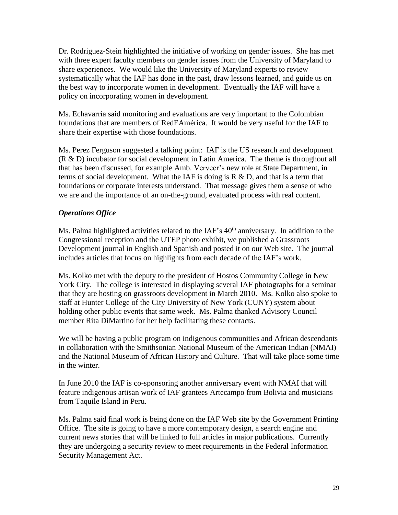Dr. Rodriguez-Stein highlighted the initiative of working on gender issues. She has met with three expert faculty members on gender issues from the University of Maryland to share experiences. We would like the University of Maryland experts to review systematically what the IAF has done in the past, draw lessons learned, and guide us on the best way to incorporate women in development. Eventually the IAF will have a policy on incorporating women in development.

Ms. Echavarría said monitoring and evaluations are very important to the Colombian foundations that are members of RedEAmérica. It would be very useful for the IAF to share their expertise with those foundations.

Ms. Perez Ferguson suggested a talking point: IAF is the US research and development (R & D) incubator for social development in Latin America. The theme is throughout all that has been discussed, for example Amb. Verveer's new role at State Department, in terms of social development. What the IAF is doing is  $R \& D$ , and that is a term that foundations or corporate interests understand. That message gives them a sense of who we are and the importance of an on-the-ground, evaluated process with real content.

# *Operations Office*

Ms. Palma highlighted activities related to the IAF's  $40<sup>th</sup>$  anniversary. In addition to the Congressional reception and the UTEP photo exhibit, we published a Grassroots Development journal in English and Spanish and posted it on our Web site. The journal includes articles that focus on highlights from each decade of the IAF's work.

Ms. Kolko met with the deputy to the president of Hostos Community College in New York City. The college is interested in displaying several IAF photographs for a seminar that they are hosting on grassroots development in March 2010. Ms. Kolko also spoke to staff at Hunter College of the City University of New York (CUNY) system about holding other public events that same week. Ms. Palma thanked Advisory Council member Rita DiMartino for her help facilitating these contacts.

We will be having a public program on indigenous communities and African descendants in collaboration with the Smithsonian National Museum of the American Indian (NMAI) and the National Museum of African History and Culture. That will take place some time in the winter.

In June 2010 the IAF is co-sponsoring another anniversary event with NMAI that will feature indigenous artisan work of IAF grantees Artecampo from Bolivia and musicians from Taquile Island in Peru.

Ms. Palma said final work is being done on the IAF Web site by the Government Printing Office. The site is going to have a more contemporary design, a search engine and current news stories that will be linked to full articles in major publications. Currently they are undergoing a security review to meet requirements in the Federal Information Security Management Act.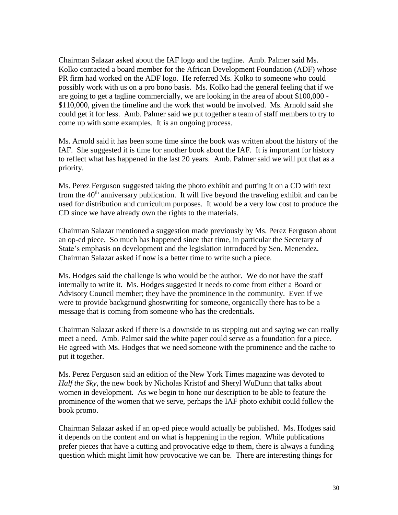Chairman Salazar asked about the IAF logo and the tagline. Amb. Palmer said Ms. Kolko contacted a board member for the African Development Foundation (ADF) whose PR firm had worked on the ADF logo. He referred Ms. Kolko to someone who could possibly work with us on a pro bono basis. Ms. Kolko had the general feeling that if we are going to get a tagline commercially, we are looking in the area of about \$100,000 - \$110,000, given the timeline and the work that would be involved. Ms. Arnold said she could get it for less. Amb. Palmer said we put together a team of staff members to try to come up with some examples. It is an ongoing process.

Ms. Arnold said it has been some time since the book was written about the history of the IAF. She suggested it is time for another book about the IAF. It is important for history to reflect what has happened in the last 20 years. Amb. Palmer said we will put that as a priority.

Ms. Perez Ferguson suggested taking the photo exhibit and putting it on a CD with text from the  $40<sup>th</sup>$  anniversary publication. It will live beyond the traveling exhibit and can be used for distribution and curriculum purposes. It would be a very low cost to produce the CD since we have already own the rights to the materials.

Chairman Salazar mentioned a suggestion made previously by Ms. Perez Ferguson about an op-ed piece. So much has happened since that time, in particular the Secretary of State's emphasis on development and the legislation introduced by Sen. Menendez. Chairman Salazar asked if now is a better time to write such a piece.

Ms. Hodges said the challenge is who would be the author. We do not have the staff internally to write it. Ms. Hodges suggested it needs to come from either a Board or Advisory Council member; they have the prominence in the community. Even if we were to provide background ghostwriting for someone, organically there has to be a message that is coming from someone who has the credentials.

Chairman Salazar asked if there is a downside to us stepping out and saying we can really meet a need. Amb. Palmer said the white paper could serve as a foundation for a piece. He agreed with Ms. Hodges that we need someone with the prominence and the cache to put it together.

Ms. Perez Ferguson said an edition of the New York Times magazine was devoted to *Half the Sky*, the new book by Nicholas Kristof and Sheryl WuDunn that talks about women in development. As we begin to hone our description to be able to feature the prominence of the women that we serve, perhaps the IAF photo exhibit could follow the book promo.

Chairman Salazar asked if an op-ed piece would actually be published. Ms. Hodges said it depends on the content and on what is happening in the region. While publications prefer pieces that have a cutting and provocative edge to them, there is always a funding question which might limit how provocative we can be. There are interesting things for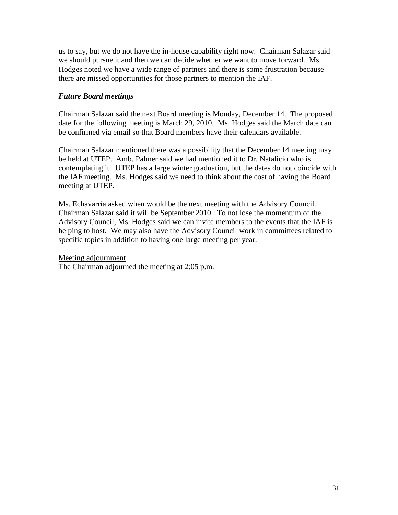us to say, but we do not have the in-house capability right now. Chairman Salazar said we should pursue it and then we can decide whether we want to move forward. Ms. Hodges noted we have a wide range of partners and there is some frustration because there are missed opportunities for those partners to mention the IAF.

### *Future Board meetings*

Chairman Salazar said the next Board meeting is Monday, December 14. The proposed date for the following meeting is March 29, 2010. Ms. Hodges said the March date can be confirmed via email so that Board members have their calendars available.

Chairman Salazar mentioned there was a possibility that the December 14 meeting may be held at UTEP. Amb. Palmer said we had mentioned it to Dr. Natalicio who is contemplating it. UTEP has a large winter graduation, but the dates do not coincide with the IAF meeting. Ms. Hodges said we need to think about the cost of having the Board meeting at UTEP.

Ms. Echavarría asked when would be the next meeting with the Advisory Council. Chairman Salazar said it will be September 2010. To not lose the momentum of the Advisory Council, Ms. Hodges said we can invite members to the events that the IAF is helping to host. We may also have the Advisory Council work in committees related to specific topics in addition to having one large meeting per year.

#### Meeting adjournment

The Chairman adjourned the meeting at 2:05 p.m.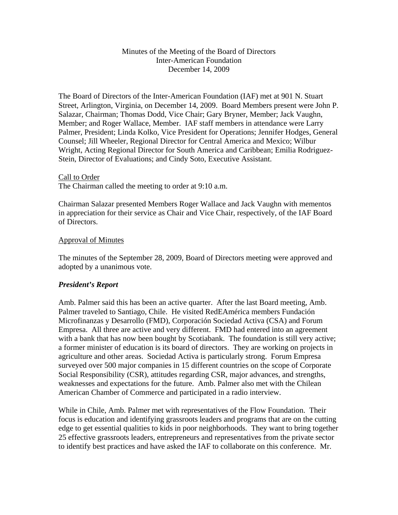### Minutes of the Meeting of the Board of Directors Inter-American Foundation December 14, 2009

The Board of Directors of the Inter-American Foundation (IAF) met at 901 N. Stuart Street, Arlington, Virginia, on December 14, 2009. Board Members present were John P. Salazar, Chairman; Thomas Dodd, Vice Chair; Gary Bryner, Member; Jack Vaughn, Member; and Roger Wallace, Member. IAF staff members in attendance were Larry Palmer, President; Linda Kolko, Vice President for Operations; Jennifer Hodges, General Counsel; Jill Wheeler, Regional Director for Central America and Mexico; Wilbur Wright, Acting Regional Director for South America and Caribbean; Emilia Rodriguez-Stein, Director of Evaluations; and Cindy Soto, Executive Assistant.

#### Call to Order

The Chairman called the meeting to order at 9:10 a.m.

Chairman Salazar presented Members Roger Wallace and Jack Vaughn with mementos in appreciation for their service as Chair and Vice Chair, respectively, of the IAF Board of Directors.

#### Approval of Minutes

The minutes of the September 28, 2009, Board of Directors meeting were approved and adopted by a unanimous vote.

#### *President's Report*

Amb. Palmer said this has been an active quarter. After the last Board meeting, Amb. Palmer traveled to Santiago, Chile. He visited RedEAmérica members Fundación Microfinanzas y Desarrollo (FMD), Corporación Sociedad Activa (CSA) and Forum Empresa. All three are active and very different. FMD had entered into an agreement with a bank that has now been bought by Scotiabank. The foundation is still very active; a former minister of education is its board of directors. They are working on projects in agriculture and other areas. Sociedad Activa is particularly strong. Forum Empresa surveyed over 500 major companies in 15 different countries on the scope of Corporate Social Responsibility (CSR), attitudes regarding CSR, major advances, and strengths, weaknesses and expectations for the future. Amb. Palmer also met with the Chilean American Chamber of Commerce and participated in a radio interview.

While in Chile, Amb. Palmer met with representatives of the Flow Foundation. Their focus is education and identifying grassroots leaders and programs that are on the cutting edge to get essential qualities to kids in poor neighborhoods. They want to bring together 25 effective grassroots leaders, entrepreneurs and representatives from the private sector to identify best practices and have asked the IAF to collaborate on this conference. Mr.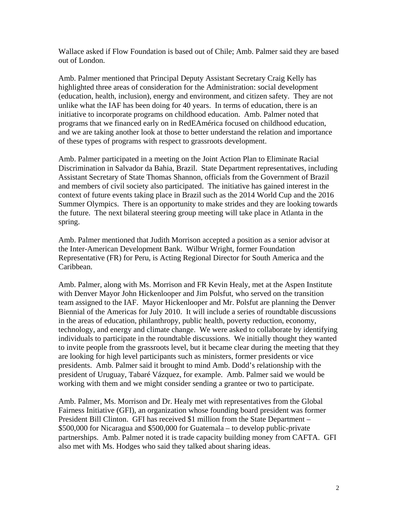Wallace asked if Flow Foundation is based out of Chile; Amb. Palmer said they are based out of London.

Amb. Palmer mentioned that Principal Deputy Assistant Secretary Craig Kelly has highlighted three areas of consideration for the Administration: social development (education, health, inclusion), energy and environment, and citizen safety. They are not unlike what the IAF has been doing for 40 years. In terms of education, there is an initiative to incorporate programs on childhood education. Amb. Palmer noted that programs that we financed early on in RedEAmérica focused on childhood education, and we are taking another look at those to better understand the relation and importance of these types of programs with respect to grassroots development.

Amb. Palmer participated in a meeting on the Joint Action Plan to Eliminate Racial Discrimination in Salvador da Bahia, Brazil. State Department representatives, including Assistant Secretary of State Thomas Shannon, officials from the Government of Brazil and members of civil society also participated. The initiative has gained interest in the context of future events taking place in Brazil such as the 2014 World Cup and the 2016 Summer Olympics. There is an opportunity to make strides and they are looking towards the future. The next bilateral steering group meeting will take place in Atlanta in the spring.

Amb. Palmer mentioned that Judith Morrison accepted a position as a senior advisor at the Inter-American Development Bank. Wilbur Wright, former Foundation Representative (FR) for Peru, is Acting Regional Director for South America and the Caribbean.

Amb. Palmer, along with Ms. Morrison and FR Kevin Healy, met at the Aspen Institute with Denver Mayor John Hickenlooper and Jim Polsfut, who served on the transition team assigned to the IAF. Mayor Hickenlooper and Mr. Polsfut are planning the Denver Biennial of the Americas for July 2010. It will include a series of roundtable discussions in the areas of education, philanthropy, public health, poverty reduction, economy, technology, and energy and climate change. We were asked to collaborate by identifying individuals to participate in the roundtable discussions. We initially thought they wanted to invite people from the grassroots level, but it became clear during the meeting that they are looking for high level participants such as ministers, former presidents or vice presidents. Amb. Palmer said it brought to mind Amb. Dodd's relationship with the president of Uruguay, Tabaré Vázquez, for example. Amb. Palmer said we would be working with them and we might consider sending a grantee or two to participate.

Amb. Palmer, Ms. Morrison and Dr. Healy met with representatives from the Global Fairness Initiative (GFI), an organization whose founding board president was former President Bill Clinton. GFI has received \$1 million from the State Department – \$500,000 for Nicaragua and \$500,000 for Guatemala – to develop public-private partnerships. Amb. Palmer noted it is trade capacity building money from CAFTA. GFI also met with Ms. Hodges who said they talked about sharing ideas.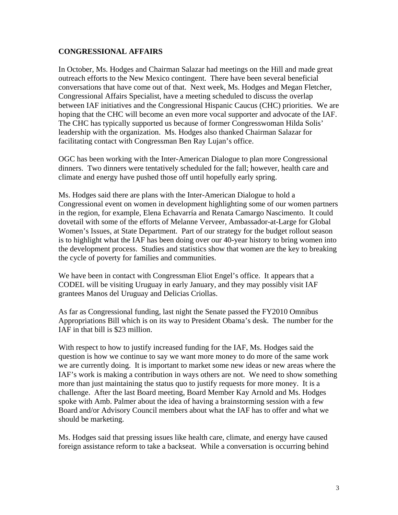## **CONGRESSIONAL AFFAIRS**

In October, Ms. Hodges and Chairman Salazar had meetings on the Hill and made great outreach efforts to the New Mexico contingent. There have been several beneficial conversations that have come out of that. Next week, Ms. Hodges and Megan Fletcher, Congressional Affairs Specialist, have a meeting scheduled to discuss the overlap between IAF initiatives and the Congressional Hispanic Caucus (CHC) priorities. We are hoping that the CHC will become an even more vocal supporter and advocate of the IAF. The CHC has typically supported us because of former Congresswoman Hilda Solis' leadership with the organization. Ms. Hodges also thanked Chairman Salazar for facilitating contact with Congressman Ben Ray Lujan's office.

OGC has been working with the Inter-American Dialogue to plan more Congressional dinners. Two dinners were tentatively scheduled for the fall; however, health care and climate and energy have pushed those off until hopefully early spring.

Ms. Hodges said there are plans with the Inter-American Dialogue to hold a Congressional event on women in development highlighting some of our women partners in the region, for example, Elena Echavarría and Renata Camargo Nascimento. It could dovetail with some of the efforts of Melanne Verveer, Ambassador-at-Large for Global Women's Issues, at State Department. Part of our strategy for the budget rollout season is to highlight what the IAF has been doing over our 40-year history to bring women into the development process. Studies and statistics show that women are the key to breaking the cycle of poverty for families and communities.

We have been in contact with Congressman Eliot Engel's office. It appears that a CODEL will be visiting Uruguay in early January, and they may possibly visit IAF grantees Manos del Uruguay and Delicias Criollas.

As far as Congressional funding, last night the Senate passed the FY2010 Omnibus Appropriations Bill which is on its way to President Obama's desk. The number for the IAF in that bill is \$23 million.

With respect to how to justify increased funding for the IAF, Ms. Hodges said the question is how we continue to say we want more money to do more of the same work we are currently doing. It is important to market some new ideas or new areas where the IAF's work is making a contribution in ways others are not. We need to show something more than just maintaining the status quo to justify requests for more money. It is a challenge. After the last Board meeting, Board Member Kay Arnold and Ms. Hodges spoke with Amb. Palmer about the idea of having a brainstorming session with a few Board and/or Advisory Council members about what the IAF has to offer and what we should be marketing.

Ms. Hodges said that pressing issues like health care, climate, and energy have caused foreign assistance reform to take a backseat. While a conversation is occurring behind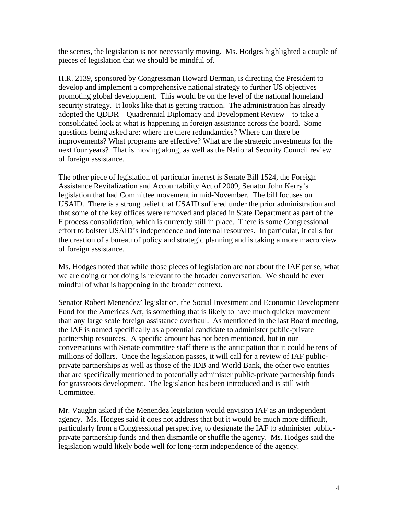the scenes, the legislation is not necessarily moving. Ms. Hodges highlighted a couple of pieces of legislation that we should be mindful of.

H.R. 2139, sponsored by Congressman Howard Berman, is directing the President to develop and implement a comprehensive national strategy to further US objectives promoting global development. This would be on the level of the national homeland security strategy. It looks like that is getting traction. The administration has already adopted the QDDR – Quadrennial Diplomacy and Development Review – to take a consolidated look at what is happening in foreign assistance across the board. Some questions being asked are: where are there redundancies? Where can there be improvements? What programs are effective? What are the strategic investments for the next four years? That is moving along, as well as the National Security Council review of foreign assistance.

The other piece of legislation of particular interest is Senate Bill 1524, the Foreign Assistance Revitalization and Accountability Act of 2009, Senator John Kerry's legislation that had Committee movement in mid-November. The bill focuses on USAID. There is a strong belief that USAID suffered under the prior administration and that some of the key offices were removed and placed in State Department as part of the F process consolidation, which is currently still in place. There is some Congressional effort to bolster USAID's independence and internal resources. In particular, it calls for the creation of a bureau of policy and strategic planning and is taking a more macro view of foreign assistance.

Ms. Hodges noted that while those pieces of legislation are not about the IAF per se, what we are doing or not doing is relevant to the broader conversation. We should be ever mindful of what is happening in the broader context.

Senator Robert Menendez' legislation, the Social Investment and Economic Development Fund for the Americas Act, is something that is likely to have much quicker movement than any large scale foreign assistance overhaul. As mentioned in the last Board meeting, the IAF is named specifically as a potential candidate to administer public-private partnership resources. A specific amount has not been mentioned, but in our conversations with Senate committee staff there is the anticipation that it could be tens of millions of dollars. Once the legislation passes, it will call for a review of IAF publicprivate partnerships as well as those of the IDB and World Bank, the other two entities that are specifically mentioned to potentially administer public-private partnership funds for grassroots development. The legislation has been introduced and is still with Committee.

Mr. Vaughn asked if the Menendez legislation would envision IAF as an independent agency. Ms. Hodges said it does not address that but it would be much more difficult, particularly from a Congressional perspective, to designate the IAF to administer publicprivate partnership funds and then dismantle or shuffle the agency. Ms. Hodges said the legislation would likely bode well for long-term independence of the agency.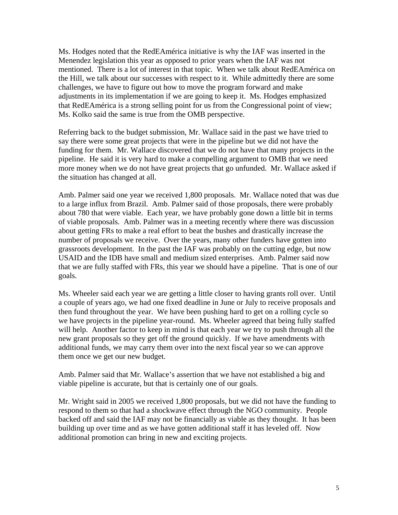Ms. Hodges noted that the RedEAmérica initiative is why the IAF was inserted in the Menendez legislation this year as opposed to prior years when the IAF was not mentioned. There is a lot of interest in that topic. When we talk about RedEAmérica on the Hill, we talk about our successes with respect to it. While admittedly there are some challenges, we have to figure out how to move the program forward and make adjustments in its implementation if we are going to keep it. Ms. Hodges emphasized that RedEAmérica is a strong selling point for us from the Congressional point of view; Ms. Kolko said the same is true from the OMB perspective.

Referring back to the budget submission, Mr. Wallace said in the past we have tried to say there were some great projects that were in the pipeline but we did not have the funding for them. Mr. Wallace discovered that we do not have that many projects in the pipeline. He said it is very hard to make a compelling argument to OMB that we need more money when we do not have great projects that go unfunded. Mr. Wallace asked if the situation has changed at all.

Amb. Palmer said one year we received 1,800 proposals. Mr. Wallace noted that was due to a large influx from Brazil. Amb. Palmer said of those proposals, there were probably about 780 that were viable. Each year, we have probably gone down a little bit in terms of viable proposals. Amb. Palmer was in a meeting recently where there was discussion about getting FRs to make a real effort to beat the bushes and drastically increase the number of proposals we receive. Over the years, many other funders have gotten into grassroots development. In the past the IAF was probably on the cutting edge, but now USAID and the IDB have small and medium sized enterprises. Amb. Palmer said now that we are fully staffed with FRs, this year we should have a pipeline. That is one of our goals.

Ms. Wheeler said each year we are getting a little closer to having grants roll over. Until a couple of years ago, we had one fixed deadline in June or July to receive proposals and then fund throughout the year. We have been pushing hard to get on a rolling cycle so we have projects in the pipeline year-round. Ms. Wheeler agreed that being fully staffed will help. Another factor to keep in mind is that each year we try to push through all the new grant proposals so they get off the ground quickly. If we have amendments with additional funds, we may carry them over into the next fiscal year so we can approve them once we get our new budget.

Amb. Palmer said that Mr. Wallace's assertion that we have not established a big and viable pipeline is accurate, but that is certainly one of our goals.

Mr. Wright said in 2005 we received 1,800 proposals, but we did not have the funding to respond to them so that had a shockwave effect through the NGO community. People backed off and said the IAF may not be financially as viable as they thought. It has been building up over time and as we have gotten additional staff it has leveled off. Now additional promotion can bring in new and exciting projects.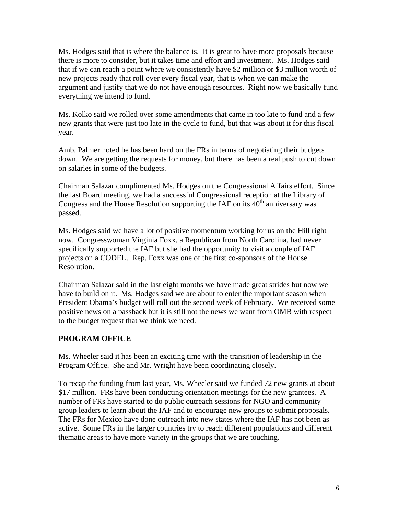Ms. Hodges said that is where the balance is. It is great to have more proposals because there is more to consider, but it takes time and effort and investment. Ms. Hodges said that if we can reach a point where we consistently have \$2 million or \$3 million worth of new projects ready that roll over every fiscal year, that is when we can make the argument and justify that we do not have enough resources. Right now we basically fund everything we intend to fund.

Ms. Kolko said we rolled over some amendments that came in too late to fund and a few new grants that were just too late in the cycle to fund, but that was about it for this fiscal year.

Amb. Palmer noted he has been hard on the FRs in terms of negotiating their budgets down. We are getting the requests for money, but there has been a real push to cut down on salaries in some of the budgets.

Chairman Salazar complimented Ms. Hodges on the Congressional Affairs effort. Since the last Board meeting, we had a successful Congressional reception at the Library of Congress and the House Resolution supporting the IAF on its  $40<sup>th</sup>$  anniversary was passed.

Ms. Hodges said we have a lot of positive momentum working for us on the Hill right now. Congresswoman Virginia Foxx, a Republican from North Carolina, had never specifically supported the IAF but she had the opportunity to visit a couple of IAF projects on a CODEL. Rep. Foxx was one of the first co-sponsors of the House Resolution.

Chairman Salazar said in the last eight months we have made great strides but now we have to build on it. Ms. Hodges said we are about to enter the important season when President Obama's budget will roll out the second week of February. We received some positive news on a passback but it is still not the news we want from OMB with respect to the budget request that we think we need.

# **PROGRAM OFFICE**

Ms. Wheeler said it has been an exciting time with the transition of leadership in the Program Office. She and Mr. Wright have been coordinating closely.

To recap the funding from last year, Ms. Wheeler said we funded 72 new grants at about \$17 million. FRs have been conducting orientation meetings for the new grantees. A number of FRs have started to do public outreach sessions for NGO and community group leaders to learn about the IAF and to encourage new groups to submit proposals. The FRs for Mexico have done outreach into new states where the IAF has not been as active. Some FRs in the larger countries try to reach different populations and different thematic areas to have more variety in the groups that we are touching.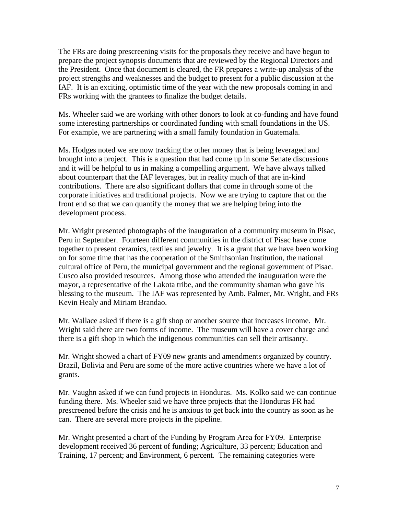The FRs are doing prescreening visits for the proposals they receive and have begun to prepare the project synopsis documents that are reviewed by the Regional Directors and the President. Once that document is cleared, the FR prepares a write-up analysis of the project strengths and weaknesses and the budget to present for a public discussion at the IAF. It is an exciting, optimistic time of the year with the new proposals coming in and FRs working with the grantees to finalize the budget details.

Ms. Wheeler said we are working with other donors to look at co-funding and have found some interesting partnerships or coordinated funding with small foundations in the US. For example, we are partnering with a small family foundation in Guatemala.

Ms. Hodges noted we are now tracking the other money that is being leveraged and brought into a project. This is a question that had come up in some Senate discussions and it will be helpful to us in making a compelling argument. We have always talked about counterpart that the IAF leverages, but in reality much of that are in-kind contributions. There are also significant dollars that come in through some of the corporate initiatives and traditional projects. Now we are trying to capture that on the front end so that we can quantify the money that we are helping bring into the development process.

Mr. Wright presented photographs of the inauguration of a community museum in Pisac, Peru in September. Fourteen different communities in the district of Pisac have come together to present ceramics, textiles and jewelry. It is a grant that we have been working on for some time that has the cooperation of the Smithsonian Institution, the national cultural office of Peru, the municipal government and the regional government of Pisac. Cusco also provided resources. Among those who attended the inauguration were the mayor, a representative of the Lakota tribe, and the community shaman who gave his blessing to the museum. The IAF was represented by Amb. Palmer, Mr. Wright, and FRs Kevin Healy and Miriam Brandao.

Mr. Wallace asked if there is a gift shop or another source that increases income. Mr. Wright said there are two forms of income. The museum will have a cover charge and there is a gift shop in which the indigenous communities can sell their artisanry.

Mr. Wright showed a chart of FY09 new grants and amendments organized by country. Brazil, Bolivia and Peru are some of the more active countries where we have a lot of grants.

Mr. Vaughn asked if we can fund projects in Honduras. Ms. Kolko said we can continue funding there. Ms. Wheeler said we have three projects that the Honduras FR had prescreened before the crisis and he is anxious to get back into the country as soon as he can. There are several more projects in the pipeline.

Mr. Wright presented a chart of the Funding by Program Area for FY09. Enterprise development received 36 percent of funding; Agriculture, 33 percent; Education and Training, 17 percent; and Environment, 6 percent. The remaining categories were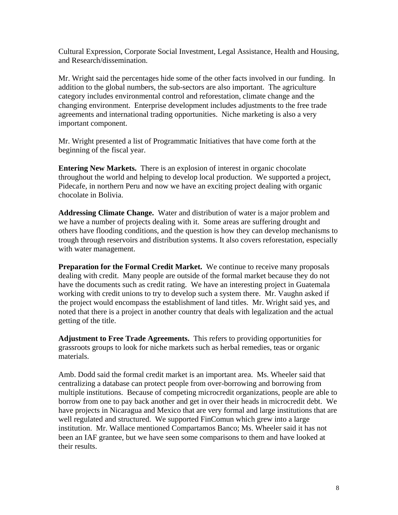Cultural Expression, Corporate Social Investment, Legal Assistance, Health and Housing, and Research/dissemination.

Mr. Wright said the percentages hide some of the other facts involved in our funding. In addition to the global numbers, the sub-sectors are also important. The agriculture category includes environmental control and reforestation, climate change and the changing environment. Enterprise development includes adjustments to the free trade agreements and international trading opportunities. Niche marketing is also a very important component.

Mr. Wright presented a list of Programmatic Initiatives that have come forth at the beginning of the fiscal year.

**Entering New Markets.** There is an explosion of interest in organic chocolate throughout the world and helping to develop local production. We supported a project, Pidecafe, in northern Peru and now we have an exciting project dealing with organic chocolate in Bolivia.

**Addressing Climate Change.** Water and distribution of water is a major problem and we have a number of projects dealing with it. Some areas are suffering drought and others have flooding conditions, and the question is how they can develop mechanisms to trough through reservoirs and distribution systems. It also covers reforestation, especially with water management.

**Preparation for the Formal Credit Market.** We continue to receive many proposals dealing with credit. Many people are outside of the formal market because they do not have the documents such as credit rating. We have an interesting project in Guatemala working with credit unions to try to develop such a system there. Mr. Vaughn asked if the project would encompass the establishment of land titles. Mr. Wright said yes, and noted that there is a project in another country that deals with legalization and the actual getting of the title.

**Adjustment to Free Trade Agreements.** This refers to providing opportunities for grassroots groups to look for niche markets such as herbal remedies, teas or organic materials.

Amb. Dodd said the formal credit market is an important area. Ms. Wheeler said that centralizing a database can protect people from over-borrowing and borrowing from multiple institutions. Because of competing microcredit organizations, people are able to borrow from one to pay back another and get in over their heads in microcredit debt. We have projects in Nicaragua and Mexico that are very formal and large institutions that are well regulated and structured. We supported FinComun which grew into a large institution. Mr. Wallace mentioned Compartamos Banco; Ms. Wheeler said it has not been an IAF grantee, but we have seen some comparisons to them and have looked at their results.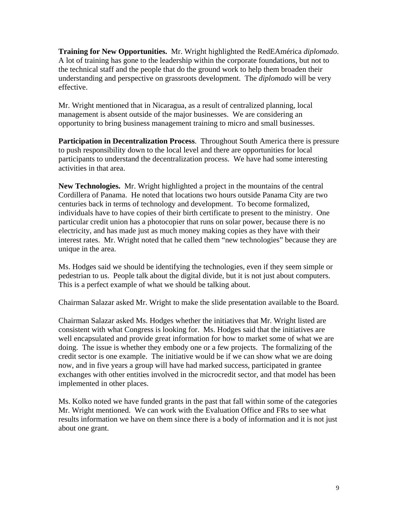**Training for New Opportunities.** Mr. Wright highlighted the RedEAmérica *diplomado*. A lot of training has gone to the leadership within the corporate foundations, but not to the technical staff and the people that do the ground work to help them broaden their understanding and perspective on grassroots development. The *diplomado* will be very effective.

Mr. Wright mentioned that in Nicaragua, as a result of centralized planning, local management is absent outside of the major businesses. We are considering an opportunity to bring business management training to micro and small businesses.

**Participation in Decentralization Process**. Throughout South America there is pressure to push responsibility down to the local level and there are opportunities for local participants to understand the decentralization process. We have had some interesting activities in that area.

**New Technologies.** Mr. Wright highlighted a project in the mountains of the central Cordillera of Panama. He noted that locations two hours outside Panama City are two centuries back in terms of technology and development. To become formalized, individuals have to have copies of their birth certificate to present to the ministry. One particular credit union has a photocopier that runs on solar power, because there is no electricity, and has made just as much money making copies as they have with their interest rates. Mr. Wright noted that he called them "new technologies" because they are unique in the area.

Ms. Hodges said we should be identifying the technologies, even if they seem simple or pedestrian to us. People talk about the digital divide, but it is not just about computers. This is a perfect example of what we should be talking about.

Chairman Salazar asked Mr. Wright to make the slide presentation available to the Board.

Chairman Salazar asked Ms. Hodges whether the initiatives that Mr. Wright listed are consistent with what Congress is looking for. Ms. Hodges said that the initiatives are well encapsulated and provide great information for how to market some of what we are doing. The issue is whether they embody one or a few projects. The formalizing of the credit sector is one example. The initiative would be if we can show what we are doing now, and in five years a group will have had marked success, participated in grantee exchanges with other entities involved in the microcredit sector, and that model has been implemented in other places.

Ms. Kolko noted we have funded grants in the past that fall within some of the categories Mr. Wright mentioned. We can work with the Evaluation Office and FRs to see what results information we have on them since there is a body of information and it is not just about one grant.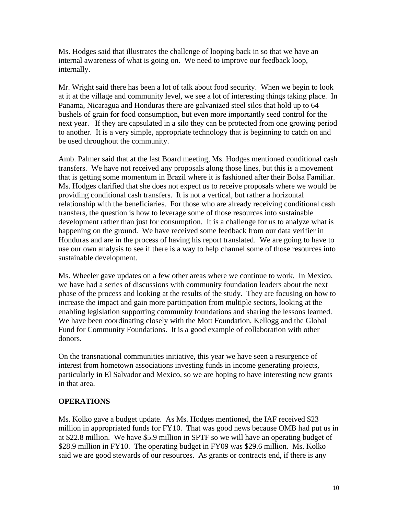Ms. Hodges said that illustrates the challenge of looping back in so that we have an internal awareness of what is going on. We need to improve our feedback loop, internally.

Mr. Wright said there has been a lot of talk about food security. When we begin to look at it at the village and community level, we see a lot of interesting things taking place. In Panama, Nicaragua and Honduras there are galvanized steel silos that hold up to 64 bushels of grain for food consumption, but even more importantly seed control for the next year. If they are capsulated in a silo they can be protected from one growing period to another. It is a very simple, appropriate technology that is beginning to catch on and be used throughout the community.

Amb. Palmer said that at the last Board meeting, Ms. Hodges mentioned conditional cash transfers. We have not received any proposals along those lines, but this is a movement that is getting some momentum in Brazil where it is fashioned after their Bolsa Familiar. Ms. Hodges clarified that she does not expect us to receive proposals where we would be providing conditional cash transfers. It is not a vertical, but rather a horizontal relationship with the beneficiaries. For those who are already receiving conditional cash transfers, the question is how to leverage some of those resources into sustainable development rather than just for consumption. It is a challenge for us to analyze what is happening on the ground. We have received some feedback from our data verifier in Honduras and are in the process of having his report translated. We are going to have to use our own analysis to see if there is a way to help channel some of those resources into sustainable development.

Ms. Wheeler gave updates on a few other areas where we continue to work. In Mexico, we have had a series of discussions with community foundation leaders about the next phase of the process and looking at the results of the study. They are focusing on how to increase the impact and gain more participation from multiple sectors, looking at the enabling legislation supporting community foundations and sharing the lessons learned. We have been coordinating closely with the Mott Foundation, Kellogg and the Global Fund for Community Foundations. It is a good example of collaboration with other donors.

On the transnational communities initiative, this year we have seen a resurgence of interest from hometown associations investing funds in income generating projects, particularly in El Salvador and Mexico, so we are hoping to have interesting new grants in that area.

# **OPERATIONS**

Ms. Kolko gave a budget update. As Ms. Hodges mentioned, the IAF received \$23 million in appropriated funds for FY10. That was good news because OMB had put us in at \$22.8 million. We have \$5.9 million in SPTF so we will have an operating budget of \$28.9 million in FY10. The operating budget in FY09 was \$29.6 million. Ms. Kolko said we are good stewards of our resources. As grants or contracts end, if there is any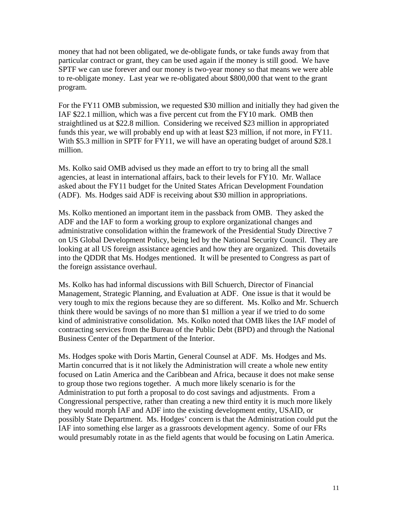money that had not been obligated, we de-obligate funds, or take funds away from that particular contract or grant, they can be used again if the money is still good. We have SPTF we can use forever and our money is two-year money so that means we were able to re-obligate money. Last year we re-obligated about \$800,000 that went to the grant program.

For the FY11 OMB submission, we requested \$30 million and initially they had given the IAF \$22.1 million, which was a five percent cut from the FY10 mark. OMB then straightlined us at \$22.8 million. Considering we received \$23 million in appropriated funds this year, we will probably end up with at least \$23 million, if not more, in FY11. With \$5.3 million in SPTF for FY11, we will have an operating budget of around \$28.1 million.

Ms. Kolko said OMB advised us they made an effort to try to bring all the small agencies, at least in international affairs, back to their levels for FY10. Mr. Wallace asked about the FY11 budget for the United States African Development Foundation (ADF). Ms. Hodges said ADF is receiving about \$30 million in appropriations.

Ms. Kolko mentioned an important item in the passback from OMB. They asked the ADF and the IAF to form a working group to explore organizational changes and administrative consolidation within the framework of the Presidential Study Directive 7 on US Global Development Policy, being led by the National Security Council. They are looking at all US foreign assistance agencies and how they are organized. This dovetails into the QDDR that Ms. Hodges mentioned. It will be presented to Congress as part of the foreign assistance overhaul.

Ms. Kolko has had informal discussions with Bill Schuerch, Director of Financial Management, Strategic Planning, and Evaluation at ADF. One issue is that it would be very tough to mix the regions because they are so different. Ms. Kolko and Mr. Schuerch think there would be savings of no more than \$1 million a year if we tried to do some kind of administrative consolidation. Ms. Kolko noted that OMB likes the IAF model of contracting services from the Bureau of the Public Debt (BPD) and through the National Business Center of the Department of the Interior.

Ms. Hodges spoke with Doris Martin, General Counsel at ADF. Ms. Hodges and Ms. Martin concurred that is it not likely the Administration will create a whole new entity focused on Latin America and the Caribbean and Africa, because it does not make sense to group those two regions together. A much more likely scenario is for the Administration to put forth a proposal to do cost savings and adjustments. From a Congressional perspective, rather than creating a new third entity it is much more likely they would morph IAF and ADF into the existing development entity, USAID, or possibly State Department. Ms. Hodges' concern is that the Administration could put the IAF into something else larger as a grassroots development agency. Some of our FRs would presumably rotate in as the field agents that would be focusing on Latin America.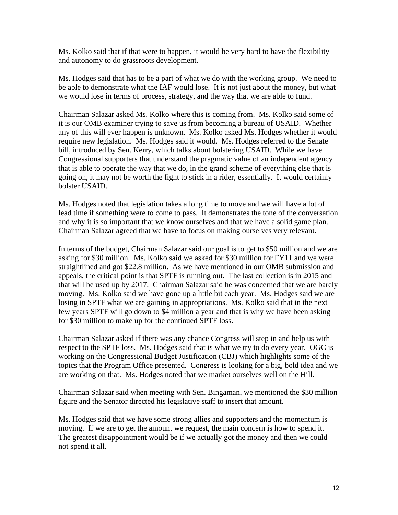Ms. Kolko said that if that were to happen, it would be very hard to have the flexibility and autonomy to do grassroots development.

Ms. Hodges said that has to be a part of what we do with the working group. We need to be able to demonstrate what the IAF would lose. It is not just about the money, but what we would lose in terms of process, strategy, and the way that we are able to fund.

Chairman Salazar asked Ms. Kolko where this is coming from. Ms. Kolko said some of it is our OMB examiner trying to save us from becoming a bureau of USAID. Whether any of this will ever happen is unknown. Ms. Kolko asked Ms. Hodges whether it would require new legislation. Ms. Hodges said it would. Ms. Hodges referred to the Senate bill, introduced by Sen. Kerry, which talks about bolstering USAID. While we have Congressional supporters that understand the pragmatic value of an independent agency that is able to operate the way that we do, in the grand scheme of everything else that is going on, it may not be worth the fight to stick in a rider, essentially. It would certainly bolster USAID.

Ms. Hodges noted that legislation takes a long time to move and we will have a lot of lead time if something were to come to pass. It demonstrates the tone of the conversation and why it is so important that we know ourselves and that we have a solid game plan. Chairman Salazar agreed that we have to focus on making ourselves very relevant.

In terms of the budget, Chairman Salazar said our goal is to get to \$50 million and we are asking for \$30 million. Ms. Kolko said we asked for \$30 million for FY11 and we were straightlined and got \$22.8 million. As we have mentioned in our OMB submission and appeals, the critical point is that SPTF is running out. The last collection is in 2015 and that will be used up by 2017. Chairman Salazar said he was concerned that we are barely moving. Ms. Kolko said we have gone up a little bit each year. Ms. Hodges said we are losing in SPTF what we are gaining in appropriations. Ms. Kolko said that in the next few years SPTF will go down to \$4 million a year and that is why we have been asking for \$30 million to make up for the continued SPTF loss.

Chairman Salazar asked if there was any chance Congress will step in and help us with respect to the SPTF loss. Ms. Hodges said that is what we try to do every year. OGC is working on the Congressional Budget Justification (CBJ) which highlights some of the topics that the Program Office presented. Congress is looking for a big, bold idea and we are working on that. Ms. Hodges noted that we market ourselves well on the Hill.

Chairman Salazar said when meeting with Sen. Bingaman, we mentioned the \$30 million figure and the Senator directed his legislative staff to insert that amount.

Ms. Hodges said that we have some strong allies and supporters and the momentum is moving. If we are to get the amount we request, the main concern is how to spend it. The greatest disappointment would be if we actually got the money and then we could not spend it all.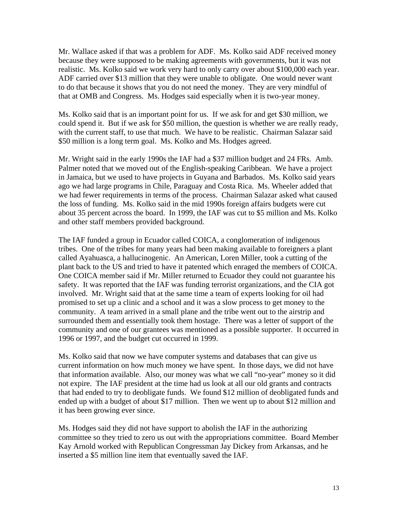Mr. Wallace asked if that was a problem for ADF. Ms. Kolko said ADF received money because they were supposed to be making agreements with governments, but it was not realistic. Ms. Kolko said we work very hard to only carry over about \$100,000 each year. ADF carried over \$13 million that they were unable to obligate. One would never want to do that because it shows that you do not need the money. They are very mindful of that at OMB and Congress. Ms. Hodges said especially when it is two-year money.

Ms. Kolko said that is an important point for us. If we ask for and get \$30 million, we could spend it. But if we ask for \$50 million, the question is whether we are really ready, with the current staff, to use that much. We have to be realistic. Chairman Salazar said \$50 million is a long term goal. Ms. Kolko and Ms. Hodges agreed.

Mr. Wright said in the early 1990s the IAF had a \$37 million budget and 24 FRs. Amb. Palmer noted that we moved out of the English-speaking Caribbean. We have a project in Jamaica, but we used to have projects in Guyana and Barbados. Ms. Kolko said years ago we had large programs in Chile, Paraguay and Costa Rica. Ms. Wheeler added that we had fewer requirements in terms of the process. Chairman Salazar asked what caused the loss of funding. Ms. Kolko said in the mid 1990s foreign affairs budgets were cut about 35 percent across the board. In 1999, the IAF was cut to \$5 million and Ms. Kolko and other staff members provided background.

The IAF funded a group in Ecuador called COICA, a conglomeration of indigenous tribes. One of the tribes for many years had been making available to foreigners a plant called Ayahuasca, a hallucinogenic. An American, Loren Miller, took a cutting of the plant back to the US and tried to have it patented which enraged the members of COICA. One COICA member said if Mr. Miller returned to Ecuador they could not guarantee his safety. It was reported that the IAF was funding terrorist organizations, and the CIA got involved. Mr. Wright said that at the same time a team of experts looking for oil had promised to set up a clinic and a school and it was a slow process to get money to the community. A team arrived in a small plane and the tribe went out to the airstrip and surrounded them and essentially took them hostage. There was a letter of support of the community and one of our grantees was mentioned as a possible supporter. It occurred in 1996 or 1997, and the budget cut occurred in 1999.

Ms. Kolko said that now we have computer systems and databases that can give us current information on how much money we have spent. In those days, we did not have that information available. Also, our money was what we call "no-year" money so it did not expire. The IAF president at the time had us look at all our old grants and contracts that had ended to try to deobligate funds. We found \$12 million of deobligated funds and ended up with a budget of about \$17 million. Then we went up to about \$12 million and it has been growing ever since.

Ms. Hodges said they did not have support to abolish the IAF in the authorizing committee so they tried to zero us out with the appropriations committee. Board Member Kay Arnold worked with Republican Congressman Jay Dickey from Arkansas, and he inserted a \$5 million line item that eventually saved the IAF.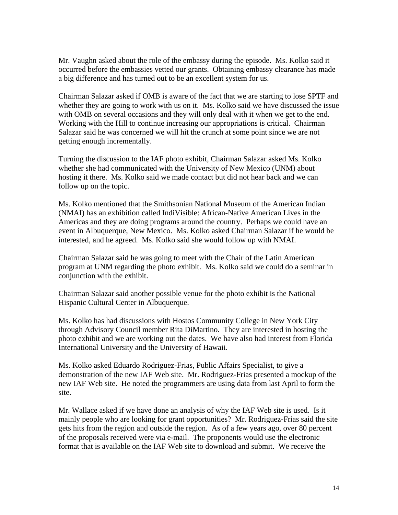Mr. Vaughn asked about the role of the embassy during the episode. Ms. Kolko said it occurred before the embassies vetted our grants. Obtaining embassy clearance has made a big difference and has turned out to be an excellent system for us.

Chairman Salazar asked if OMB is aware of the fact that we are starting to lose SPTF and whether they are going to work with us on it. Ms. Kolko said we have discussed the issue with OMB on several occasions and they will only deal with it when we get to the end. Working with the Hill to continue increasing our appropriations is critical. Chairman Salazar said he was concerned we will hit the crunch at some point since we are not getting enough incrementally.

Turning the discussion to the IAF photo exhibit, Chairman Salazar asked Ms. Kolko whether she had communicated with the University of New Mexico (UNM) about hosting it there. Ms. Kolko said we made contact but did not hear back and we can follow up on the topic.

Ms. Kolko mentioned that the Smithsonian National Museum of the American Indian (NMAI) has an exhibition called IndiVisible: African-Native American Lives in the Americas and they are doing programs around the country. Perhaps we could have an event in Albuquerque, New Mexico. Ms. Kolko asked Chairman Salazar if he would be interested, and he agreed. Ms. Kolko said she would follow up with NMAI.

Chairman Salazar said he was going to meet with the Chair of the Latin American program at UNM regarding the photo exhibit. Ms. Kolko said we could do a seminar in conjunction with the exhibit.

Chairman Salazar said another possible venue for the photo exhibit is the National Hispanic Cultural Center in Albuquerque.

Ms. Kolko has had discussions with Hostos Community College in New York City through Advisory Council member Rita DiMartino. They are interested in hosting the photo exhibit and we are working out the dates. We have also had interest from Florida International University and the University of Hawaii.

Ms. Kolko asked Eduardo Rodriguez-Frias, Public Affairs Specialist, to give a demonstration of the new IAF Web site. Mr. Rodriguez-Frias presented a mockup of the new IAF Web site. He noted the programmers are using data from last April to form the site.

Mr. Wallace asked if we have done an analysis of why the IAF Web site is used. Is it mainly people who are looking for grant opportunities? Mr. Rodriguez-Frias said the site gets hits from the region and outside the region. As of a few years ago, over 80 percent of the proposals received were via e-mail. The proponents would use the electronic format that is available on the IAF Web site to download and submit. We receive the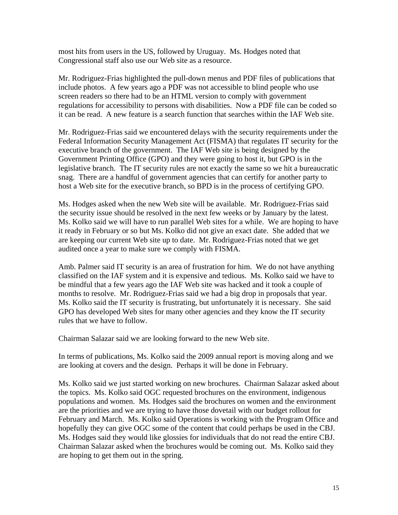most hits from users in the US, followed by Uruguay. Ms. Hodges noted that Congressional staff also use our Web site as a resource.

Mr. Rodriguez-Frias highlighted the pull-down menus and PDF files of publications that include photos. A few years ago a PDF was not accessible to blind people who use screen readers so there had to be an HTML version to comply with government regulations for accessibility to persons with disabilities. Now a PDF file can be coded so it can be read. A new feature is a search function that searches within the IAF Web site.

Mr. Rodriguez-Frias said we encountered delays with the security requirements under the Federal Information Security Management Act (FISMA) that regulates IT security for the executive branch of the government. The IAF Web site is being designed by the Government Printing Office (GPO) and they were going to host it, but GPO is in the legislative branch. The IT security rules are not exactly the same so we hit a bureaucratic snag. There are a handful of government agencies that can certify for another party to host a Web site for the executive branch, so BPD is in the process of certifying GPO.

Ms. Hodges asked when the new Web site will be available. Mr. Rodriguez-Frias said the security issue should be resolved in the next few weeks or by January by the latest. Ms. Kolko said we will have to run parallel Web sites for a while. We are hoping to have it ready in February or so but Ms. Kolko did not give an exact date. She added that we are keeping our current Web site up to date. Mr. Rodriguez-Frias noted that we get audited once a year to make sure we comply with FISMA.

Amb. Palmer said IT security is an area of frustration for him. We do not have anything classified on the IAF system and it is expensive and tedious. Ms. Kolko said we have to be mindful that a few years ago the IAF Web site was hacked and it took a couple of months to resolve. Mr. Rodriguez-Frias said we had a big drop in proposals that year. Ms. Kolko said the IT security is frustrating, but unfortunately it is necessary. She said GPO has developed Web sites for many other agencies and they know the IT security rules that we have to follow.

Chairman Salazar said we are looking forward to the new Web site.

In terms of publications, Ms. Kolko said the 2009 annual report is moving along and we are looking at covers and the design. Perhaps it will be done in February.

Ms. Kolko said we just started working on new brochures. Chairman Salazar asked about the topics. Ms. Kolko said OGC requested brochures on the environment, indigenous populations and women. Ms. Hodges said the brochures on women and the environment are the priorities and we are trying to have those dovetail with our budget rollout for February and March. Ms. Kolko said Operations is working with the Program Office and hopefully they can give OGC some of the content that could perhaps be used in the CBJ. Ms. Hodges said they would like glossies for individuals that do not read the entire CBJ. Chairman Salazar asked when the brochures would be coming out. Ms. Kolko said they are hoping to get them out in the spring.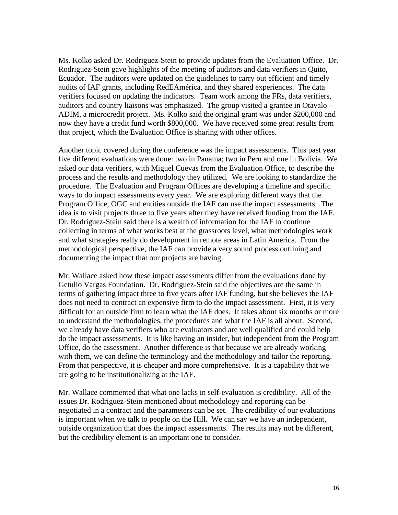Ms. Kolko asked Dr. Rodriguez-Stein to provide updates from the Evaluation Office. Dr. Rodriguez-Stein gave highlights of the meeting of auditors and data verifiers in Quito, Ecuador. The auditors were updated on the guidelines to carry out efficient and timely audits of IAF grants, including RedEAmérica, and they shared experiences. The data verifiers focused on updating the indicators. Team work among the FRs, data verifiers, auditors and country liaisons was emphasized. The group visited a grantee in Otavalo – ADIM, a microcredit project. Ms. Kolko said the original grant was under \$200,000 and now they have a credit fund worth \$800,000. We have received some great results from that project, which the Evaluation Office is sharing with other offices.

Another topic covered during the conference was the impact assessments. This past year five different evaluations were done: two in Panama; two in Peru and one in Bolivia. We asked our data verifiers, with Miguel Cuevas from the Evaluation Office, to describe the process and the results and methodology they utilized. We are looking to standardize the procedure. The Evaluation and Program Offices are developing a timeline and specific ways to do impact assessments every year. We are exploring different ways that the Program Office, OGC and entities outside the IAF can use the impact assessments. The idea is to visit projects three to five years after they have received funding from the IAF. Dr. Rodriguez-Stein said there is a wealth of information for the IAF to continue collecting in terms of what works best at the grassroots level, what methodologies work and what strategies really do development in remote areas in Latin America. From the methodological perspective, the IAF can provide a very sound process outlining and documenting the impact that our projects are having.

Mr. Wallace asked how these impact assessments differ from the evaluations done by Getulio Vargas Foundation. Dr. Rodriguez-Stein said the objectives are the same in terms of gathering impact three to five years after IAF funding, but she believes the IAF does not need to contract an expensive firm to do the impact assessment. First, it is very difficult for an outside firm to learn what the IAF does. It takes about six months or more to understand the methodologies, the procedures and what the IAF is all about. Second, we already have data verifiers who are evaluators and are well qualified and could help do the impact assessments. It is like having an insider, but independent from the Program Office, do the assessment. Another difference is that because we are already working with them, we can define the terminology and the methodology and tailor the reporting. From that perspective, it is cheaper and more comprehensive. It is a capability that we are going to be institutionalizing at the IAF.

Mr. Wallace commented that what one lacks in self-evaluation is credibility. All of the issues Dr. Rodriguez-Stein mentioned about methodology and reporting can be negotiated in a contract and the parameters can be set. The credibility of our evaluations is important when we talk to people on the Hill. We can say we have an independent, outside organization that does the impact assessments. The results may not be different, but the credibility element is an important one to consider.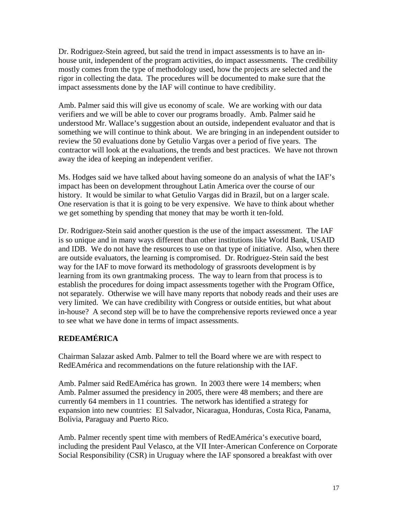Dr. Rodriguez-Stein agreed, but said the trend in impact assessments is to have an inhouse unit, independent of the program activities, do impact assessments. The credibility mostly comes from the type of methodology used, how the projects are selected and the rigor in collecting the data. The procedures will be documented to make sure that the impact assessments done by the IAF will continue to have credibility.

Amb. Palmer said this will give us economy of scale. We are working with our data verifiers and we will be able to cover our programs broadly. Amb. Palmer said he understood Mr. Wallace's suggestion about an outside, independent evaluator and that is something we will continue to think about. We are bringing in an independent outsider to review the 50 evaluations done by Getulio Vargas over a period of five years. The contractor will look at the evaluations, the trends and best practices. We have not thrown away the idea of keeping an independent verifier.

Ms. Hodges said we have talked about having someone do an analysis of what the IAF's impact has been on development throughout Latin America over the course of our history. It would be similar to what Getulio Vargas did in Brazil, but on a larger scale. One reservation is that it is going to be very expensive. We have to think about whether we get something by spending that money that may be worth it ten-fold.

Dr. Rodriguez-Stein said another question is the use of the impact assessment. The IAF is so unique and in many ways different than other institutions like World Bank, USAID and IDB. We do not have the resources to use on that type of initiative. Also, when there are outside evaluators, the learning is compromised. Dr. Rodriguez-Stein said the best way for the IAF to move forward its methodology of grassroots development is by learning from its own grantmaking process. The way to learn from that process is to establish the procedures for doing impact assessments together with the Program Office, not separately. Otherwise we will have many reports that nobody reads and their uses are very limited. We can have credibility with Congress or outside entities, but what about in-house? A second step will be to have the comprehensive reports reviewed once a year to see what we have done in terms of impact assessments.

# **REDEAMÉRICA**

Chairman Salazar asked Amb. Palmer to tell the Board where we are with respect to RedEAmérica and recommendations on the future relationship with the IAF.

Amb. Palmer said RedEAmérica has grown. In 2003 there were 14 members; when Amb. Palmer assumed the presidency in 2005, there were 48 members; and there are currently 64 members in 11 countries. The network has identified a strategy for expansion into new countries: El Salvador, Nicaragua, Honduras, Costa Rica, Panama, Bolivia, Paraguay and Puerto Rico.

Amb. Palmer recently spent time with members of RedEAmérica's executive board, including the president Paul Velasco, at the VII Inter-American Conference on Corporate Social Responsibility (CSR) in Uruguay where the IAF sponsored a breakfast with over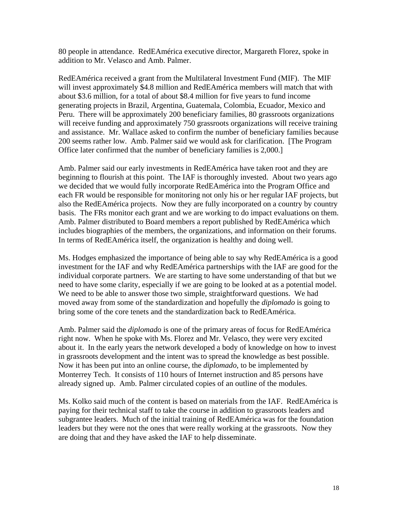80 people in attendance. RedEAmérica executive director, Margareth Florez, spoke in addition to Mr. Velasco and Amb. Palmer.

RedEAmérica received a grant from the Multilateral Investment Fund (MIF). The MIF will invest approximately \$4.8 million and RedEAmérica members will match that with about \$3.6 million, for a total of about \$8.4 million for five years to fund income generating projects in Brazil, Argentina, Guatemala, Colombia, Ecuador, Mexico and Peru. There will be approximately 200 beneficiary families, 80 grassroots organizations will receive funding and approximately 750 grassroots organizations will receive training and assistance. Mr. Wallace asked to confirm the number of beneficiary families because 200 seems rather low. Amb. Palmer said we would ask for clarification. [The Program Office later confirmed that the number of beneficiary families is 2,000.]

Amb. Palmer said our early investments in RedEAmérica have taken root and they are beginning to flourish at this point. The IAF is thoroughly invested. About two years ago we decided that we would fully incorporate RedEAmérica into the Program Office and each FR would be responsible for monitoring not only his or her regular IAF projects, but also the RedEAmérica projects. Now they are fully incorporated on a country by country basis. The FRs monitor each grant and we are working to do impact evaluations on them. Amb. Palmer distributed to Board members a report published by RedEAmérica which includes biographies of the members, the organizations, and information on their forums. In terms of RedEAmérica itself, the organization is healthy and doing well.

Ms. Hodges emphasized the importance of being able to say why RedEAmérica is a good investment for the IAF and why RedEAmérica partnerships with the IAF are good for the individual corporate partners. We are starting to have some understanding of that but we need to have some clarity, especially if we are going to be looked at as a potential model. We need to be able to answer those two simple, straightforward questions. We had moved away from some of the standardization and hopefully the *diplomado* is going to bring some of the core tenets and the standardization back to RedEAmérica.

Amb. Palmer said the *diplomado* is one of the primary areas of focus for RedEAmérica right now. When he spoke with Ms. Florez and Mr. Velasco, they were very excited about it. In the early years the network developed a body of knowledge on how to invest in grassroots development and the intent was to spread the knowledge as best possible. Now it has been put into an online course, the *diplomado*, to be implemented by Monterrey Tech. It consists of 110 hours of Internet instruction and 85 persons have already signed up. Amb. Palmer circulated copies of an outline of the modules.

Ms. Kolko said much of the content is based on materials from the IAF. RedEAmérica is paying for their technical staff to take the course in addition to grassroots leaders and subgrantee leaders. Much of the initial training of RedEAmérica was for the foundation leaders but they were not the ones that were really working at the grassroots. Now they are doing that and they have asked the IAF to help disseminate.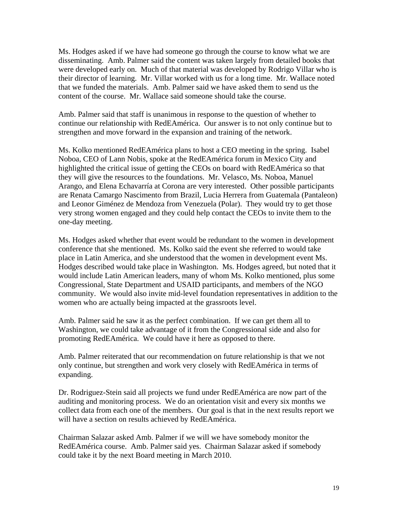Ms. Hodges asked if we have had someone go through the course to know what we are disseminating. Amb. Palmer said the content was taken largely from detailed books that were developed early on. Much of that material was developed by Rodrigo Villar who is their director of learning. Mr. Villar worked with us for a long time. Mr. Wallace noted that we funded the materials. Amb. Palmer said we have asked them to send us the content of the course. Mr. Wallace said someone should take the course.

Amb. Palmer said that staff is unanimous in response to the question of whether to continue our relationship with RedEAmérica. Our answer is to not only continue but to strengthen and move forward in the expansion and training of the network.

Ms. Kolko mentioned RedEAmérica plans to host a CEO meeting in the spring. Isabel Noboa, CEO of Lann Nobis, spoke at the RedEAmérica forum in Mexico City and highlighted the critical issue of getting the CEOs on board with RedEAmérica so that they will give the resources to the foundations. Mr. Velasco, Ms. Noboa, Manuel Arango, and Elena Echavarría at Corona are very interested. Other possible participants are Renata Camargo Nascimento from Brazil, Lucia Herrera from Guatemala (Pantaleon) and Leonor Giménez de Mendoza from Venezuela (Polar). They would try to get those very strong women engaged and they could help contact the CEOs to invite them to the one-day meeting.

Ms. Hodges asked whether that event would be redundant to the women in development conference that she mentioned. Ms. Kolko said the event she referred to would take place in Latin America, and she understood that the women in development event Ms. Hodges described would take place in Washington. Ms. Hodges agreed, but noted that it would include Latin American leaders, many of whom Ms. Kolko mentioned, plus some Congressional, State Department and USAID participants, and members of the NGO community. We would also invite mid-level foundation representatives in addition to the women who are actually being impacted at the grassroots level.

Amb. Palmer said he saw it as the perfect combination. If we can get them all to Washington, we could take advantage of it from the Congressional side and also for promoting RedEAmérica. We could have it here as opposed to there.

Amb. Palmer reiterated that our recommendation on future relationship is that we not only continue, but strengthen and work very closely with RedEAmérica in terms of expanding.

Dr. Rodriguez-Stein said all projects we fund under RedEAmérica are now part of the auditing and monitoring process. We do an orientation visit and every six months we collect data from each one of the members. Our goal is that in the next results report we will have a section on results achieved by RedEAmérica.

Chairman Salazar asked Amb. Palmer if we will we have somebody monitor the RedEAmérica course. Amb. Palmer said yes. Chairman Salazar asked if somebody could take it by the next Board meeting in March 2010.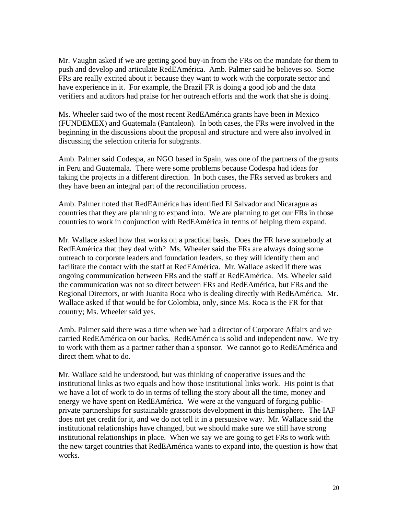Mr. Vaughn asked if we are getting good buy-in from the FRs on the mandate for them to push and develop and articulate RedEAmérica. Amb. Palmer said he believes so. Some FRs are really excited about it because they want to work with the corporate sector and have experience in it. For example, the Brazil FR is doing a good job and the data verifiers and auditors had praise for her outreach efforts and the work that she is doing.

Ms. Wheeler said two of the most recent RedEAmérica grants have been in Mexico (FUNDEMEX) and Guatemala (Pantaleon). In both cases, the FRs were involved in the beginning in the discussions about the proposal and structure and were also involved in discussing the selection criteria for subgrants.

Amb. Palmer said Codespa, an NGO based in Spain, was one of the partners of the grants in Peru and Guatemala. There were some problems because Codespa had ideas for taking the projects in a different direction. In both cases, the FRs served as brokers and they have been an integral part of the reconciliation process.

Amb. Palmer noted that RedEAmérica has identified El Salvador and Nicaragua as countries that they are planning to expand into. We are planning to get our FRs in those countries to work in conjunction with RedEAmérica in terms of helping them expand.

Mr. Wallace asked how that works on a practical basis. Does the FR have somebody at RedEAmérica that they deal with? Ms. Wheeler said the FRs are always doing some outreach to corporate leaders and foundation leaders, so they will identify them and facilitate the contact with the staff at RedEAmérica. Mr. Wallace asked if there was ongoing communication between FRs and the staff at RedEAmérica. Ms. Wheeler said the communication was not so direct between FRs and RedEAmérica, but FRs and the Regional Directors, or with Juanita Roca who is dealing directly with RedEAmérica. Mr. Wallace asked if that would be for Colombia, only, since Ms. Roca is the FR for that country; Ms. Wheeler said yes.

Amb. Palmer said there was a time when we had a director of Corporate Affairs and we carried RedEAmérica on our backs. RedEAmérica is solid and independent now. We try to work with them as a partner rather than a sponsor. We cannot go to RedEAmérica and direct them what to do.

Mr. Wallace said he understood, but was thinking of cooperative issues and the institutional links as two equals and how those institutional links work. His point is that we have a lot of work to do in terms of telling the story about all the time, money and energy we have spent on RedEAmérica. We were at the vanguard of forging publicprivate partnerships for sustainable grassroots development in this hemisphere. The IAF does not get credit for it, and we do not tell it in a persuasive way. Mr. Wallace said the institutional relationships have changed, but we should make sure we still have strong institutional relationships in place. When we say we are going to get FRs to work with the new target countries that RedEAmérica wants to expand into, the question is how that works.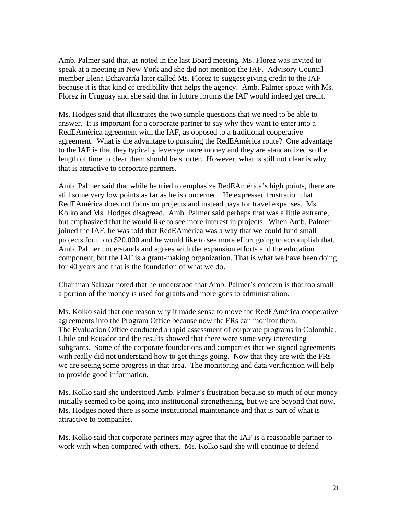Amb. Palmer said that, as noted in the last Board meeting, Ms. Florez was invited to speak at a meeting in New York and she did not mention the IAF. Advisory Council member Elena Echavarría later called Ms. Florez to suggest giving credit to the IAF because it is that kind of credibility that helps the agency. Amb. Palmer spoke with Ms. Florez in Uruguay and she said that in future forums the IAF would indeed get credit.

Ms. Hodges said that illustrates the two simple questions that we need to be able to answer. It is important for a corporate partner to say why they want to enter into a RedEAmérica agreement with the IAF, as opposed to a traditional cooperative agreement. What is the advantage to pursuing the RedEAmérica route? One advantage to the IAF is that they typically leverage more money and they are standardized so the length of time to clear them should be shorter. However, what is still not clear is why that is attractive to corporate partners.

Amb. Palmer said that while he tried to emphasize RedEAmérica's high points, there are still some very low points as far as he is concerned. He expressed frustration that RedEAmérica does not focus on projects and instead pays for travel expenses. Ms. Kolko and Ms. Hodges disagreed. Amb. Palmer said perhaps that was a little extreme, but emphasized that he would like to see more interest in projects. When Amb. Palmer joined the IAF, he was told that RedEAmérica was a way that we could fund small projects for up to \$20,000 and he would like to see more effort going to accomplish that. Amb. Palmer understands and agrees with the expansion efforts and the education component, but the IAF is a grant-making organization. That is what we have been doing for 40 years and that is the foundation of what we do.

Chairman Salazar noted that he understood that Amb. Palmer's concern is that too small a portion of the money is used for grants and more goes to administration.

Ms. Kolko said that one reason why it made sense to move the RedEAmérica cooperative agreements into the Program Office because now the FRs can monitor them. The Evaluation Office conducted a rapid assessment of corporate programs in Colombia, Chile and Ecuador and the results showed that there were some very interesting subgrants. Some of the corporate foundations and companies that we signed agreements with really did not understand how to get things going. Now that they are with the FRs we are seeing some progress in that area. The monitoring and data verification will help to provide good information.

Ms. Kolko said she understood Amb. Palmer's frustration because so much of our money initially seemed to be going into institutional strengthening, but we are beyond that now. Ms. Hodges noted there is some institutional maintenance and that is part of what is attractive to companies.

Ms. Kolko said that corporate partners may agree that the IAF is a reasonable partner to work with when compared with others. Ms. Kolko said she will continue to defend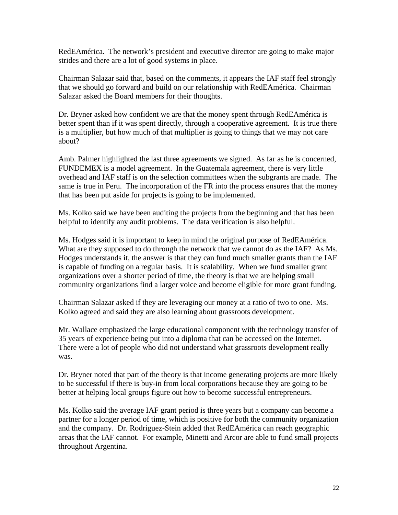RedEAmérica. The network's president and executive director are going to make major strides and there are a lot of good systems in place.

Chairman Salazar said that, based on the comments, it appears the IAF staff feel strongly that we should go forward and build on our relationship with RedEAmérica. Chairman Salazar asked the Board members for their thoughts.

Dr. Bryner asked how confident we are that the money spent through RedEAmérica is better spent than if it was spent directly, through a cooperative agreement. It is true there is a multiplier, but how much of that multiplier is going to things that we may not care about?

Amb. Palmer highlighted the last three agreements we signed. As far as he is concerned, FUNDEMEX is a model agreement. In the Guatemala agreement, there is very little overhead and IAF staff is on the selection committees when the subgrants are made. The same is true in Peru. The incorporation of the FR into the process ensures that the money that has been put aside for projects is going to be implemented.

Ms. Kolko said we have been auditing the projects from the beginning and that has been helpful to identify any audit problems. The data verification is also helpful.

Ms. Hodges said it is important to keep in mind the original purpose of RedEAmérica. What are they supposed to do through the network that we cannot do as the IAF? As Ms. Hodges understands it, the answer is that they can fund much smaller grants than the IAF is capable of funding on a regular basis. It is scalability. When we fund smaller grant organizations over a shorter period of time, the theory is that we are helping small community organizations find a larger voice and become eligible for more grant funding.

Chairman Salazar asked if they are leveraging our money at a ratio of two to one. Ms. Kolko agreed and said they are also learning about grassroots development.

Mr. Wallace emphasized the large educational component with the technology transfer of 35 years of experience being put into a diploma that can be accessed on the Internet. There were a lot of people who did not understand what grassroots development really was.

Dr. Bryner noted that part of the theory is that income generating projects are more likely to be successful if there is buy-in from local corporations because they are going to be better at helping local groups figure out how to become successful entrepreneurs.

Ms. Kolko said the average IAF grant period is three years but a company can become a partner for a longer period of time, which is positive for both the community organization and the company. Dr. Rodriguez-Stein added that RedEAmérica can reach geographic areas that the IAF cannot. For example, Minetti and Arcor are able to fund small projects throughout Argentina.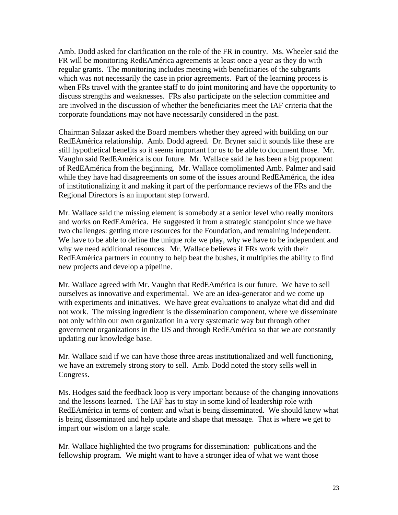Amb. Dodd asked for clarification on the role of the FR in country. Ms. Wheeler said the FR will be monitoring RedEAmérica agreements at least once a year as they do with regular grants. The monitoring includes meeting with beneficiaries of the subgrants which was not necessarily the case in prior agreements. Part of the learning process is when FRs travel with the grantee staff to do joint monitoring and have the opportunity to discuss strengths and weaknesses. FRs also participate on the selection committee and are involved in the discussion of whether the beneficiaries meet the IAF criteria that the corporate foundations may not have necessarily considered in the past.

Chairman Salazar asked the Board members whether they agreed with building on our RedEAmérica relationship. Amb. Dodd agreed. Dr. Bryner said it sounds like these are still hypothetical benefits so it seems important for us to be able to document those. Mr. Vaughn said RedEAmérica is our future. Mr. Wallace said he has been a big proponent of RedEAmérica from the beginning. Mr. Wallace complimented Amb. Palmer and said while they have had disagreements on some of the issues around RedEAmérica, the idea of institutionalizing it and making it part of the performance reviews of the FRs and the Regional Directors is an important step forward.

Mr. Wallace said the missing element is somebody at a senior level who really monitors and works on RedEAmérica. He suggested it from a strategic standpoint since we have two challenges: getting more resources for the Foundation, and remaining independent. We have to be able to define the unique role we play, why we have to be independent and why we need additional resources. Mr. Wallace believes if FRs work with their RedEAmérica partners in country to help beat the bushes, it multiplies the ability to find new projects and develop a pipeline.

Mr. Wallace agreed with Mr. Vaughn that RedEAmérica is our future. We have to sell ourselves as innovative and experimental. We are an idea-generator and we come up with experiments and initiatives. We have great evaluations to analyze what did and did not work. The missing ingredient is the dissemination component, where we disseminate not only within our own organization in a very systematic way but through other government organizations in the US and through RedEAmérica so that we are constantly updating our knowledge base.

Mr. Wallace said if we can have those three areas institutionalized and well functioning, we have an extremely strong story to sell. Amb. Dodd noted the story sells well in Congress.

Ms. Hodges said the feedback loop is very important because of the changing innovations and the lessons learned. The IAF has to stay in some kind of leadership role with RedEAmérica in terms of content and what is being disseminated. We should know what is being disseminated and help update and shape that message. That is where we get to impart our wisdom on a large scale.

Mr. Wallace highlighted the two programs for dissemination: publications and the fellowship program. We might want to have a stronger idea of what we want those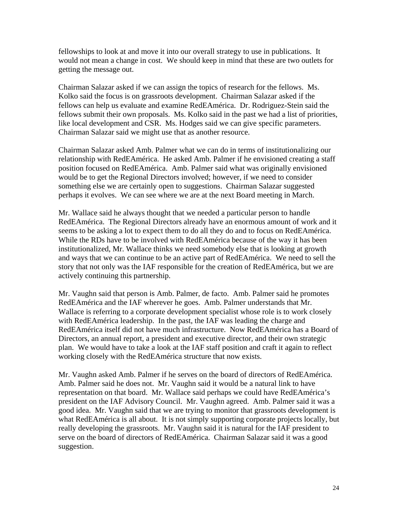fellowships to look at and move it into our overall strategy to use in publications. It would not mean a change in cost. We should keep in mind that these are two outlets for getting the message out.

Chairman Salazar asked if we can assign the topics of research for the fellows. Ms. Kolko said the focus is on grassroots development. Chairman Salazar asked if the fellows can help us evaluate and examine RedEAmérica. Dr. Rodriguez-Stein said the fellows submit their own proposals. Ms. Kolko said in the past we had a list of priorities, like local development and CSR. Ms. Hodges said we can give specific parameters. Chairman Salazar said we might use that as another resource.

Chairman Salazar asked Amb. Palmer what we can do in terms of institutionalizing our relationship with RedEAmérica. He asked Amb. Palmer if he envisioned creating a staff position focused on RedEAmérica. Amb. Palmer said what was originally envisioned would be to get the Regional Directors involved; however, if we need to consider something else we are certainly open to suggestions. Chairman Salazar suggested perhaps it evolves. We can see where we are at the next Board meeting in March.

Mr. Wallace said he always thought that we needed a particular person to handle RedEAmérica. The Regional Directors already have an enormous amount of work and it seems to be asking a lot to expect them to do all they do and to focus on RedEAmérica. While the RDs have to be involved with RedEAmérica because of the way it has been institutionalized, Mr. Wallace thinks we need somebody else that is looking at growth and ways that we can continue to be an active part of RedEAmérica. We need to sell the story that not only was the IAF responsible for the creation of RedEAmérica, but we are actively continuing this partnership.

Mr. Vaughn said that person is Amb. Palmer, de facto. Amb. Palmer said he promotes RedEAmérica and the IAF wherever he goes. Amb. Palmer understands that Mr. Wallace is referring to a corporate development specialist whose role is to work closely with RedEAmérica leadership. In the past, the IAF was leading the charge and RedEAmérica itself did not have much infrastructure. Now RedEAmérica has a Board of Directors, an annual report, a president and executive director, and their own strategic plan. We would have to take a look at the IAF staff position and craft it again to reflect working closely with the RedEAmérica structure that now exists.

Mr. Vaughn asked Amb. Palmer if he serves on the board of directors of RedEAmérica. Amb. Palmer said he does not. Mr. Vaughn said it would be a natural link to have representation on that board. Mr. Wallace said perhaps we could have RedEAmérica's president on the IAF Advisory Council. Mr. Vaughn agreed. Amb. Palmer said it was a good idea. Mr. Vaughn said that we are trying to monitor that grassroots development is what RedEAmérica is all about. It is not simply supporting corporate projects locally, but really developing the grassroots. Mr. Vaughn said it is natural for the IAF president to serve on the board of directors of RedEAmérica. Chairman Salazar said it was a good suggestion.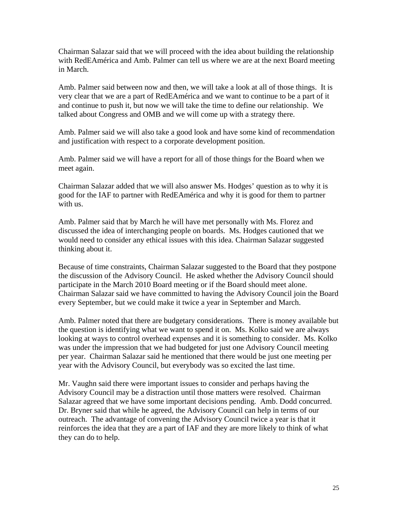Chairman Salazar said that we will proceed with the idea about building the relationship with RedEAmérica and Amb. Palmer can tell us where we are at the next Board meeting in March.

Amb. Palmer said between now and then, we will take a look at all of those things. It is very clear that we are a part of RedEAmérica and we want to continue to be a part of it and continue to push it, but now we will take the time to define our relationship. We talked about Congress and OMB and we will come up with a strategy there.

Amb. Palmer said we will also take a good look and have some kind of recommendation and justification with respect to a corporate development position.

Amb. Palmer said we will have a report for all of those things for the Board when we meet again.

Chairman Salazar added that we will also answer Ms. Hodges' question as to why it is good for the IAF to partner with RedEAmérica and why it is good for them to partner with us.

Amb. Palmer said that by March he will have met personally with Ms. Florez and discussed the idea of interchanging people on boards. Ms. Hodges cautioned that we would need to consider any ethical issues with this idea. Chairman Salazar suggested thinking about it.

Because of time constraints, Chairman Salazar suggested to the Board that they postpone the discussion of the Advisory Council. He asked whether the Advisory Council should participate in the March 2010 Board meeting or if the Board should meet alone. Chairman Salazar said we have committed to having the Advisory Council join the Board every September, but we could make it twice a year in September and March.

Amb. Palmer noted that there are budgetary considerations. There is money available but the question is identifying what we want to spend it on. Ms. Kolko said we are always looking at ways to control overhead expenses and it is something to consider. Ms. Kolko was under the impression that we had budgeted for just one Advisory Council meeting per year. Chairman Salazar said he mentioned that there would be just one meeting per year with the Advisory Council, but everybody was so excited the last time.

Mr. Vaughn said there were important issues to consider and perhaps having the Advisory Council may be a distraction until those matters were resolved. Chairman Salazar agreed that we have some important decisions pending. Amb. Dodd concurred. Dr. Bryner said that while he agreed, the Advisory Council can help in terms of our outreach. The advantage of convening the Advisory Council twice a year is that it reinforces the idea that they are a part of IAF and they are more likely to think of what they can do to help.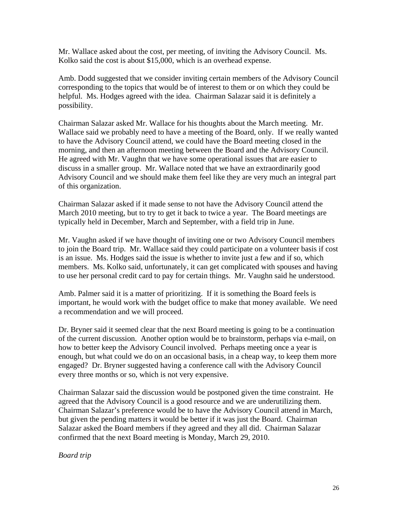Mr. Wallace asked about the cost, per meeting, of inviting the Advisory Council. Ms. Kolko said the cost is about \$15,000, which is an overhead expense.

Amb. Dodd suggested that we consider inviting certain members of the Advisory Council corresponding to the topics that would be of interest to them or on which they could be helpful. Ms. Hodges agreed with the idea. Chairman Salazar said it is definitely a possibility.

Chairman Salazar asked Mr. Wallace for his thoughts about the March meeting. Mr. Wallace said we probably need to have a meeting of the Board, only. If we really wanted to have the Advisory Council attend, we could have the Board meeting closed in the morning, and then an afternoon meeting between the Board and the Advisory Council. He agreed with Mr. Vaughn that we have some operational issues that are easier to discuss in a smaller group. Mr. Wallace noted that we have an extraordinarily good Advisory Council and we should make them feel like they are very much an integral part of this organization.

Chairman Salazar asked if it made sense to not have the Advisory Council attend the March 2010 meeting, but to try to get it back to twice a year. The Board meetings are typically held in December, March and September, with a field trip in June.

Mr. Vaughn asked if we have thought of inviting one or two Advisory Council members to join the Board trip. Mr. Wallace said they could participate on a volunteer basis if cost is an issue. Ms. Hodges said the issue is whether to invite just a few and if so, which members. Ms. Kolko said, unfortunately, it can get complicated with spouses and having to use her personal credit card to pay for certain things. Mr. Vaughn said he understood.

Amb. Palmer said it is a matter of prioritizing. If it is something the Board feels is important, he would work with the budget office to make that money available. We need a recommendation and we will proceed.

Dr. Bryner said it seemed clear that the next Board meeting is going to be a continuation of the current discussion. Another option would be to brainstorm, perhaps via e-mail, on how to better keep the Advisory Council involved. Perhaps meeting once a year is enough, but what could we do on an occasional basis, in a cheap way, to keep them more engaged? Dr. Bryner suggested having a conference call with the Advisory Council every three months or so, which is not very expensive.

Chairman Salazar said the discussion would be postponed given the time constraint. He agreed that the Advisory Council is a good resource and we are underutilizing them. Chairman Salazar's preference would be to have the Advisory Council attend in March, but given the pending matters it would be better if it was just the Board. Chairman Salazar asked the Board members if they agreed and they all did. Chairman Salazar confirmed that the next Board meeting is Monday, March 29, 2010.

*Board trip*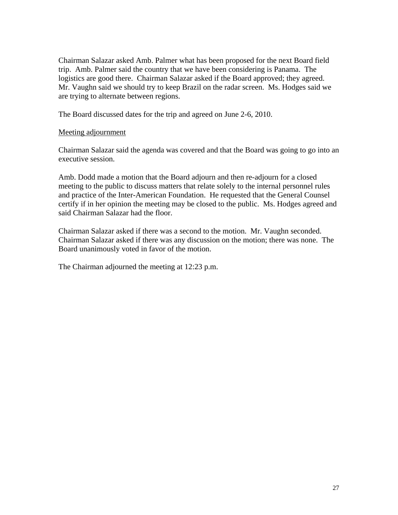Chairman Salazar asked Amb. Palmer what has been proposed for the next Board field trip. Amb. Palmer said the country that we have been considering is Panama. The logistics are good there. Chairman Salazar asked if the Board approved; they agreed. Mr. Vaughn said we should try to keep Brazil on the radar screen. Ms. Hodges said we are trying to alternate between regions.

The Board discussed dates for the trip and agreed on June 2-6, 2010.

## Meeting adjournment

Chairman Salazar said the agenda was covered and that the Board was going to go into an executive session.

Amb. Dodd made a motion that the Board adjourn and then re-adjourn for a closed meeting to the public to discuss matters that relate solely to the internal personnel rules and practice of the Inter-American Foundation. He requested that the General Counsel certify if in her opinion the meeting may be closed to the public. Ms. Hodges agreed and said Chairman Salazar had the floor.

Chairman Salazar asked if there was a second to the motion. Mr. Vaughn seconded. Chairman Salazar asked if there was any discussion on the motion; there was none. The Board unanimously voted in favor of the motion.

The Chairman adjourned the meeting at 12:23 p.m.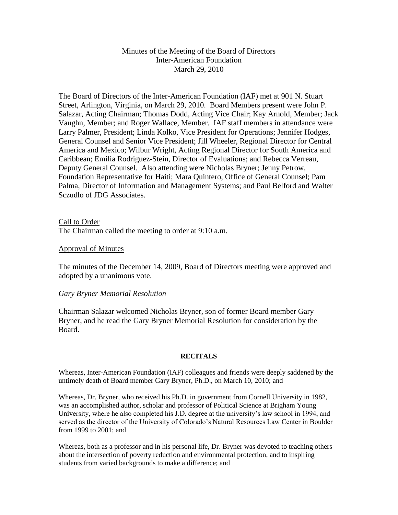#### Minutes of the Meeting of the Board of Directors Inter-American Foundation March 29, 2010

The Board of Directors of the Inter-American Foundation (IAF) met at 901 N. Stuart Street, Arlington, Virginia, on March 29, 2010. Board Members present were John P. Salazar, Acting Chairman; Thomas Dodd, Acting Vice Chair; Kay Arnold, Member; Jack Vaughn, Member; and Roger Wallace, Member. IAF staff members in attendance were Larry Palmer, President; Linda Kolko, Vice President for Operations; Jennifer Hodges, General Counsel and Senior Vice President; Jill Wheeler, Regional Director for Central America and Mexico; Wilbur Wright, Acting Regional Director for South America and Caribbean; Emilia Rodriguez-Stein, Director of Evaluations; and Rebecca Verreau, Deputy General Counsel. Also attending were Nicholas Bryner; Jenny Petrow, Foundation Representative for Haiti; Mara Quintero, Office of General Counsel; Pam Palma, Director of Information and Management Systems; and Paul Belford and Walter Sczudlo of JDG Associates.

Call to Order The Chairman called the meeting to order at 9:10 a.m.

#### Approval of Minutes

The minutes of the December 14, 2009, Board of Directors meeting were approved and adopted by a unanimous vote.

#### *Gary Bryner Memorial Resolution*

Chairman Salazar welcomed Nicholas Bryner, son of former Board member Gary Bryner, and he read the Gary Bryner Memorial Resolution for consideration by the Board.

#### **RECITALS**

Whereas, Inter-American Foundation (IAF) colleagues and friends were deeply saddened by the untimely death of Board member Gary Bryner, Ph.D., on March 10, 2010; and

Whereas, Dr. Bryner, who received his Ph.D. in government from Cornell University in 1982, was an accomplished author, scholar and professor of Political Science at Brigham Young University, where he also completed his J.D. degree at the university's law school in 1994, and served as the director of the University of Colorado's Natural Resources Law Center in Boulder from 1999 to 2001; and

Whereas, both as a professor and in his personal life, Dr. Bryner was devoted to teaching others about the intersection of poverty reduction and environmental protection, and to inspiring students from varied backgrounds to make a difference; and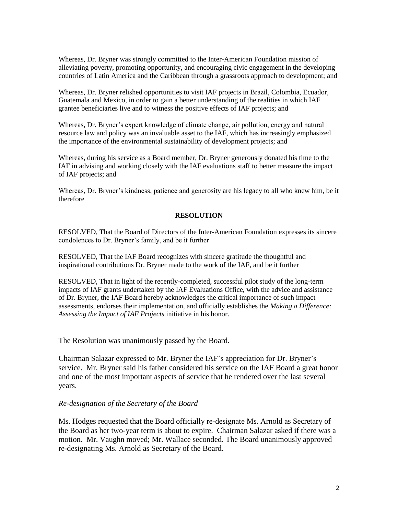Whereas, Dr. Bryner was strongly committed to the Inter-American Foundation mission of alleviating poverty, promoting opportunity, and encouraging civic engagement in the developing countries of Latin America and the Caribbean through a grassroots approach to development; and

Whereas, Dr. Bryner relished opportunities to visit IAF projects in Brazil, Colombia, Ecuador, Guatemala and Mexico, in order to gain a better understanding of the realities in which IAF grantee beneficiaries live and to witness the positive effects of IAF projects; and

Whereas, Dr. Bryner's expert knowledge of climate change, air pollution, energy and natural resource law and policy was an invaluable asset to the IAF, which has increasingly emphasized the importance of the environmental sustainability of development projects; and

Whereas, during his service as a Board member, Dr. Bryner generously donated his time to the IAF in advising and working closely with the IAF evaluations staff to better measure the impact of IAF projects; and

Whereas, Dr. Bryner's kindness, patience and generosity are his legacy to all who knew him, be it therefore

#### **RESOLUTION**

RESOLVED, That the Board of Directors of the Inter-American Foundation expresses its sincere condolences to Dr. Bryner's family, and be it further

RESOLVED, That the IAF Board recognizes with sincere gratitude the thoughtful and inspirational contributions Dr. Bryner made to the work of the IAF, and be it further

RESOLVED, That in light of the recently-completed, successful pilot study of the long-term impacts of IAF grants undertaken by the IAF Evaluations Office, with the advice and assistance of Dr. Bryner, the IAF Board hereby acknowledges the critical importance of such impact assessments, endorses their implementation, and officially establishes the *Making a Difference: Assessing the Impact of IAF Projects* initiative in his honor.

The Resolution was unanimously passed by the Board.

Chairman Salazar expressed to Mr. Bryner the IAF's appreciation for Dr. Bryner's service. Mr. Bryner said his father considered his service on the IAF Board a great honor and one of the most important aspects of service that he rendered over the last several years.

#### *Re-designation of the Secretary of the Board*

Ms. Hodges requested that the Board officially re-designate Ms. Arnold as Secretary of the Board as her two-year term is about to expire. Chairman Salazar asked if there was a motion. Mr. Vaughn moved; Mr. Wallace seconded. The Board unanimously approved re-designating Ms. Arnold as Secretary of the Board.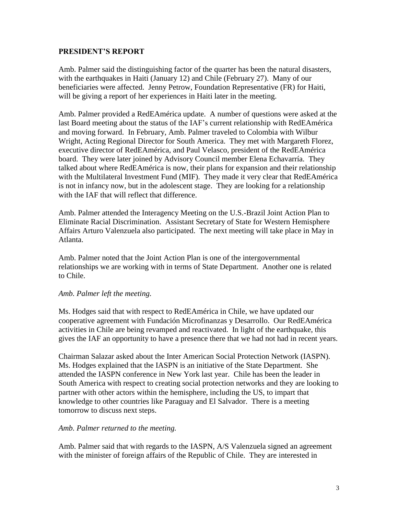## **PRESIDENT'S REPORT**

Amb. Palmer said the distinguishing factor of the quarter has been the natural disasters, with the earthquakes in Haiti (January 12) and Chile (February 27). Many of our beneficiaries were affected. Jenny Petrow, Foundation Representative (FR) for Haiti, will be giving a report of her experiences in Haiti later in the meeting.

Amb. Palmer provided a RedEAmérica update. A number of questions were asked at the last Board meeting about the status of the IAF's current relationship with RedEAmérica and moving forward. In February, Amb. Palmer traveled to Colombia with Wilbur Wright, Acting Regional Director for South America. They met with Margareth Florez, executive director of RedEAmérica, and Paul Velasco, president of the RedEAmérica board. They were later joined by Advisory Council member Elena Echavarría. They talked about where RedEAmérica is now, their plans for expansion and their relationship with the Multilateral Investment Fund (MIF). They made it very clear that RedEAmérica is not in infancy now, but in the adolescent stage. They are looking for a relationship with the IAF that will reflect that difference.

Amb. Palmer attended the Interagency Meeting on the U.S.-Brazil Joint Action Plan to Eliminate Racial Discrimination. Assistant Secretary of State for Western Hemisphere Affairs Arturo Valenzuela also participated. The next meeting will take place in May in Atlanta.

Amb. Palmer noted that the Joint Action Plan is one of the intergovernmental relationships we are working with in terms of State Department. Another one is related to Chile.

#### *Amb. Palmer left the meeting.*

Ms. Hodges said that with respect to RedEAmérica in Chile, we have updated our cooperative agreement with Fundación Microfinanzas y Desarrollo. Our RedEAmérica activities in Chile are being revamped and reactivated. In light of the earthquake, this gives the IAF an opportunity to have a presence there that we had not had in recent years.

Chairman Salazar asked about the Inter American Social Protection Network (IASPN). Ms. Hodges explained that the IASPN is an initiative of the State Department. She attended the IASPN conference in New York last year. Chile has been the leader in South America with respect to creating social protection networks and they are looking to partner with other actors within the hemisphere, including the US, to impart that knowledge to other countries like Paraguay and El Salvador. There is a meeting tomorrow to discuss next steps.

#### *Amb. Palmer returned to the meeting.*

Amb. Palmer said that with regards to the IASPN, A/S Valenzuela signed an agreement with the minister of foreign affairs of the Republic of Chile. They are interested in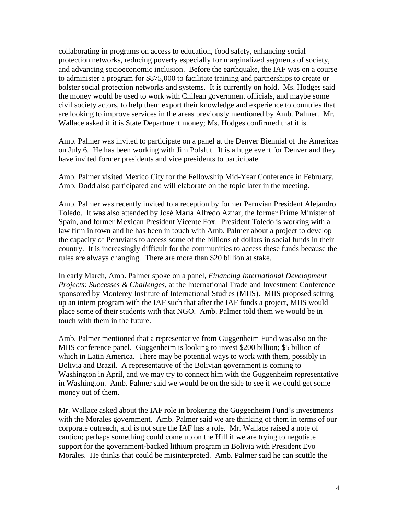collaborating in programs on access to education, food safety, enhancing social protection networks, reducing poverty especially for marginalized segments of society, and advancing socioeconomic inclusion. Before the earthquake, the IAF was on a course to administer a program for \$875,000 to facilitate training and partnerships to create or bolster social protection networks and systems. It is currently on hold. Ms. Hodges said the money would be used to work with Chilean government officials, and maybe some civil society actors, to help them export their knowledge and experience to countries that are looking to improve services in the areas previously mentioned by Amb. Palmer. Mr. Wallace asked if it is State Department money; Ms. Hodges confirmed that it is.

Amb. Palmer was invited to participate on a panel at the Denver Biennial of the Americas on July 6. He has been working with Jim Polsfut. It is a huge event for Denver and they have invited former presidents and vice presidents to participate.

Amb. Palmer visited Mexico City for the Fellowship Mid-Year Conference in February. Amb. Dodd also participated and will elaborate on the topic later in the meeting.

Amb. Palmer was recently invited to a reception by former Peruvian President Alejandro Toledo. It was also attended by José María Alfredo Aznar, the former Prime Minister of Spain, and former Mexican President Vicente Fox. President Toledo is working with a law firm in town and he has been in touch with Amb. Palmer about a project to develop the capacity of Peruvians to access some of the billions of dollars in social funds in their country. It is increasingly difficult for the communities to access these funds because the rules are always changing. There are more than \$20 billion at stake.

In early March, Amb. Palmer spoke on a panel, *Financing International Development Projects: Successes & Challenges*, at the International Trade and Investment Conference sponsored by Monterey Institute of International Studies (MIIS). MIIS proposed setting up an intern program with the IAF such that after the IAF funds a project, MIIS would place some of their students with that NGO. Amb. Palmer told them we would be in touch with them in the future.

Amb. Palmer mentioned that a representative from Guggenheim Fund was also on the MIIS conference panel. Guggenheim is looking to invest \$200 billion; \$5 billion of which in Latin America. There may be potential ways to work with them, possibly in Bolivia and Brazil. A representative of the Bolivian government is coming to Washington in April, and we may try to connect him with the Guggenheim representative in Washington. Amb. Palmer said we would be on the side to see if we could get some money out of them.

Mr. Wallace asked about the IAF role in brokering the Guggenheim Fund's investments with the Morales government. Amb. Palmer said we are thinking of them in terms of our corporate outreach, and is not sure the IAF has a role. Mr. Wallace raised a note of caution; perhaps something could come up on the Hill if we are trying to negotiate support for the government-backed lithium program in Bolivia with President Evo Morales. He thinks that could be misinterpreted. Amb. Palmer said he can scuttle the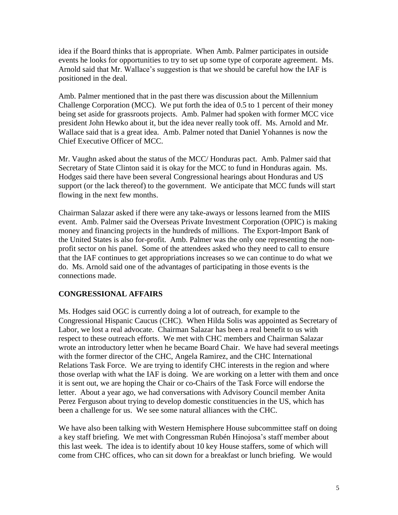idea if the Board thinks that is appropriate. When Amb. Palmer participates in outside events he looks for opportunities to try to set up some type of corporate agreement. Ms. Arnold said that Mr. Wallace's suggestion is that we should be careful how the IAF is positioned in the deal.

Amb. Palmer mentioned that in the past there was discussion about the Millennium Challenge Corporation (MCC). We put forth the idea of 0.5 to 1 percent of their money being set aside for grassroots projects. Amb. Palmer had spoken with former MCC vice president John Hewko about it, but the idea never really took off. Ms. Arnold and Mr. Wallace said that is a great idea. Amb. Palmer noted that Daniel Yohannes is now the Chief Executive Officer of MCC.

Mr. Vaughn asked about the status of the MCC/ Honduras pact. Amb. Palmer said that Secretary of State Clinton said it is okay for the MCC to fund in Honduras again. Ms. Hodges said there have been several Congressional hearings about Honduras and US support (or the lack thereof) to the government. We anticipate that MCC funds will start flowing in the next few months.

Chairman Salazar asked if there were any take-aways or lessons learned from the MIIS event. Amb. Palmer said the Overseas Private Investment Corporation (OPIC) is making money and financing projects in the hundreds of millions. The Export-Import Bank of the United States is also for-profit. Amb. Palmer was the only one representing the nonprofit sector on his panel. Some of the attendees asked who they need to call to ensure that the IAF continues to get appropriations increases so we can continue to do what we do. Ms. Arnold said one of the advantages of participating in those events is the connections made.

# **CONGRESSIONAL AFFAIRS**

Ms. Hodges said OGC is currently doing a lot of outreach, for example to the Congressional Hispanic Caucus (CHC). When Hilda Solis was appointed as Secretary of Labor, we lost a real advocate. Chairman Salazar has been a real benefit to us with respect to these outreach efforts. We met with CHC members and Chairman Salazar wrote an introductory letter when he became Board Chair. We have had several meetings with the former director of the CHC, Angela Ramirez, and the CHC International Relations Task Force. We are trying to identify CHC interests in the region and where those overlap with what the IAF is doing. We are working on a letter with them and once it is sent out, we are hoping the Chair or co-Chairs of the Task Force will endorse the letter. About a year ago, we had conversations with Advisory Council member Anita Perez Ferguson about trying to develop domestic constituencies in the US, which has been a challenge for us. We see some natural alliances with the CHC.

We have also been talking with Western Hemisphere House subcommittee staff on doing a key staff briefing. We met with Congressman Rubén Hinojosa's staff member about this last week. The idea is to identify about 10 key House staffers, some of which will come from CHC offices, who can sit down for a breakfast or lunch briefing. We would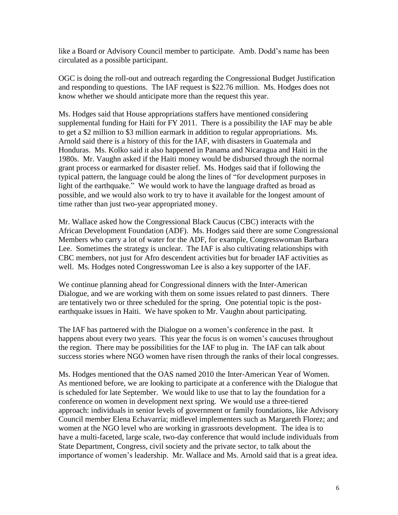like a Board or Advisory Council member to participate. Amb. Dodd's name has been circulated as a possible participant.

OGC is doing the roll-out and outreach regarding the Congressional Budget Justification and responding to questions. The IAF request is \$22.76 million. Ms. Hodges does not know whether we should anticipate more than the request this year.

Ms. Hodges said that House appropriations staffers have mentioned considering supplemental funding for Haiti for FY 2011. There is a possibility the IAF may be able to get a \$2 million to \$3 million earmark in addition to regular appropriations. Ms. Arnold said there is a history of this for the IAF, with disasters in Guatemala and Honduras. Ms. Kolko said it also happened in Panama and Nicaragua and Haiti in the 1980s. Mr. Vaughn asked if the Haiti money would be disbursed through the normal grant process or earmarked for disaster relief. Ms. Hodges said that if following the typical pattern, the language could be along the lines of "for development purposes in light of the earthquake." We would work to have the language drafted as broad as possible, and we would also work to try to have it available for the longest amount of time rather than just two-year appropriated money.

Mr. Wallace asked how the Congressional Black Caucus (CBC) interacts with the African Development Foundation (ADF). Ms. Hodges said there are some Congressional Members who carry a lot of water for the ADF, for example, Congresswoman Barbara Lee. Sometimes the strategy is unclear. The IAF is also cultivating relationships with CBC members, not just for Afro descendent activities but for broader IAF activities as well. Ms. Hodges noted Congresswoman Lee is also a key supporter of the IAF.

We continue planning ahead for Congressional dinners with the Inter-American Dialogue, and we are working with them on some issues related to past dinners. There are tentatively two or three scheduled for the spring. One potential topic is the postearthquake issues in Haiti. We have spoken to Mr. Vaughn about participating.

The IAF has partnered with the Dialogue on a women's conference in the past. It happens about every two years. This year the focus is on women's caucuses throughout the region. There may be possibilities for the IAF to plug in. The IAF can talk about success stories where NGO women have risen through the ranks of their local congresses.

Ms. Hodges mentioned that the OAS named 2010 the Inter-American Year of Women. As mentioned before, we are looking to participate at a conference with the Dialogue that is scheduled for late September. We would like to use that to lay the foundation for a conference on women in development next spring. We would use a three-tiered approach: individuals in senior levels of government or family foundations, like Advisory Council member Elena Echavarría; midlevel implementers such as Margareth Florez; and women at the NGO level who are working in grassroots development. The idea is to have a multi-faceted, large scale, two-day conference that would include individuals from State Department, Congress, civil society and the private sector, to talk about the importance of women's leadership. Mr. Wallace and Ms. Arnold said that is a great idea.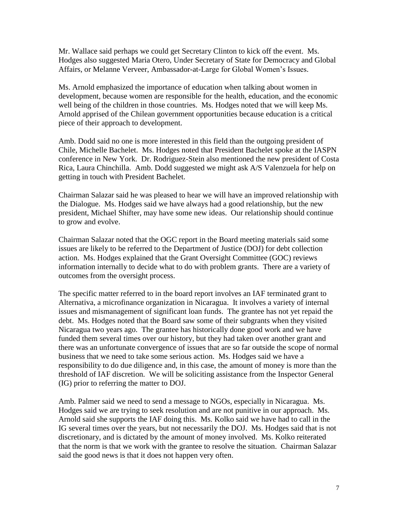Mr. Wallace said perhaps we could get Secretary Clinton to kick off the event. Ms. Hodges also suggested Maria Otero, Under Secretary of State for Democracy and Global Affairs, or Melanne Verveer, Ambassador-at-Large for Global Women's Issues.

Ms. Arnold emphasized the importance of education when talking about women in development, because women are responsible for the health, education, and the economic well being of the children in those countries. Ms. Hodges noted that we will keep Ms. Arnold apprised of the Chilean government opportunities because education is a critical piece of their approach to development.

Amb. Dodd said no one is more interested in this field than the outgoing president of Chile, Michelle Bachelet. Ms. Hodges noted that President Bachelet spoke at the IASPN conference in New York. Dr. Rodriguez-Stein also mentioned the new president of Costa Rica, Laura Chinchilla. Amb. Dodd suggested we might ask A/S Valenzuela for help on getting in touch with President Bachelet.

Chairman Salazar said he was pleased to hear we will have an improved relationship with the Dialogue. Ms. Hodges said we have always had a good relationship, but the new president, Michael Shifter, may have some new ideas. Our relationship should continue to grow and evolve.

Chairman Salazar noted that the OGC report in the Board meeting materials said some issues are likely to be referred to the Department of Justice (DOJ) for debt collection action. Ms. Hodges explained that the Grant Oversight Committee (GOC) reviews information internally to decide what to do with problem grants. There are a variety of outcomes from the oversight process.

The specific matter referred to in the board report involves an IAF terminated grant to Alternativa, a microfinance organization in Nicaragua. It involves a variety of internal issues and mismanagement of significant loan funds. The grantee has not yet repaid the debt. Ms. Hodges noted that the Board saw some of their subgrants when they visited Nicaragua two years ago. The grantee has historically done good work and we have funded them several times over our history, but they had taken over another grant and there was an unfortunate convergence of issues that are so far outside the scope of normal business that we need to take some serious action. Ms. Hodges said we have a responsibility to do due diligence and, in this case, the amount of money is more than the threshold of IAF discretion. We will be soliciting assistance from the Inspector General (IG) prior to referring the matter to DOJ.

Amb. Palmer said we need to send a message to NGOs, especially in Nicaragua. Ms. Hodges said we are trying to seek resolution and are not punitive in our approach. Ms. Arnold said she supports the IAF doing this. Ms. Kolko said we have had to call in the IG several times over the years, but not necessarily the DOJ. Ms. Hodges said that is not discretionary, and is dictated by the amount of money involved. Ms. Kolko reiterated that the norm is that we work with the grantee to resolve the situation. Chairman Salazar said the good news is that it does not happen very often.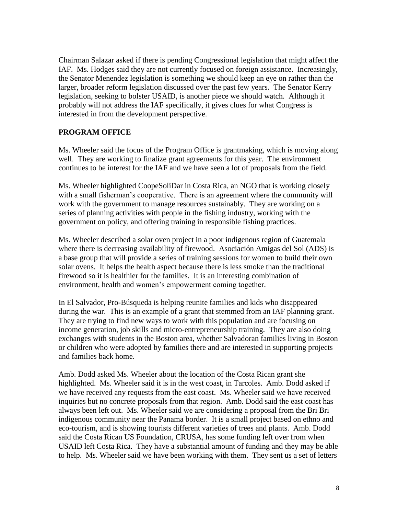Chairman Salazar asked if there is pending Congressional legislation that might affect the IAF. Ms. Hodges said they are not currently focused on foreign assistance. Increasingly, the Senator Menendez legislation is something we should keep an eye on rather than the larger, broader reform legislation discussed over the past few years. The Senator Kerry legislation, seeking to bolster USAID, is another piece we should watch. Although it probably will not address the IAF specifically, it gives clues for what Congress is interested in from the development perspective.

## **PROGRAM OFFICE**

Ms. Wheeler said the focus of the Program Office is grantmaking, which is moving along well. They are working to finalize grant agreements for this year. The environment continues to be interest for the IAF and we have seen a lot of proposals from the field.

Ms. Wheeler highlighted CoopeSoliDar in Costa Rica, an NGO that is working closely with a small fisherman's cooperative. There is an agreement where the community will work with the government to manage resources sustainably. They are working on a series of planning activities with people in the fishing industry, working with the government on policy, and offering training in responsible fishing practices.

Ms. Wheeler described a solar oven project in a poor indigenous region of Guatemala where there is decreasing availability of firewood. Asociación Amigas del Sol (ADS) is a base group that will provide a series of training sessions for women to build their own solar ovens. It helps the health aspect because there is less smoke than the traditional firewood so it is healthier for the families. It is an interesting combination of environment, health and women's empowerment coming together.

In El Salvador, Pro-Búsqueda is helping reunite families and kids who disappeared during the war. This is an example of a grant that stemmed from an IAF planning grant. They are trying to find new ways to work with this population and are focusing on income generation, job skills and micro-entrepreneurship training. They are also doing exchanges with students in the Boston area, whether Salvadoran families living in Boston or children who were adopted by families there and are interested in supporting projects and families back home.

Amb. Dodd asked Ms. Wheeler about the location of the Costa Rican grant she highlighted. Ms. Wheeler said it is in the west coast, in Tarcoles. Amb. Dodd asked if we have received any requests from the east coast. Ms. Wheeler said we have received inquiries but no concrete proposals from that region. Amb. Dodd said the east coast has always been left out. Ms. Wheeler said we are considering a proposal from the Bri Bri indigenous community near the Panama border. It is a small project based on ethno and eco-tourism, and is showing tourists different varieties of trees and plants. Amb. Dodd said the Costa Rican US Foundation, CRUSA, has some funding left over from when USAID left Costa Rica. They have a substantial amount of funding and they may be able to help. Ms. Wheeler said we have been working with them. They sent us a set of letters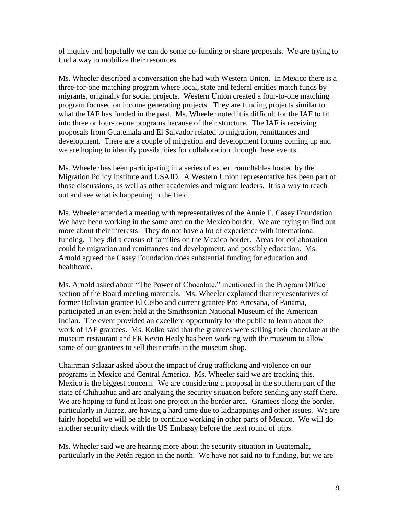of inquiry and hopefully we can do some co-funding or share proposals. We are trying to find a way to mobilize their resources.

Ms. Wheeler described a conversation she had with Western Union. In Mexico there is a three-for-one matching program where local, state and federal entities match funds by migrants, originally for social projects. Western Union created a four-to-one matching program focused on income generating projects. They are funding projects similar to what the IAF has funded in the past. Ms. Wheeler noted it is difficult for the IAF to fit into three or four-to-one programs because of their structure. The IAF is receiving proposals from Guatemala and El Salvador related to migration, remittances and development. There are a couple of migration and development forums coming up and we are hoping to identify possibilities for collaboration through these events.

Ms. Wheeler has been participating in a series of expert roundtables hosted by the Migration Policy Institute and USAID. A Western Union representative has been part of those discussions, as well as other academics and migrant leaders. It is a way to reach out and see what is happening in the field.

Ms. Wheeler attended a meeting with representatives of the Annie E. Casey Foundation. We have been working in the same area on the Mexico border. We are trying to find out more about their interests. They do not have a lot of experience with international funding. They did a census of families on the Mexico border. Areas for collaboration could be migration and remittances and development, and possibly education. Ms. Arnold agreed the Casey Foundation does substantial funding for education and healthcare.

Ms. Arnold asked about "The Power of Chocolate," mentioned in the Program Office section of the Board meeting materials. Ms. Wheeler explained that representatives of former Bolivian grantee El Ceibo and current grantee Pro Artesana, of Panama, participated in an event held at the Smithsonian National Museum of the American Indian. The event provided an excellent opportunity for the public to learn about the work of IAF grantees. Ms. Kolko said that the grantees were selling their chocolate at the museum restaurant and FR Kevin Healy has been working with the museum to allow some of our grantees to sell their crafts in the museum shop.

Chairman Salazar asked about the impact of drug trafficking and violence on our programs in Mexico and Central America. Ms. Wheeler said we are tracking this. Mexico is the biggest concern. We are considering a proposal in the southern part of the state of Chihuahua and are analyzing the security situation before sending any staff there. We are hoping to fund at least one project in the border area. Grantees along the border, particularly in Juarez, are having a hard time due to kidnappings and other issues. We are fairly hopeful we will be able to continue working in other parts of Mexico. We will do another security check with the US Embassy before the next round of trips.

Ms. Wheeler said we are hearing more about the security situation in Guatemala, particularly in the Petén region in the north. We have not said no to funding, but we are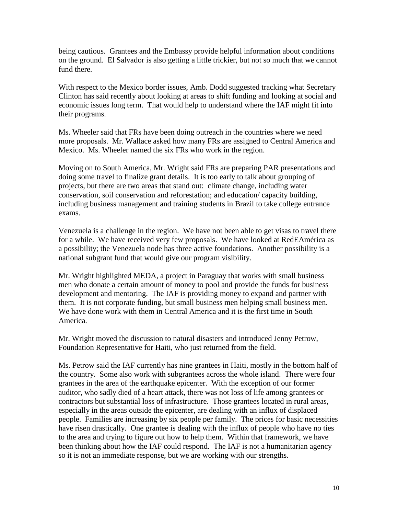being cautious. Grantees and the Embassy provide helpful information about conditions on the ground. El Salvador is also getting a little trickier, but not so much that we cannot fund there.

With respect to the Mexico border issues, Amb. Dodd suggested tracking what Secretary Clinton has said recently about looking at areas to shift funding and looking at social and economic issues long term. That would help to understand where the IAF might fit into their programs.

Ms. Wheeler said that FRs have been doing outreach in the countries where we need more proposals. Mr. Wallace asked how many FRs are assigned to Central America and Mexico. Ms. Wheeler named the six FRs who work in the region.

Moving on to South America, Mr. Wright said FRs are preparing PAR presentations and doing some travel to finalize grant details. It is too early to talk about grouping of projects, but there are two areas that stand out: climate change, including water conservation, soil conservation and reforestation; and education/ capacity building, including business management and training students in Brazil to take college entrance exams.

Venezuela is a challenge in the region. We have not been able to get visas to travel there for a while. We have received very few proposals. We have looked at RedEAmérica as a possibility; the Venezuela node has three active foundations. Another possibility is a national subgrant fund that would give our program visibility.

Mr. Wright highlighted MEDA, a project in Paraguay that works with small business men who donate a certain amount of money to pool and provide the funds for business development and mentoring. The IAF is providing money to expand and partner with them. It is not corporate funding, but small business men helping small business men. We have done work with them in Central America and it is the first time in South America.

Mr. Wright moved the discussion to natural disasters and introduced Jenny Petrow, Foundation Representative for Haiti, who just returned from the field.

Ms. Petrow said the IAF currently has nine grantees in Haiti, mostly in the bottom half of the country. Some also work with subgrantees across the whole island. There were four grantees in the area of the earthquake epicenter. With the exception of our former auditor, who sadly died of a heart attack, there was not loss of life among grantees or contractors but substantial loss of infrastructure. Those grantees located in rural areas, especially in the areas outside the epicenter, are dealing with an influx of displaced people. Families are increasing by six people per family. The prices for basic necessities have risen drastically. One grantee is dealing with the influx of people who have no ties to the area and trying to figure out how to help them. Within that framework, we have been thinking about how the IAF could respond. The IAF is not a humanitarian agency so it is not an immediate response, but we are working with our strengths.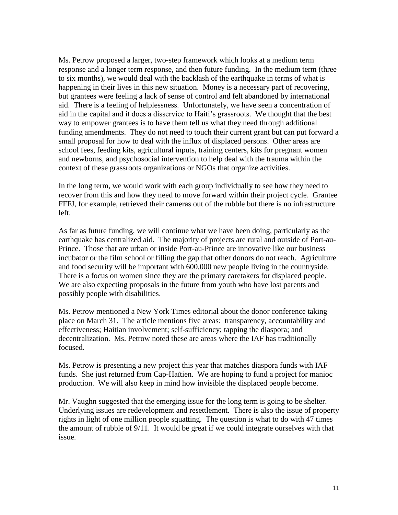Ms. Petrow proposed a larger, two-step framework which looks at a medium term response and a longer term response, and then future funding. In the medium term (three to six months), we would deal with the backlash of the earthquake in terms of what is happening in their lives in this new situation. Money is a necessary part of recovering, but grantees were feeling a lack of sense of control and felt abandoned by international aid. There is a feeling of helplessness. Unfortunately, we have seen a concentration of aid in the capital and it does a disservice to Haiti's grassroots. We thought that the best way to empower grantees is to have them tell us what they need through additional funding amendments. They do not need to touch their current grant but can put forward a small proposal for how to deal with the influx of displaced persons. Other areas are school fees, feeding kits, agricultural inputs, training centers, kits for pregnant women and newborns, and psychosocial intervention to help deal with the trauma within the context of these grassroots organizations or NGOs that organize activities.

In the long term, we would work with each group individually to see how they need to recover from this and how they need to move forward within their project cycle. Grantee FFFJ, for example, retrieved their cameras out of the rubble but there is no infrastructure left.

As far as future funding, we will continue what we have been doing, particularly as the earthquake has centralized aid. The majority of projects are rural and outside of Port-au-Prince. Those that are urban or inside Port-au-Prince are innovative like our business incubator or the film school or filling the gap that other donors do not reach. Agriculture and food security will be important with 600,000 new people living in the countryside. There is a focus on women since they are the primary caretakers for displaced people. We are also expecting proposals in the future from youth who have lost parents and possibly people with disabilities.

Ms. Petrow mentioned a New York Times editorial about the donor conference taking place on March 31. The article mentions five areas: transparency, accountability and effectiveness; Haitian involvement; self-sufficiency; tapping the diaspora; and decentralization. Ms. Petrow noted these are areas where the IAF has traditionally focused.

Ms. Petrow is presenting a new project this year that matches diaspora funds with IAF funds. She just returned from Cap-Haïtien. We are hoping to fund a project for manioc production. We will also keep in mind how invisible the displaced people become.

Mr. Vaughn suggested that the emerging issue for the long term is going to be shelter. Underlying issues are redevelopment and resettlement. There is also the issue of property rights in light of one million people squatting. The question is what to do with 47 times the amount of rubble of 9/11. It would be great if we could integrate ourselves with that issue.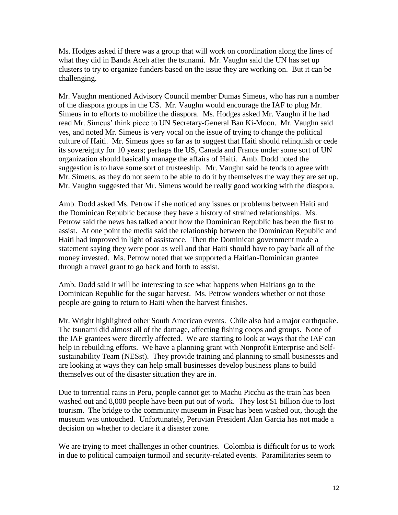Ms. Hodges asked if there was a group that will work on coordination along the lines of what they did in Banda Aceh after the tsunami. Mr. Vaughn said the UN has set up clusters to try to organize funders based on the issue they are working on. But it can be challenging.

Mr. Vaughn mentioned Advisory Council member Dumas Simeus, who has run a number of the diaspora groups in the US. Mr. Vaughn would encourage the IAF to plug Mr. Simeus in to efforts to mobilize the diaspora. Ms. Hodges asked Mr. Vaughn if he had read Mr. Simeus' think piece to UN Secretary-General Ban Ki-Moon. Mr. Vaughn said yes, and noted Mr. Simeus is very vocal on the issue of trying to change the political culture of Haiti. Mr. Simeus goes so far as to suggest that Haiti should relinquish or cede its sovereignty for 10 years; perhaps the US, Canada and France under some sort of UN organization should basically manage the affairs of Haiti. Amb. Dodd noted the suggestion is to have some sort of trusteeship. Mr. Vaughn said he tends to agree with Mr. Simeus, as they do not seem to be able to do it by themselves the way they are set up. Mr. Vaughn suggested that Mr. Simeus would be really good working with the diaspora.

Amb. Dodd asked Ms. Petrow if she noticed any issues or problems between Haiti and the Dominican Republic because they have a history of strained relationships. Ms. Petrow said the news has talked about how the Dominican Republic has been the first to assist. At one point the media said the relationship between the Dominican Republic and Haiti had improved in light of assistance. Then the Dominican government made a statement saying they were poor as well and that Haiti should have to pay back all of the money invested. Ms. Petrow noted that we supported a Haitian-Dominican grantee through a travel grant to go back and forth to assist.

Amb. Dodd said it will be interesting to see what happens when Haitians go to the Dominican Republic for the sugar harvest. Ms. Petrow wonders whether or not those people are going to return to Haiti when the harvest finishes.

Mr. Wright highlighted other South American events. Chile also had a major earthquake. The tsunami did almost all of the damage, affecting fishing coops and groups. None of the IAF grantees were directly affected. We are starting to look at ways that the IAF can help in rebuilding efforts. We have a planning grant with Nonprofit Enterprise and Selfsustainability Team (NESst). They provide training and planning to small businesses and are looking at ways they can help small businesses develop business plans to build themselves out of the disaster situation they are in.

Due to torrential rains in Peru, people cannot get to Machu Picchu as the train has been washed out and 8,000 people have been put out of work. They lost \$1 billion due to lost tourism. The bridge to the community museum in Pisac has been washed out, though the museum was untouched. Unfortunately, Peruvian President Alan Garcia has not made a decision on whether to declare it a disaster zone.

We are trying to meet challenges in other countries. Colombia is difficult for us to work in due to political campaign turmoil and security-related events. Paramilitaries seem to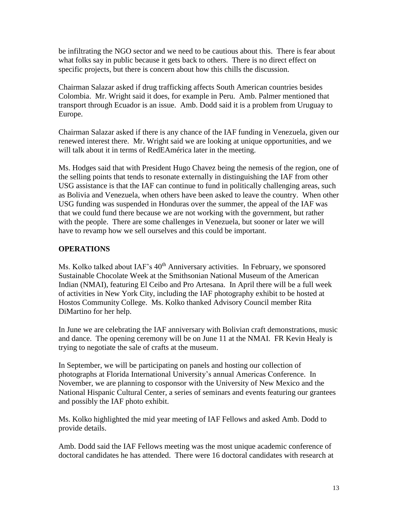be infiltrating the NGO sector and we need to be cautious about this. There is fear about what folks say in public because it gets back to others. There is no direct effect on specific projects, but there is concern about how this chills the discussion.

Chairman Salazar asked if drug trafficking affects South American countries besides Colombia. Mr. Wright said it does, for example in Peru. Amb. Palmer mentioned that transport through Ecuador is an issue. Amb. Dodd said it is a problem from Uruguay to Europe.

Chairman Salazar asked if there is any chance of the IAF funding in Venezuela, given our renewed interest there. Mr. Wright said we are looking at unique opportunities, and we will talk about it in terms of RedEAmérica later in the meeting.

Ms. Hodges said that with President Hugo Chavez being the nemesis of the region, one of the selling points that tends to resonate externally in distinguishing the IAF from other USG assistance is that the IAF can continue to fund in politically challenging areas, such as Bolivia and Venezuela, when others have been asked to leave the country. When other USG funding was suspended in Honduras over the summer, the appeal of the IAF was that we could fund there because we are not working with the government, but rather with the people. There are some challenges in Venezuela, but sooner or later we will have to revamp how we sell ourselves and this could be important.

#### **OPERATIONS**

Ms. Kolko talked about IAF's 40<sup>th</sup> Anniversary activities. In February, we sponsored Sustainable Chocolate Week at the Smithsonian National Museum of the American Indian (NMAI), featuring El Ceibo and Pro Artesana. In April there will be a full week of activities in New York City, including the IAF photography exhibit to be hosted at Hostos Community College. Ms. Kolko thanked Advisory Council member Rita DiMartino for her help.

In June we are celebrating the IAF anniversary with Bolivian craft demonstrations, music and dance. The opening ceremony will be on June 11 at the NMAI. FR Kevin Healy is trying to negotiate the sale of crafts at the museum.

In September, we will be participating on panels and hosting our collection of photographs at Florida International University's annual Americas Conference. In November, we are planning to cosponsor with the University of New Mexico and the National Hispanic Cultural Center, a series of seminars and events featuring our grantees and possibly the IAF photo exhibit.

Ms. Kolko highlighted the mid year meeting of IAF Fellows and asked Amb. Dodd to provide details.

Amb. Dodd said the IAF Fellows meeting was the most unique academic conference of doctoral candidates he has attended. There were 16 doctoral candidates with research at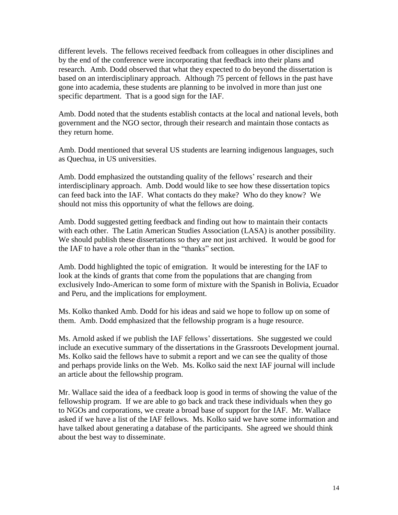different levels. The fellows received feedback from colleagues in other disciplines and by the end of the conference were incorporating that feedback into their plans and research. Amb. Dodd observed that what they expected to do beyond the dissertation is based on an interdisciplinary approach. Although 75 percent of fellows in the past have gone into academia, these students are planning to be involved in more than just one specific department. That is a good sign for the IAF.

Amb. Dodd noted that the students establish contacts at the local and national levels, both government and the NGO sector, through their research and maintain those contacts as they return home.

Amb. Dodd mentioned that several US students are learning indigenous languages, such as Quechua, in US universities.

Amb. Dodd emphasized the outstanding quality of the fellows' research and their interdisciplinary approach. Amb. Dodd would like to see how these dissertation topics can feed back into the IAF. What contacts do they make? Who do they know? We should not miss this opportunity of what the fellows are doing.

Amb. Dodd suggested getting feedback and finding out how to maintain their contacts with each other. The Latin American Studies Association (LASA) is another possibility. We should publish these dissertations so they are not just archived. It would be good for the IAF to have a role other than in the "thanks" section.

Amb. Dodd highlighted the topic of emigration. It would be interesting for the IAF to look at the kinds of grants that come from the populations that are changing from exclusively Indo-American to some form of mixture with the Spanish in Bolivia, Ecuador and Peru, and the implications for employment.

Ms. Kolko thanked Amb. Dodd for his ideas and said we hope to follow up on some of them. Amb. Dodd emphasized that the fellowship program is a huge resource.

Ms. Arnold asked if we publish the IAF fellows' dissertations. She suggested we could include an executive summary of the dissertations in the Grassroots Development journal. Ms. Kolko said the fellows have to submit a report and we can see the quality of those and perhaps provide links on the Web. Ms. Kolko said the next IAF journal will include an article about the fellowship program.

Mr. Wallace said the idea of a feedback loop is good in terms of showing the value of the fellowship program. If we are able to go back and track these individuals when they go to NGOs and corporations, we create a broad base of support for the IAF. Mr. Wallace asked if we have a list of the IAF fellows. Ms. Kolko said we have some information and have talked about generating a database of the participants. She agreed we should think about the best way to disseminate.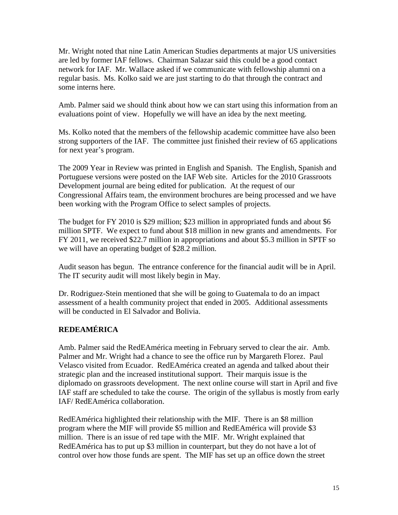Mr. Wright noted that nine Latin American Studies departments at major US universities are led by former IAF fellows. Chairman Salazar said this could be a good contact network for IAF. Mr. Wallace asked if we communicate with fellowship alumni on a regular basis. Ms. Kolko said we are just starting to do that through the contract and some interns here.

Amb. Palmer said we should think about how we can start using this information from an evaluations point of view. Hopefully we will have an idea by the next meeting.

Ms. Kolko noted that the members of the fellowship academic committee have also been strong supporters of the IAF. The committee just finished their review of 65 applications for next year's program.

The 2009 Year in Review was printed in English and Spanish. The English, Spanish and Portuguese versions were posted on the IAF Web site. Articles for the 2010 Grassroots Development journal are being edited for publication. At the request of our Congressional Affairs team, the environment brochures are being processed and we have been working with the Program Office to select samples of projects.

The budget for FY 2010 is \$29 million; \$23 million in appropriated funds and about \$6 million SPTF. We expect to fund about \$18 million in new grants and amendments. For FY 2011, we received \$22.7 million in appropriations and about \$5.3 million in SPTF so we will have an operating budget of \$28.2 million.

Audit season has begun. The entrance conference for the financial audit will be in April. The IT security audit will most likely begin in May.

Dr. Rodriguez-Stein mentioned that she will be going to Guatemala to do an impact assessment of a health community project that ended in 2005. Additional assessments will be conducted in El Salvador and Bolivia.

# **REDEAMÉRICA**

Amb. Palmer said the RedEAmérica meeting in February served to clear the air. Amb. Palmer and Mr. Wright had a chance to see the office run by Margareth Florez. Paul Velasco visited from Ecuador. RedEAmérica created an agenda and talked about their strategic plan and the increased institutional support. Their marquis issue is the diplomado on grassroots development. The next online course will start in April and five IAF staff are scheduled to take the course. The origin of the syllabus is mostly from early IAF/ RedEAmérica collaboration.

RedEAmérica highlighted their relationship with the MIF. There is an \$8 million program where the MIF will provide \$5 million and RedEAmérica will provide \$3 million. There is an issue of red tape with the MIF. Mr. Wright explained that RedEAmérica has to put up \$3 million in counterpart, but they do not have a lot of control over how those funds are spent. The MIF has set up an office down the street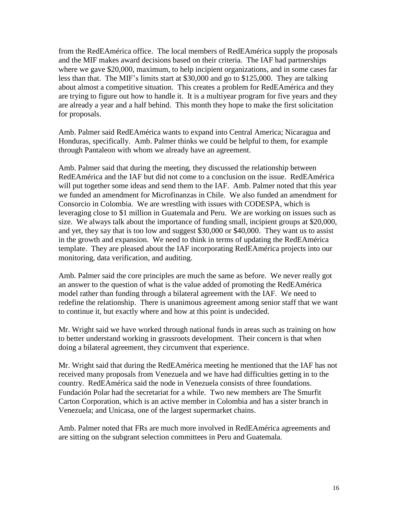from the RedEAmérica office. The local members of RedEAmérica supply the proposals and the MIF makes award decisions based on their criteria. The IAF had partnerships where we gave \$20,000, maximum, to help incipient organizations, and in some cases far less than that. The MIF's limits start at \$30,000 and go to \$125,000. They are talking about almost a competitive situation. This creates a problem for RedEAmérica and they are trying to figure out how to handle it. It is a multiyear program for five years and they are already a year and a half behind. This month they hope to make the first solicitation for proposals.

Amb. Palmer said RedEAmérica wants to expand into Central America; Nicaragua and Honduras, specifically. Amb. Palmer thinks we could be helpful to them, for example through Pantaleon with whom we already have an agreement.

Amb. Palmer said that during the meeting, they discussed the relationship between RedEAmérica and the IAF but did not come to a conclusion on the issue. RedEAmérica will put together some ideas and send them to the IAF. Amb. Palmer noted that this year we funded an amendment for Microfinanzas in Chile. We also funded an amendment for Consorcio in Colombia. We are wrestling with issues with CODESPA, which is leveraging close to \$1 million in Guatemala and Peru. We are working on issues such as size. We always talk about the importance of funding small, incipient groups at \$20,000, and yet, they say that is too low and suggest \$30,000 or \$40,000. They want us to assist in the growth and expansion. We need to think in terms of updating the RedEAmérica template. They are pleased about the IAF incorporating RedEAmérica projects into our monitoring, data verification, and auditing.

Amb. Palmer said the core principles are much the same as before. We never really got an answer to the question of what is the value added of promoting the RedEAmérica model rather than funding through a bilateral agreement with the IAF. We need to redefine the relationship. There is unanimous agreement among senior staff that we want to continue it, but exactly where and how at this point is undecided.

Mr. Wright said we have worked through national funds in areas such as training on how to better understand working in grassroots development. Their concern is that when doing a bilateral agreement, they circumvent that experience.

Mr. Wright said that during the RedEAmérica meeting he mentioned that the IAF has not received many proposals from Venezuela and we have had difficulties getting in to the country. RedEAmérica said the node in Venezuela consists of three foundations. Fundación Polar had the secretariat for a while. Two new members are The Smurfit Carton Corporation, which is an active member in Colombia and has a sister branch in Venezuela; and Unicasa, one of the largest supermarket chains.

Amb. Palmer noted that FRs are much more involved in RedEAmérica agreements and are sitting on the subgrant selection committees in Peru and Guatemala.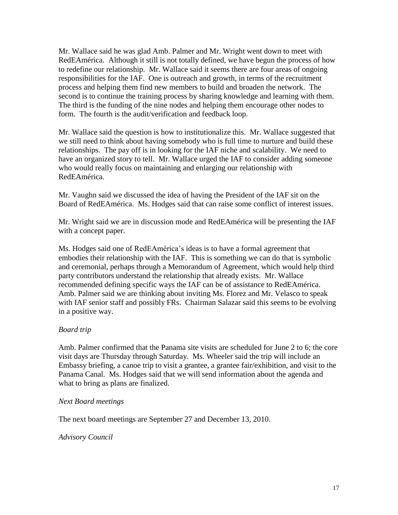Mr. Wallace said he was glad Amb. Palmer and Mr. Wright went down to meet with RedEAmérica. Although it still is not totally defined, we have begun the process of how to redefine our relationship. Mr. Wallace said it seems there are four areas of ongoing responsibilities for the IAF. One is outreach and growth, in terms of the recruitment process and helping them find new members to build and broaden the network. The second is to continue the training process by sharing knowledge and learning with them. The third is the funding of the nine nodes and helping them encourage other nodes to form. The fourth is the audit/verification and feedback loop.

Mr. Wallace said the question is how to institutionalize this. Mr. Wallace suggested that we still need to think about having somebody who is full time to nurture and build these relationships. The pay off is in looking for the IAF niche and scalability. We need to have an organized story to tell. Mr. Wallace urged the IAF to consider adding someone who would really focus on maintaining and enlarging our relationship with RedEAmérica.

Mr. Vaughn said we discussed the idea of having the President of the IAF sit on the Board of RedEAmérica. Ms. Hodges said that can raise some conflict of interest issues.

Mr. Wright said we are in discussion mode and RedEAmérica will be presenting the IAF with a concept paper.

Ms. Hodges said one of RedEAmérica's ideas is to have a formal agreement that embodies their relationship with the IAF. This is something we can do that is symbolic and ceremonial, perhaps through a Memorandum of Agreement, which would help third party contributors understand the relationship that already exists. Mr. Wallace recommended defining specific ways the IAF can be of assistance to RedEAmérica. Amb. Palmer said we are thinking about inviting Ms. Florez and Mr. Velasco to speak with IAF senior staff and possibly FRs. Chairman Salazar said this seems to be evolving in a positive way.

#### *Board trip*

Amb. Palmer confirmed that the Panama site visits are scheduled for June 2 to 6; the core visit days are Thursday through Saturday. Ms. Wheeler said the trip will include an Embassy briefing, a canoe trip to visit a grantee, a grantee fair/exhibition, and visit to the Panama Canal. Ms. Hodges said that we will send information about the agenda and what to bring as plans are finalized.

#### *Next Board meetings*

The next board meetings are September 27 and December 13, 2010.

#### *Advisory Council*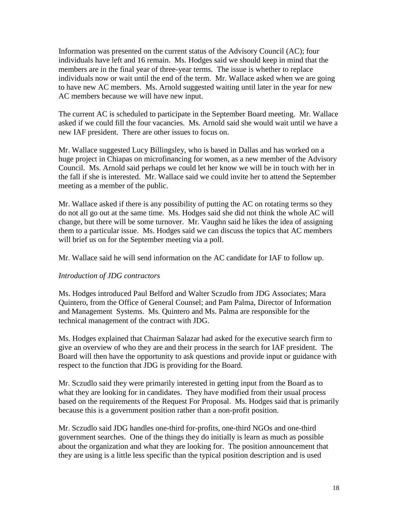Information was presented on the current status of the Advisory Council (AC); four individuals have left and 16 remain. Ms. Hodges said we should keep in mind that the members are in the final year of three-year terms. The issue is whether to replace individuals now or wait until the end of the term. Mr. Wallace asked when we are going to have new AC members. Ms. Arnold suggested waiting until later in the year for new AC members because we will have new input.

The current AC is scheduled to participate in the September Board meeting. Mr. Wallace asked if we could fill the four vacancies. Ms. Arnold said she would wait until we have a new IAF president. There are other issues to focus on.

Mr. Wallace suggested Lucy Billingsley, who is based in Dallas and has worked on a huge project in Chiapas on microfinancing for women, as a new member of the Advisory Council. Ms. Arnold said perhaps we could let her know we will be in touch with her in the fall if she is interested. Mr. Wallace said we could invite her to attend the September meeting as a member of the public.

Mr. Wallace asked if there is any possibility of putting the AC on rotating terms so they do not all go out at the same time. Ms. Hodges said she did not think the whole AC will change, but there will be some turnover. Mr. Vaughn said he likes the idea of assigning them to a particular issue. Ms. Hodges said we can discuss the topics that AC members will brief us on for the September meeting via a poll.

Mr. Wallace said he will send information on the AC candidate for IAF to follow up.

#### *Introduction of JDG contractors*

Ms. Hodges introduced Paul Belford and Walter Sczudlo from JDG Associates; Mara Quintero, from the Office of General Counsel; and Pam Palma, Director of Information and Management Systems. Ms. Quintero and Ms. Palma are responsible for the technical management of the contract with JDG.

Ms. Hodges explained that Chairman Salazar had asked for the executive search firm to give an overview of who they are and their process in the search for IAF president. The Board will then have the opportunity to ask questions and provide input or guidance with respect to the function that JDG is providing for the Board.

Mr. Sczudlo said they were primarily interested in getting input from the Board as to what they are looking for in candidates. They have modified from their usual process based on the requirements of the Request For Proposal. Ms. Hodges said that is primarily because this is a government position rather than a non-profit position.

Mr. Sczudlo said JDG handles one-third for-profits, one-third NGOs and one-third government searches. One of the things they do initially is learn as much as possible about the organization and what they are looking for. The position announcement that they are using is a little less specific than the typical position description and is used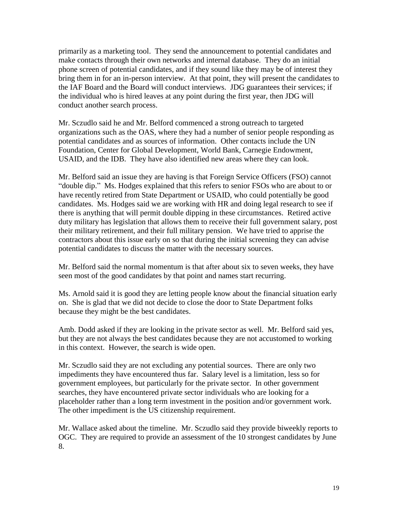primarily as a marketing tool. They send the announcement to potential candidates and make contacts through their own networks and internal database. They do an initial phone screen of potential candidates, and if they sound like they may be of interest they bring them in for an in-person interview. At that point, they will present the candidates to the IAF Board and the Board will conduct interviews. JDG guarantees their services; if the individual who is hired leaves at any point during the first year, then JDG will conduct another search process.

Mr. Sczudlo said he and Mr. Belford commenced a strong outreach to targeted organizations such as the OAS, where they had a number of senior people responding as potential candidates and as sources of information. Other contacts include the UN Foundation, Center for Global Development, World Bank, Carnegie Endowment, USAID, and the IDB. They have also identified new areas where they can look.

Mr. Belford said an issue they are having is that Foreign Service Officers (FSO) cannot "double dip." Ms. Hodges explained that this refers to senior FSOs who are about to or have recently retired from State Department or USAID, who could potentially be good candidates. Ms. Hodges said we are working with HR and doing legal research to see if there is anything that will permit double dipping in these circumstances. Retired active duty military has legislation that allows them to receive their full government salary, post their military retirement, and their full military pension. We have tried to apprise the contractors about this issue early on so that during the initial screening they can advise potential candidates to discuss the matter with the necessary sources.

Mr. Belford said the normal momentum is that after about six to seven weeks, they have seen most of the good candidates by that point and names start recurring.

Ms. Arnold said it is good they are letting people know about the financial situation early on. She is glad that we did not decide to close the door to State Department folks because they might be the best candidates.

Amb. Dodd asked if they are looking in the private sector as well. Mr. Belford said yes, but they are not always the best candidates because they are not accustomed to working in this context. However, the search is wide open.

Mr. Sczudlo said they are not excluding any potential sources. There are only two impediments they have encountered thus far. Salary level is a limitation, less so for government employees, but particularly for the private sector. In other government searches, they have encountered private sector individuals who are looking for a placeholder rather than a long term investment in the position and/or government work. The other impediment is the US citizenship requirement.

Mr. Wallace asked about the timeline. Mr. Sczudlo said they provide biweekly reports to OGC. They are required to provide an assessment of the 10 strongest candidates by June 8.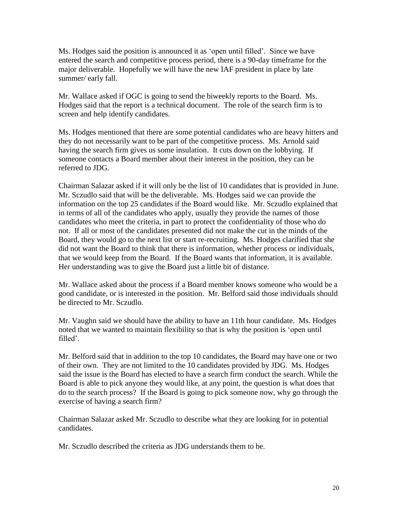Ms. Hodges said the position is announced it as 'open until filled'. Since we have entered the search and competitive process period, there is a 90-day timeframe for the major deliverable. Hopefully we will have the new IAF president in place by late summer/ early fall.

Mr. Wallace asked if OGC is going to send the biweekly reports to the Board. Ms. Hodges said that the report is a technical document. The role of the search firm is to screen and help identify candidates.

Ms. Hodges mentioned that there are some potential candidates who are heavy hitters and they do not necessarily want to be part of the competitive process. Ms. Arnold said having the search firm gives us some insulation. It cuts down on the lobbying. If someone contacts a Board member about their interest in the position, they can be referred to JDG.

Chairman Salazar asked if it will only be the list of 10 candidates that is provided in June. Mr. Sczudlo said that will be the deliverable. Ms. Hodges said we can provide the information on the top 25 candidates if the Board would like. Mr. Sczudlo explained that in terms of all of the candidates who apply, usually they provide the names of those candidates who meet the criteria, in part to protect the confidentiality of those who do not. If all or most of the candidates presented did not make the cut in the minds of the Board, they would go to the next list or start re-recruiting. Ms. Hodges clarified that she did not want the Board to think that there is information, whether process or individuals, that we would keep from the Board. If the Board wants that information, it is available. Her understanding was to give the Board just a little bit of distance.

Mr. Wallace asked about the process if a Board member knows someone who would be a good candidate, or is interested in the position. Mr. Belford said those individuals should be directed to Mr. Sczudlo.

Mr. Vaughn said we should have the ability to have an 11th hour candidate. Ms. Hodges noted that we wanted to maintain flexibility so that is why the position is 'open until filled'.

Mr. Belford said that in addition to the top 10 candidates, the Board may have one or two of their own. They are not limited to the 10 candidates provided by JDG. Ms. Hodges said the issue is the Board has elected to have a search firm conduct the search. While the Board is able to pick anyone they would like, at any point, the question is what does that do to the search process? If the Board is going to pick someone now, why go through the exercise of having a search firm?

Chairman Salazar asked Mr. Sczudlo to describe what they are looking for in potential candidates.

Mr. Sczudlo described the criteria as JDG understands them to be.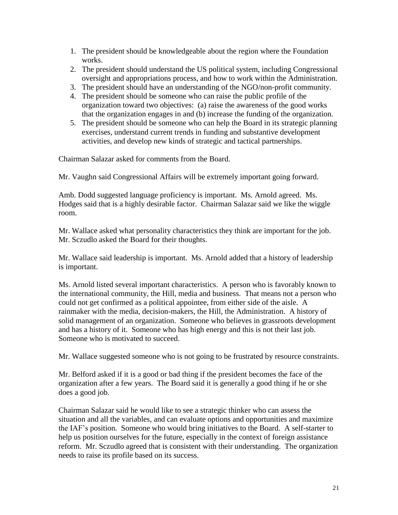- 1. The president should be knowledgeable about the region where the Foundation works.
- 2. The president should understand the US political system, including Congressional oversight and appropriations process, and how to work within the Administration.
- 3. The president should have an understanding of the NGO/non-profit community.
- 4. The president should be someone who can raise the public profile of the organization toward two objectives: (a) raise the awareness of the good works that the organization engages in and (b) increase the funding of the organization.
- 5. The president should be someone who can help the Board in its strategic planning exercises, understand current trends in funding and substantive development activities, and develop new kinds of strategic and tactical partnerships.

Chairman Salazar asked for comments from the Board.

Mr. Vaughn said Congressional Affairs will be extremely important going forward.

Amb. Dodd suggested language proficiency is important. Ms. Arnold agreed. Ms. Hodges said that is a highly desirable factor. Chairman Salazar said we like the wiggle room.

Mr. Wallace asked what personality characteristics they think are important for the job. Mr. Sczudlo asked the Board for their thoughts.

Mr. Wallace said leadership is important. Ms. Arnold added that a history of leadership is important.

Ms. Arnold listed several important characteristics. A person who is favorably known to the international community, the Hill, media and business. That means not a person who could not get confirmed as a political appointee, from either side of the aisle. A rainmaker with the media, decision-makers, the Hill, the Administration. A history of solid management of an organization. Someone who believes in grassroots development and has a history of it. Someone who has high energy and this is not their last job. Someone who is motivated to succeed.

Mr. Wallace suggested someone who is not going to be frustrated by resource constraints.

Mr. Belford asked if it is a good or bad thing if the president becomes the face of the organization after a few years. The Board said it is generally a good thing if he or she does a good job.

Chairman Salazar said he would like to see a strategic thinker who can assess the situation and all the variables, and can evaluate options and opportunities and maximize the IAF's position. Someone who would bring initiatives to the Board. A self-starter to help us position ourselves for the future, especially in the context of foreign assistance reform. Mr. Sczudlo agreed that is consistent with their understanding. The organization needs to raise its profile based on its success.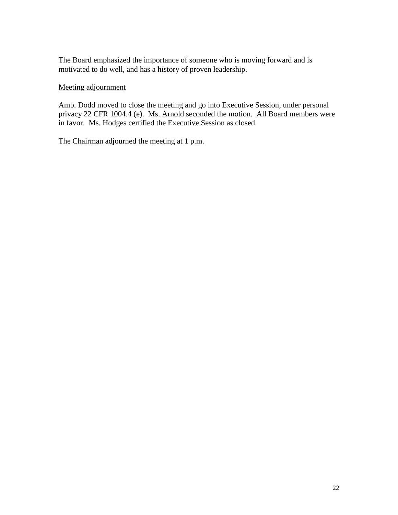The Board emphasized the importance of someone who is moving forward and is motivated to do well, and has a history of proven leadership.

#### Meeting adjournment

Amb. Dodd moved to close the meeting and go into Executive Session, under personal privacy 22 CFR 1004.4 (e). Ms. Arnold seconded the motion. All Board members were in favor. Ms. Hodges certified the Executive Session as closed.

The Chairman adjourned the meeting at 1 p.m.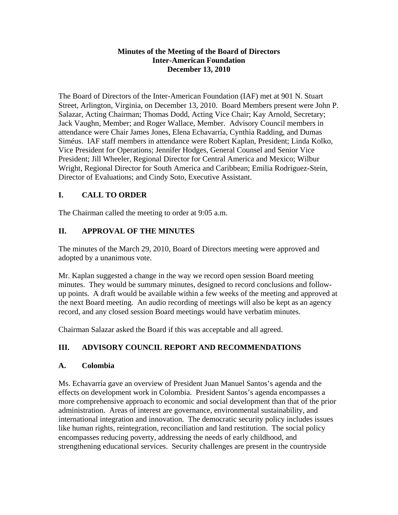#### **Minutes of the Meeting of the Board of Directors Inter-American Foundation December 13, 2010**

The Board of Directors of the Inter-American Foundation (IAF) met at 901 N. Stuart Street, Arlington, Virginia, on December 13, 2010. Board Members present were John P. Salazar, Acting Chairman; Thomas Dodd, Acting Vice Chair; Kay Arnold, Secretary; Jack Vaughn, Member; and Roger Wallace, Member. Advisory Council members in attendance were Chair James Jones, Elena Echavarría, Cynthia Radding, and Dumas Siméus. IAF staff members in attendance were Robert Kaplan, President; Linda Kolko, Vice President for Operations; Jennifer Hodges, General Counsel and Senior Vice President; Jill Wheeler, Regional Director for Central America and Mexico; Wilbur Wright, Regional Director for South America and Caribbean; Emilia Rodriguez-Stein, Director of Evaluations; and Cindy Soto, Executive Assistant.

## **I. CALL TO ORDER**

The Chairman called the meeting to order at 9:05 a.m.

# **II. APPROVAL OF THE MINUTES**

The minutes of the March 29, 2010, Board of Directors meeting were approved and adopted by a unanimous vote.

Mr. Kaplan suggested a change in the way we record open session Board meeting minutes. They would be summary minutes, designed to record conclusions and followup points. A draft would be available within a few weeks of the meeting and approved at the next Board meeting. An audio recording of meetings will also be kept as an agency record, and any closed session Board meetings would have verbatim minutes.

Chairman Salazar asked the Board if this was acceptable and all agreed.

# **III. ADVISORY COUNCIL REPORT AND RECOMMENDATIONS**

### **A. Colombia**

Ms. Echavarría gave an overview of President Juan Manuel Santos's agenda and the effects on development work in Colombia. President Santos's agenda encompasses a more comprehensive approach to economic and social development than that of the prior administration. Areas of interest are governance, environmental sustainability, and international integration and innovation. The democratic security policy includes issues like human rights, reintegration, reconciliation and land restitution. The social policy encompasses reducing poverty, addressing the needs of early childhood, and strengthening educational services. Security challenges are present in the countryside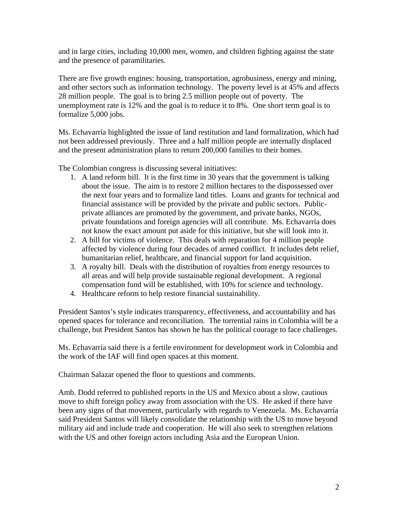and in large cities, including 10,000 men, women, and children fighting against the state and the presence of paramilitaries.

There are five growth engines: housing, transportation, agrobusiness, energy and mining, and other sectors such as information technology. The poverty level is at 45% and affects 28 million people. The goal is to bring 2.5 million people out of poverty. The unemployment rate is 12% and the goal is to reduce it to 8%. One short term goal is to formalize 5,000 jobs.

Ms. Echavarría highlighted the issue of land restitution and land formalization, which had not been addressed previously. Three and a half million people are internally displaced and the present administration plans to return 200,000 families to their homes.

The Colombian congress is discussing several initiatives:

- 1. A land reform bill. It is the first time in 30 years that the government is talking about the issue. The aim is to restore 2 million hectares to the dispossessed over the next four years and to formalize land titles. Loans and grants for technical and financial assistance will be provided by the private and public sectors. Publicprivate alliances are promoted by the government, and private banks, NGOs, private foundations and foreign agencies will all contribute. Ms. Echavarría does not know the exact amount put aside for this initiative, but she will look into it.
- 2. A bill for victims of violence. This deals with reparation for 4 million people affected by violence during four decades of armed conflict. It includes debt relief, humanitarian relief, healthcare, and financial support for land acquisition.
- 3. A royalty bill. Deals with the distribution of royalties from energy resources to all areas and will help provide sustainable regional development. A regional compensation fund will be established, with 10% for science and technology.
- 4. Healthcare reform to help restore financial sustainability.

President Santos's style indicates transparency, effectiveness, and accountability and has opened spaces for tolerance and reconciliation. The torrential rains in Colombia will be a challenge, but President Santos has shown he has the political courage to face challenges.

Ms. Echavarría said there is a fertile environment for development work in Colombia and the work of the IAF will find open spaces at this moment.

Chairman Salazar opened the floor to questions and comments.

Amb. Dodd referred to published reports in the US and Mexico about a slow, cautious move to shift foreign policy away from association with the US. He asked if there have been any signs of that movement, particularly with regards to Venezuela. Ms. Echavarría said President Santos will likely consolidate the relationship with the US to move beyond military aid and include trade and cooperation. He will also seek to strengthen relations with the US and other foreign actors including Asia and the European Union.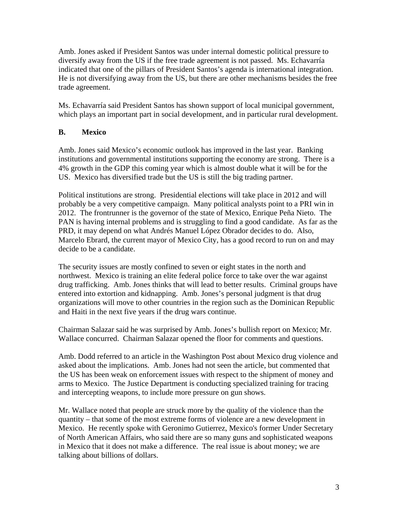Amb. Jones asked if President Santos was under internal domestic political pressure to diversify away from the US if the free trade agreement is not passed. Ms. Echavarría indicated that one of the pillars of President Santos's agenda is international integration. He is not diversifying away from the US, but there are other mechanisms besides the free trade agreement.

Ms. Echavarría said President Santos has shown support of local municipal government, which plays an important part in social development, and in particular rural development.

### **B. Mexico**

Amb. Jones said Mexico's economic outlook has improved in the last year. Banking institutions and governmental institutions supporting the economy are strong. There is a 4% growth in the GDP this coming year which is almost double what it will be for the US. Mexico has diversified trade but the US is still the big trading partner.

Political institutions are strong. Presidential elections will take place in 2012 and will probably be a very competitive campaign. Many political analysts point to a PRI win in 2012. The frontrunner is the governor of the state of Mexico, Enrique Peña Nieto. The PAN is having internal problems and is struggling to find a good candidate. As far as the PRD, it may depend on what Andrés Manuel López Obrador decides to do. Also, Marcelo Ebrard, the current mayor of Mexico City, has a good record to run on and may decide to be a candidate.

The security issues are mostly confined to seven or eight states in the north and northwest. Mexico is training an elite federal police force to take over the war against drug trafficking. Amb. Jones thinks that will lead to better results. Criminal groups have entered into extortion and kidnapping. Amb. Jones's personal judgment is that drug organizations will move to other countries in the region such as the Dominican Republic and Haiti in the next five years if the drug wars continue.

Chairman Salazar said he was surprised by Amb. Jones's bullish report on Mexico; Mr. Wallace concurred. Chairman Salazar opened the floor for comments and questions.

Amb. Dodd referred to an article in the Washington Post about Mexico drug violence and asked about the implications. Amb. Jones had not seen the article, but commented that the US has been weak on enforcement issues with respect to the shipment of money and arms to Mexico. The Justice Department is conducting specialized training for tracing and intercepting weapons, to include more pressure on gun shows.

Mr. Wallace noted that people are struck more by the quality of the violence than the quantity – that some of the most extreme forms of violence are a new development in Mexico. He recently spoke with Geronimo Gutierrez, Mexico's former Under Secretary of North American Affairs, who said there are so many guns and sophisticated weapons in Mexico that it does not make a difference. The real issue is about money; we are talking about billions of dollars.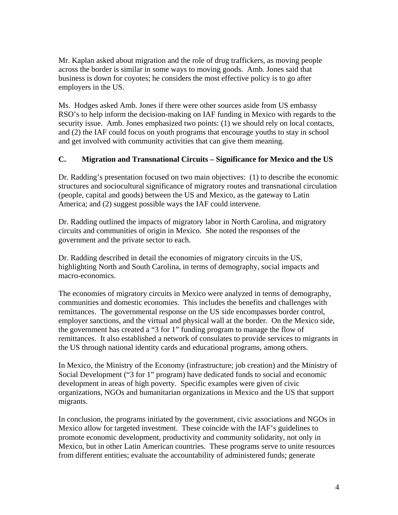Mr. Kaplan asked about migration and the role of drug traffickers, as moving people across the border is similar in some ways to moving goods. Amb. Jones said that business is down for coyotes; he considers the most effective policy is to go after employers in the US.

Ms. Hodges asked Amb. Jones if there were other sources aside from US embassy RSO's to help inform the decision-making on IAF funding in Mexico with regards to the security issue. Amb. Jones emphasized two points: (1) we should rely on local contacts, and (2) the IAF could focus on youth programs that encourage youths to stay in school and get involved with community activities that can give them meaning.

#### **C. Migration and Transnational Circuits – Significance for Mexico and the US**

Dr. Radding's presentation focused on two main objectives: (1) to describe the economic structures and sociocultural significance of migratory routes and transnational circulation (people, capital and goods) between the US and Mexico, as the gateway to Latin America; and (2) suggest possible ways the IAF could intervene.

Dr. Radding outlined the impacts of migratory labor in North Carolina, and migratory circuits and communities of origin in Mexico. She noted the responses of the government and the private sector to each.

Dr. Radding described in detail the economies of migratory circuits in the US, highlighting North and South Carolina, in terms of demography, social impacts and macro-economics.

The economies of migratory circuits in Mexico were analyzed in terms of demography, communities and domestic economies. This includes the benefits and challenges with remittances. The governmental response on the US side encompasses border control, employer sanctions, and the virtual and physical wall at the border. On the Mexico side, the government has created a "3 for 1" funding program to manage the flow of remittances. It also established a network of consulates to provide services to migrants in the US through national identity cards and educational programs, among others.

In Mexico, the Ministry of the Economy (infrastructure; job creation) and the Ministry of Social Development ("3 for 1" program) have dedicated funds to social and economic development in areas of high poverty. Specific examples were given of civic organizations, NGOs and humanitarian organizations in Mexico and the US that support migrants.

In conclusion, the programs initiated by the government, civic associations and NGOs in Mexico allow for targeted investment. These coincide with the IAF's guidelines to promote economic development, productivity and community solidarity, not only in Mexico, but in other Latin American countries. These programs serve to unite resources from different entities; evaluate the accountability of administered funds; generate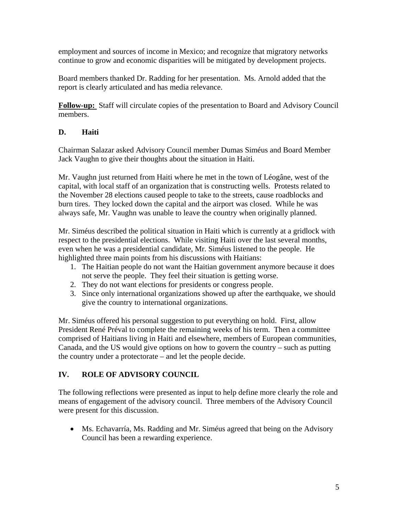employment and sources of income in Mexico; and recognize that migratory networks continue to grow and economic disparities will be mitigated by development projects.

Board members thanked Dr. Radding for her presentation. Ms. Arnold added that the report is clearly articulated and has media relevance.

**Follow-up:** Staff will circulate copies of the presentation to Board and Advisory Council members.

### **D. Haiti**

Chairman Salazar asked Advisory Council member Dumas Siméus and Board Member Jack Vaughn to give their thoughts about the situation in Haiti.

Mr. Vaughn just returned from Haiti where he met in the town of Léogâne, west of the capital, with local staff of an organization that is constructing wells. Protests related to the November 28 elections caused people to take to the streets, cause roadblocks and burn tires. They locked down the capital and the airport was closed. While he was always safe, Mr. Vaughn was unable to leave the country when originally planned.

Mr. Siméus described the political situation in Haiti which is currently at a gridlock with respect to the presidential elections. While visiting Haiti over the last several months, even when he was a presidential candidate, Mr. Siméus listened to the people. He highlighted three main points from his discussions with Haitians:

- 1. The Haitian people do not want the Haitian government anymore because it does not serve the people. They feel their situation is getting worse.
- 2. They do not want elections for presidents or congress people.
- 3. Since only international organizations showed up after the earthquake, we should give the country to international organizations.

Mr. Siméus offered his personal suggestion to put everything on hold. First, allow President René Préval to complete the remaining weeks of his term. Then a committee comprised of Haitians living in Haiti and elsewhere, members of European communities, Canada, and the US would give options on how to govern the country – such as putting the country under a protectorate – and let the people decide.

### **IV. ROLE OF ADVISORY COUNCIL**

The following reflections were presented as input to help define more clearly the role and means of engagement of the advisory council. Three members of the Advisory Council were present for this discussion.

• Ms. Echavarría, Ms. Radding and Mr. Siméus agreed that being on the Advisory Council has been a rewarding experience.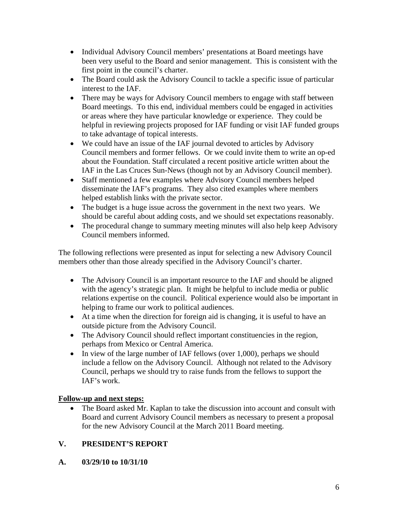- Individual Advisory Council members' presentations at Board meetings have been very useful to the Board and senior management. This is consistent with the first point in the council's charter.
- The Board could ask the Advisory Council to tackle a specific issue of particular interest to the IAF.
- There may be ways for Advisory Council members to engage with staff between Board meetings. To this end, individual members could be engaged in activities or areas where they have particular knowledge or experience. They could be helpful in reviewing projects proposed for IAF funding or visit IAF funded groups to take advantage of topical interests.
- We could have an issue of the IAF journal devoted to articles by Advisory Council members and former fellows. Or we could invite them to write an op-ed about the Foundation. Staff circulated a recent positive article written about the IAF in the Las Cruces Sun-News (though not by an Advisory Council member).
- Staff mentioned a few examples where Advisory Council members helped disseminate the IAF's programs. They also cited examples where members helped establish links with the private sector.
- The budget is a huge issue across the government in the next two years. We should be careful about adding costs, and we should set expectations reasonably.
- The procedural change to summary meeting minutes will also help keep Advisory Council members informed.

The following reflections were presented as input for selecting a new Advisory Council members other than those already specified in the Advisory Council's charter.

- The Advisory Council is an important resource to the IAF and should be aligned with the agency's strategic plan. It might be helpful to include media or public relations expertise on the council. Political experience would also be important in helping to frame our work to political audiences.
- At a time when the direction for foreign aid is changing, it is useful to have an outside picture from the Advisory Council.
- The Advisory Council should reflect important constituencies in the region, perhaps from Mexico or Central America.
- In view of the large number of IAF fellows (over 1,000), perhaps we should include a fellow on the Advisory Council. Although not related to the Advisory Council, perhaps we should try to raise funds from the fellows to support the IAF's work.

### **Follow-up and next steps:**

• The Board asked Mr. Kaplan to take the discussion into account and consult with Board and current Advisory Council members as necessary to present a proposal for the new Advisory Council at the March 2011 Board meeting.

### **V. PRESIDENT'S REPORT**

**A. 03/29/10 to 10/31/10**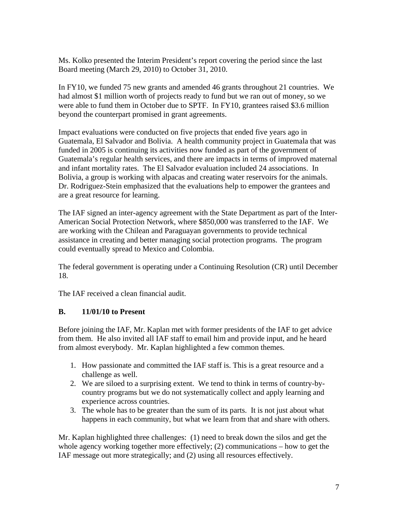Ms. Kolko presented the Interim President's report covering the period since the last Board meeting (March 29, 2010) to October 31, 2010.

In FY10, we funded 75 new grants and amended 46 grants throughout 21 countries. We had almost \$1 million worth of projects ready to fund but we ran out of money, so we were able to fund them in October due to SPTF. In FY10, grantees raised \$3.6 million beyond the counterpart promised in grant agreements.

Impact evaluations were conducted on five projects that ended five years ago in Guatemala, El Salvador and Bolivia. A health community project in Guatemala that was funded in 2005 is continuing its activities now funded as part of the government of Guatemala's regular health services, and there are impacts in terms of improved maternal and infant mortality rates. The El Salvador evaluation included 24 associations. In Bolivia, a group is working with alpacas and creating water reservoirs for the animals. Dr. Rodriguez-Stein emphasized that the evaluations help to empower the grantees and are a great resource for learning.

The IAF signed an inter-agency agreement with the State Department as part of the Inter-American Social Protection Network, where \$850,000 was transferred to the IAF. We are working with the Chilean and Paraguayan governments to provide technical assistance in creating and better managing social protection programs. The program could eventually spread to Mexico and Colombia.

The federal government is operating under a Continuing Resolution (CR) until December 18.

The IAF received a clean financial audit.

### **B. 11/01/10 to Present**

Before joining the IAF, Mr. Kaplan met with former presidents of the IAF to get advice from them. He also invited all IAF staff to email him and provide input, and he heard from almost everybody. Mr. Kaplan highlighted a few common themes.

- 1. How passionate and committed the IAF staff is. This is a great resource and a challenge as well.
- 2. We are siloed to a surprising extent. We tend to think in terms of country-bycountry programs but we do not systematically collect and apply learning and experience across countries.
- 3. The whole has to be greater than the sum of its parts. It is not just about what happens in each community, but what we learn from that and share with others.

Mr. Kaplan highlighted three challenges: (1) need to break down the silos and get the whole agency working together more effectively; (2) communications – how to get the IAF message out more strategically; and (2) using all resources effectively.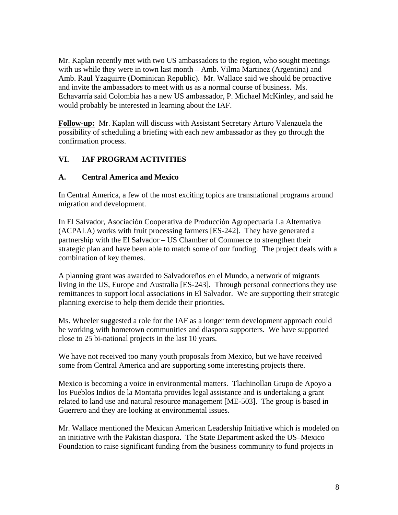Mr. Kaplan recently met with two US ambassadors to the region, who sought meetings with us while they were in town last month – Amb. Vilma Martinez (Argentina) and Amb. Raul Yzaguirre (Dominican Republic). Mr. Wallace said we should be proactive and invite the ambassadors to meet with us as a normal course of business. Ms. Echavarría said Colombia has a new US ambassador, P. Michael McKinley, and said he would probably be interested in learning about the IAF.

**Follow-up:** Mr. Kaplan will discuss with Assistant Secretary Arturo Valenzuela the possibility of scheduling a briefing with each new ambassador as they go through the confirmation process.

### **VI. IAF PROGRAM ACTIVITIES**

#### **A. Central America and Mexico**

In Central America, a few of the most exciting topics are transnational programs around migration and development.

In El Salvador, Asociación Cooperativa de Producción Agropecuaria La Alternativa (ACPALA) works with fruit processing farmers [ES-242]. They have generated a partnership with the El Salvador – US Chamber of Commerce to strengthen their strategic plan and have been able to match some of our funding. The project deals with a combination of key themes.

A planning grant was awarded to Salvadoreños en el Mundo, a network of migrants living in the US, Europe and Australia [ES-243]. Through personal connections they use remittances to support local associations in El Salvador. We are supporting their strategic planning exercise to help them decide their priorities.

Ms. Wheeler suggested a role for the IAF as a longer term development approach could be working with hometown communities and diaspora supporters. We have supported close to 25 bi-national projects in the last 10 years.

We have not received too many youth proposals from Mexico, but we have received some from Central America and are supporting some interesting projects there.

Mexico is becoming a voice in environmental matters. Tlachinollan Grupo de Apoyo a los Pueblos Indios de la Montaña provides legal assistance and is undertaking a grant related to land use and natural resource management [ME-503]. The group is based in Guerrero and they are looking at environmental issues.

Mr. Wallace mentioned the Mexican American Leadership Initiative which is modeled on an initiative with the Pakistan diaspora. The State Department asked the US–Mexico Foundation to raise significant funding from the business community to fund projects in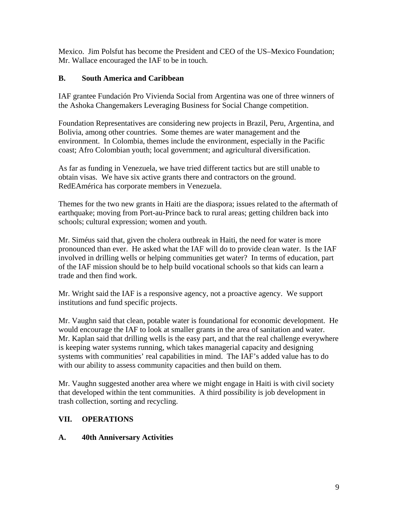Mexico. Jim Polsfut has become the President and CEO of the US–Mexico Foundation; Mr. Wallace encouraged the IAF to be in touch.

#### **B. South America and Caribbean**

IAF grantee Fundación Pro Vivienda Social from Argentina was one of three winners of the Ashoka Changemakers Leveraging Business for Social Change competition.

Foundation Representatives are considering new projects in Brazil, Peru, Argentina, and Bolivia, among other countries. Some themes are water management and the environment. In Colombia, themes include the environment, especially in the Pacific coast; Afro Colombian youth; local government; and agricultural diversification.

As far as funding in Venezuela, we have tried different tactics but are still unable to obtain visas. We have six active grants there and contractors on the ground. RedEAmérica has corporate members in Venezuela.

Themes for the two new grants in Haiti are the diaspora; issues related to the aftermath of earthquake; moving from Port-au-Prince back to rural areas; getting children back into schools; cultural expression; women and youth.

Mr. Siméus said that, given the cholera outbreak in Haiti, the need for water is more pronounced than ever. He asked what the IAF will do to provide clean water. Is the IAF involved in drilling wells or helping communities get water? In terms of education, part of the IAF mission should be to help build vocational schools so that kids can learn a trade and then find work.

Mr. Wright said the IAF is a responsive agency, not a proactive agency. We support institutions and fund specific projects.

Mr. Vaughn said that clean, potable water is foundational for economic development. He would encourage the IAF to look at smaller grants in the area of sanitation and water. Mr. Kaplan said that drilling wells is the easy part, and that the real challenge everywhere is keeping water systems running, which takes managerial capacity and designing systems with communities' real capabilities in mind. The IAF's added value has to do with our ability to assess community capacities and then build on them.

Mr. Vaughn suggested another area where we might engage in Haiti is with civil society that developed within the tent communities. A third possibility is job development in trash collection, sorting and recycling.

### **VII. OPERATIONS**

#### **A. 40th Anniversary Activities**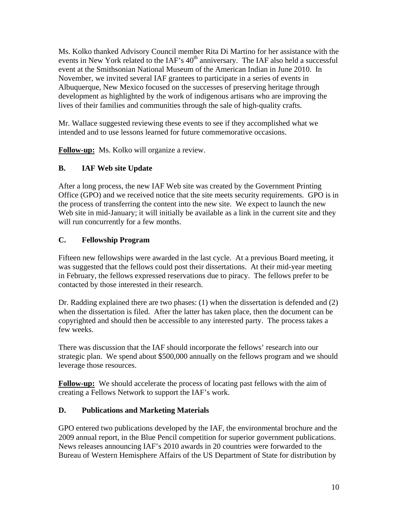Ms. Kolko thanked Advisory Council member Rita Di Martino for her assistance with the events in New York related to the IAF's 40<sup>th</sup> anniversary. The IAF also held a successful event at the Smithsonian National Museum of the American Indian in June 2010. In November, we invited several IAF grantees to participate in a series of events in Albuquerque, New Mexico focused on the successes of preserving heritage through development as highlighted by the work of indigenous artisans who are improving the lives of their families and communities through the sale of high-quality crafts.

Mr. Wallace suggested reviewing these events to see if they accomplished what we intended and to use lessons learned for future commemorative occasions.

**Follow-up:** Ms. Kolko will organize a review.

### **B. IAF Web site Update**

After a long process, the new IAF Web site was created by the Government Printing Office (GPO) and we received notice that the site meets security requirements. GPO is in the process of transferring the content into the new site. We expect to launch the new Web site in mid-January; it will initially be available as a link in the current site and they will run concurrently for a few months.

## **C. Fellowship Program**

Fifteen new fellowships were awarded in the last cycle. At a previous Board meeting, it was suggested that the fellows could post their dissertations. At their mid-year meeting in February, the fellows expressed reservations due to piracy. The fellows prefer to be contacted by those interested in their research.

Dr. Radding explained there are two phases: (1) when the dissertation is defended and (2) when the dissertation is filed. After the latter has taken place, then the document can be copyrighted and should then be accessible to any interested party. The process takes a few weeks.

There was discussion that the IAF should incorporate the fellows' research into our strategic plan. We spend about \$500,000 annually on the fellows program and we should leverage those resources.

**Follow-up:** We should accelerate the process of locating past fellows with the aim of creating a Fellows Network to support the IAF's work.

### **D. Publications and Marketing Materials**

GPO entered two publications developed by the IAF, the environmental brochure and the 2009 annual report, in the Blue Pencil competition for superior government publications. News releases announcing IAF's 2010 awards in 20 countries were forwarded to the Bureau of Western Hemisphere Affairs of the US Department of State for distribution by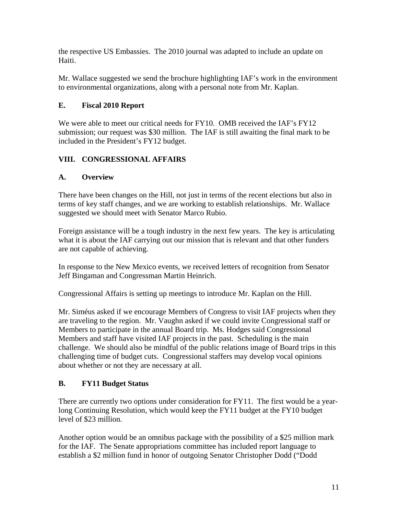the respective US Embassies. The 2010 journal was adapted to include an update on Haiti.

Mr. Wallace suggested we send the brochure highlighting IAF's work in the environment to environmental organizations, along with a personal note from Mr. Kaplan.

### **E. Fiscal 2010 Report**

We were able to meet our critical needs for FY10. OMB received the IAF's FY12 submission; our request was \$30 million. The IAF is still awaiting the final mark to be included in the President's FY12 budget.

## **VIII. CONGRESSIONAL AFFAIRS**

### **A. Overview**

There have been changes on the Hill, not just in terms of the recent elections but also in terms of key staff changes, and we are working to establish relationships. Mr. Wallace suggested we should meet with Senator Marco Rubio.

Foreign assistance will be a tough industry in the next few years. The key is articulating what it is about the IAF carrying out our mission that is relevant and that other funders are not capable of achieving.

In response to the New Mexico events, we received letters of recognition from Senator Jeff Bingaman and Congressman Martin Heinrich.

Congressional Affairs is setting up meetings to introduce Mr. Kaplan on the Hill.

Mr. Siméus asked if we encourage Members of Congress to visit IAF projects when they are traveling to the region. Mr. Vaughn asked if we could invite Congressional staff or Members to participate in the annual Board trip. Ms. Hodges said Congressional Members and staff have visited IAF projects in the past. Scheduling is the main challenge. We should also be mindful of the public relations image of Board trips in this challenging time of budget cuts. Congressional staffers may develop vocal opinions about whether or not they are necessary at all.

### **B. FY11 Budget Status**

There are currently two options under consideration for FY11. The first would be a yearlong Continuing Resolution, which would keep the FY11 budget at the FY10 budget level of \$23 million.

Another option would be an omnibus package with the possibility of a \$25 million mark for the IAF. The Senate appropriations committee has included report language to establish a \$2 million fund in honor of outgoing Senator Christopher Dodd ("Dodd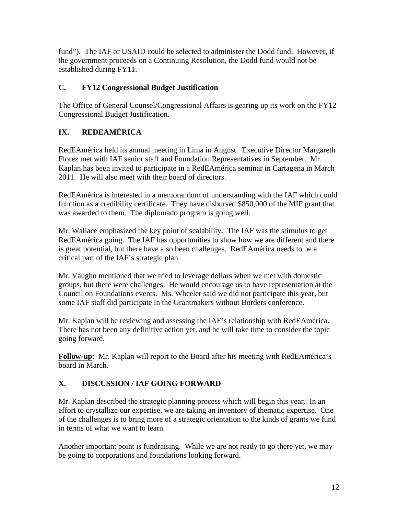fund"). The IAF or USAID could be selected to administer the Dodd fund. However, if the government proceeds on a Continuing Resolution, the Dodd fund would not be established during FY11.

## **C. FY12 Congressional Budget Justification**

The Office of General Counsel/Congressional Affairs is gearing up its work on the FY12 Congressional Budget Justification.

# **IX. REDEAMÉRICA**

RedEAmérica held its annual meeting in Lima in August. Executive Director Margareth Florez met with IAF senior staff and Foundation Representatives in September. Mr. Kaplan has been invited to participate in a RedEAmérica seminar in Cartagena in March 2011. He will also meet with their board of directors.

RedEAmérica is interested in a memorandum of understanding with the IAF which could function as a credibility certificate. They have disbursed \$850,000 of the MIF grant that was awarded to them. The diplomado program is going well.

Mr. Wallace emphasized the key point of scalability. The IAF was the stimulus to get RedEAmérica going. The IAF has opportunities to show how we are different and there is great potential, but there have also been challenges. RedEAmérica needs to be a critical part of the IAF's strategic plan.

Mr. Vaughn mentioned that we tried to leverage dollars when we met with domestic groups, but there were challenges. He would encourage us to have representation at the Council on Foundations events. Ms. Wheeler said we did not participate this year, but some IAF staff did participate in the Grantmakers without Borders conference.

Mr. Kaplan will be reviewing and assessing the IAF's relationship with RedEAmérica. There has not been any definitive action yet, and he will take time to consider the topic going forward.

**Follow-up**: Mr. Kaplan will report to the Board after his meeting with RedEAmérica's board in March.

# **X. DISCUSSION / IAF GOING FORWARD**

Mr. Kaplan described the strategic planning process which will begin this year. In an effort to crystallize our expertise, we are taking an inventory of thematic expertise. One of the challenges is to bring more of a strategic orientation to the kinds of grants we fund in terms of what we want to learn.

Another important point is fundraising. While we are not ready to go there yet, we may be going to corporations and foundations looking forward.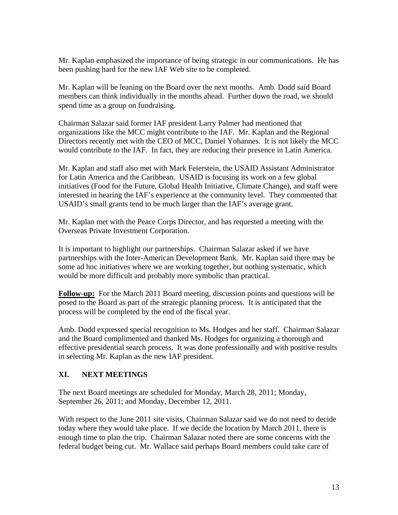Mr. Kaplan emphasized the importance of being strategic in our communications. He has been pushing hard for the new IAF Web site to be completed.

Mr. Kaplan will be leaning on the Board over the next months. Amb. Dodd said Board members can think individually in the months ahead. Further down the road, we should spend time as a group on fundraising.

Chairman Salazar said former IAF president Larry Palmer had mentioned that organizations like the MCC might contribute to the IAF. Mr. Kaplan and the Regional Directors recently met with the CEO of MCC, Daniel Yohannes. It is not likely the MCC would contribute to the IAF. In fact, they are reducing their presence in Latin America.

Mr. Kaplan and staff also met with Mark Feierstein, the USAID Assistant Administrator for Latin America and the Caribbean. USAID is focusing its work on a few global initiatives (Food for the Future, Global Health Initiative, Climate Change), and staff were interested in hearing the IAF's experience at the community level. They commented that USAID's small grants tend to be much larger than the IAF's average grant.

Mr. Kaplan met with the Peace Corps Director, and has requested a meeting with the Overseas Private Investment Corporation.

It is important to highlight our partnerships. Chairman Salazar asked if we have partnerships with the Inter-American Development Bank. Mr. Kaplan said there may be some ad hoc initiatives where we are working together, but nothing systematic, which would be more difficult and probably more symbolic than practical.

**Follow-up:** For the March 2011 Board meeting, discussion points and questions will be posed to the Board as part of the strategic planning process. It is anticipated that the process will be completed by the end of the fiscal year.

Amb. Dodd expressed special recognition to Ms. Hodges and her staff. Chairman Salazar and the Board complimented and thanked Ms. Hodges for organizing a thorough and effective presidential search process. It was done professionally and with positive results in selecting Mr. Kaplan as the new IAF president.

### **XI. NEXT MEETINGS**

The next Board meetings are scheduled for Monday, March 28, 2011; Monday, September 26, 2011; and Monday, December 12, 2011.

With respect to the June 2011 site visits, Chairman Salazar said we do not need to decide today where they would take place. If we decide the location by March 2011, there is enough time to plan the trip. Chairman Salazar noted there are some concerns with the federal budget being cut. Mr. Wallace said perhaps Board members could take care of